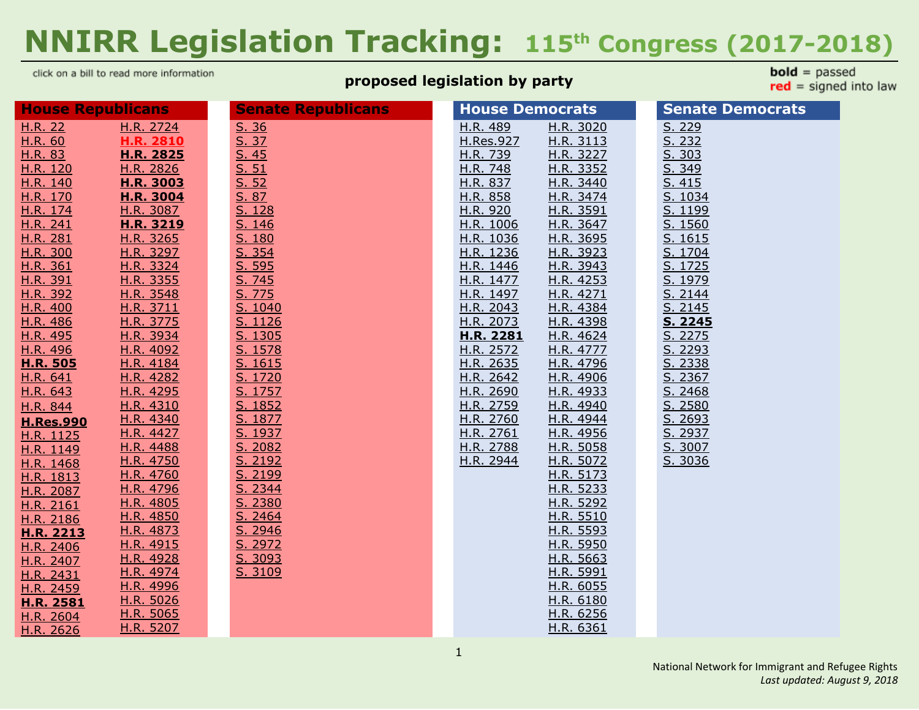# **NNIRR Legislation Tracking: 115 th Congress (2017-2018)**

click on a bill to read more information

# **proposed legislation by party**

**bold** =  $passed$  $red = signed into law$ 

| <b>House Republicans</b> |                  | <b>Senate Republicans</b> | <b>House Democrats</b> | <b>Senate Democrats</b> |
|--------------------------|------------------|---------------------------|------------------------|-------------------------|
| H.R. 22                  | H.R. 2724        | S. 36                     | H.R. 489<br>H.R. 3020  | S. 229                  |
| H.R. 60                  | H.R. 2810        | S. 37                     | H.Res.927<br>H.R. 3113 | S. 232                  |
| H.R. 83                  | H.R. 2825        | S.45                      | H.R. 3227<br>H.R. 739  | S. 303                  |
| H.R. 120                 | <u>H.R. 2826</u> | S. 51                     | H.R. 748<br>H.R. 3352  | S. 349                  |
| H.R. 140                 | H.R. 3003        | S. 52                     | H.R. 837<br>H.R. 3440  | S. 415                  |
| H.R. 170                 | H.R. 3004        | S. 87                     | H.R. 858<br>H.R. 3474  | S. 1034                 |
| H.R. 174                 | H.R. 3087        | S. 128                    | H.R. 920<br>H.R. 3591  | S. 1199                 |
| H.R. 241                 | H.R. 3219        | S. 146                    | H.R. 1006<br>H.R. 3647 | S. 1560                 |
| H.R. 281                 | H.R. 3265        | S. 180                    | H.R. 1036<br>H.R. 3695 | S. 1615                 |
| H.R. 300                 | H.R. 3297        | S. 354                    | H.R. 1236<br>H.R. 3923 | S. 1704                 |
| H.R. 361                 | H.R. 3324        | S. 595                    | H.R. 1446<br>H.R. 3943 | S. 1725                 |
| H.R. 391                 | H.R. 3355        | <u>S. 745</u>             | H.R. 1477<br>H.R. 4253 | S. 1979                 |
| H.R. 392                 | H.R. 3548        | S. 775                    | H.R. 1497<br>H.R. 4271 | S. 2144                 |
| H.R. 400                 | H.R. 3711        | S. 1040                   | H.R. 2043<br>H.R. 4384 | S. 2145                 |
| H.R. 486                 | H.R. 3775        | S. 1126                   | H.R. 2073<br>H.R. 4398 | S. 2245                 |
| H.R. 495                 | H.R. 3934        | S. 1305                   | H.R. 2281<br>H.R. 4624 | S. 2275                 |
| H.R. 496                 | H.R. 4092        | S. 1578                   | H.R. 2572<br>H.R. 4777 | S. 2293                 |
| <b>H.R. 505</b>          | H.R. 4184        | S. 1615                   | H.R. 2635<br>H.R. 4796 | S. 2338                 |
| H.R. 641                 | H.R. 4282        | S. 1720                   | H.R. 2642<br>H.R. 4906 | S. 2367                 |
| H.R. 643                 | H.R. 4295        | S. 1757                   | H.R. 2690<br>H.R. 4933 | S. 2468                 |
| H.R. 844                 | H.R. 4310        | S. 1852                   | H.R. 2759<br>H.R. 4940 | S. 2580                 |
| <b>H.Res.990</b>         | H.R. 4340        | S. 1877                   | H.R. 2760<br>H.R. 4944 | S. 2693                 |
| H.R. 1125                | H.R. 4427        | S. 1937                   | H.R. 2761<br>H.R. 4956 | S. 2937                 |
| H.R. 1149                | H.R. 4488        | S. 2082                   | H.R. 2788<br>H.R. 5058 | S. 3007                 |
| H.R. 1468                | H.R. 4750        | S. 2192                   | H.R. 2944<br>H.R. 5072 | S. 3036                 |
| H.R. 1813                | H.R. 4760        | S. 2199                   | H.R. 5173              |                         |
| H.R. 2087                | H.R. 4796        | S. 2344                   | H.R. 5233              |                         |
| H.R. 2161                | H.R. 4805        | S. 2380                   | H.R. 5292              |                         |
| H.R. 2186                | H.R. 4850        | S. 2464                   | H.R. 5510              |                         |
| H.R. 2213                | H.R. 4873        | S. 2946                   | H.R. 5593              |                         |
| H.R. 2406                | H.R. 4915        | S. 2972                   | H.R. 5950              |                         |
| H.R. 2407                | H.R. 4928        | S. 3093                   | H.R. 5663              |                         |
| H.R. 2431                | H.R. 4974        | S. 3109                   | H.R. 5991              |                         |
| H.R. 2459                | H.R. 4996        |                           | H.R. 6055              |                         |
| <b>H.R. 2581</b>         | H.R. 5026        |                           | H.R. 6180              |                         |
| H.R. 2604                | H.R. 5065        |                           | H.R. 6256              |                         |
| H.R. 2626                | H.R. 5207        |                           | H.R. 6361              |                         |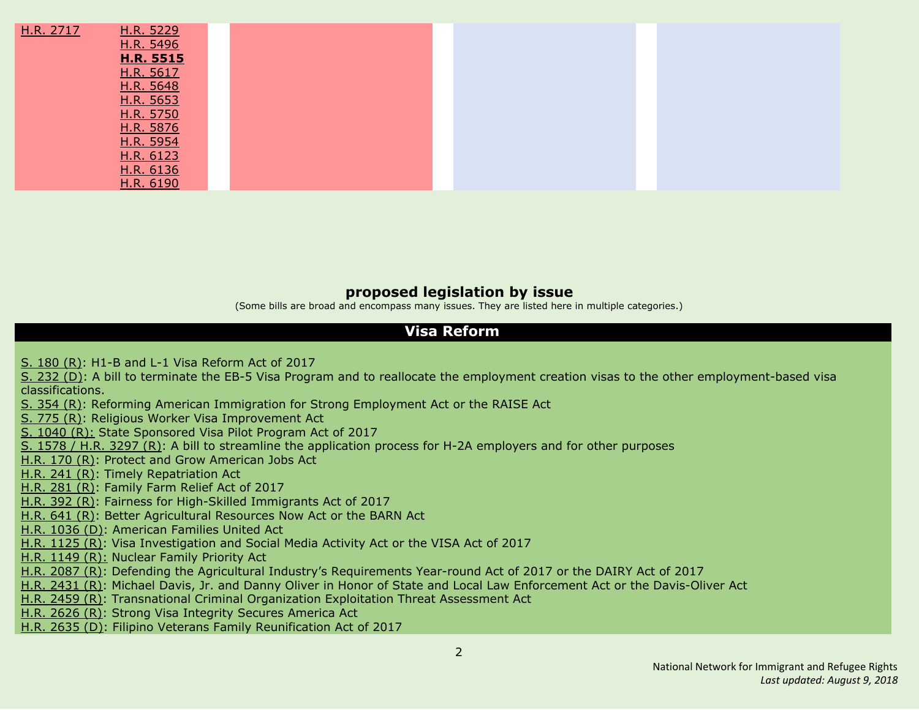| H.R. 2717 | H.R. 5229        |
|-----------|------------------|
|           | H.R. 5496        |
|           | <b>H.R. 5515</b> |
|           | H.R. 5617        |
|           | H.R. 5648        |
|           | H.R. 5653        |
|           | H.R. 5750        |
|           | H.R. 5876        |
|           | H.R. 5954        |
|           | H.R. 6123        |
|           | H.R. 6136        |
|           | H.R. 6190        |

#### **proposed legislation by issue**

(Some bills are broad and encompass many issues. They are listed here in multiple categories.)

#### **Visa Reform**

S. [180](#page-36-0) (R): H1-B and L-1 Visa [Reform](#page-36-0) Act of 2017

S. [232](#page-19-2) (D): A bill to terminate the EB-5 Visa Program and to reallocate the employment creation visas to the other [employment-based](#page-19-2) visa [classifications.](#page-19-2)

S. [354](#page-36-1) (R): Reforming American Immigration for Strong [Employment](#page-36-1) Act or the RAISE Act

S. [775](#page-37-1) (R): Religious Worker Visa [Improvement](#page-37-1) Ac[t](#page-37-1)

S. [1040](#page-19-2) (R): State [Sponsored](#page-19-2) Visa Pilot Program Act of 2017

S. [1578](#page-38-0) / H.R. 3297 (R): A bill to streamline the [application](#page-38-0) process for H-2A employers and for other purposes

[H.R.](#page-9-3) 170 (R): Protect and Grow [American](#page-9-3) Jobs Act

[H.R.](#page-10-0) 241 (R): Timely [Repatriation](#page-10-0) Ac[t](#page-10-0)

[H.R.](#page-10-1) 281 (R): [Family](#page-10-1) Farm Relief Act of 2017

[H.R.](#page-10-4) 392 (R): Fairness for [High-Skilled](#page-10-4) Immigrants Act of 201[7](#page-10-4)

[H.R.](#page-12-3) 641 (R): Better [Agricultural](#page-12-3) Resources Now Act or the BARN Ac[t](#page-12-3)

H.R. [1036](#page-14-4) (D): [American](#page-14-4) Families United Act

H.R. [1125](#page-15-0) (R): Visa [Investigation](#page-15-0) and Social Media Activity Act or the VISA Act of 2017

H.R. [1149](#page-15-1) (R): [Nuclear](#page-15-1) Family Priority Act

H.R. [2087](#page-17-0) (R): Defending the Agricultural Industry's [Requirements](#page-17-0) Year-round Act of 2017 or the DAIRY Act of 2017

H.R. [2431](#page-18-2) (R): Michael Davis, Jr. and Danny Oliver in Honor of State and Local Law [Enforcement](#page-18-2) Ac[t](#page-18-2) or the Davis-Oliver Act

H.R. [2459](#page-18-3) (R): [Transnational](#page-18-3) Criminal Organization Exploitation Threat Assessment Act

H.R. [2626](#page-19-2) (R): Strong Visa [Integrity](#page-19-2) Secures America Act

H.R. [2635](#page-20-1) (D): Filipino Veterans Family [Reunification](#page-20-1) Act of 201[7](#page-20-1)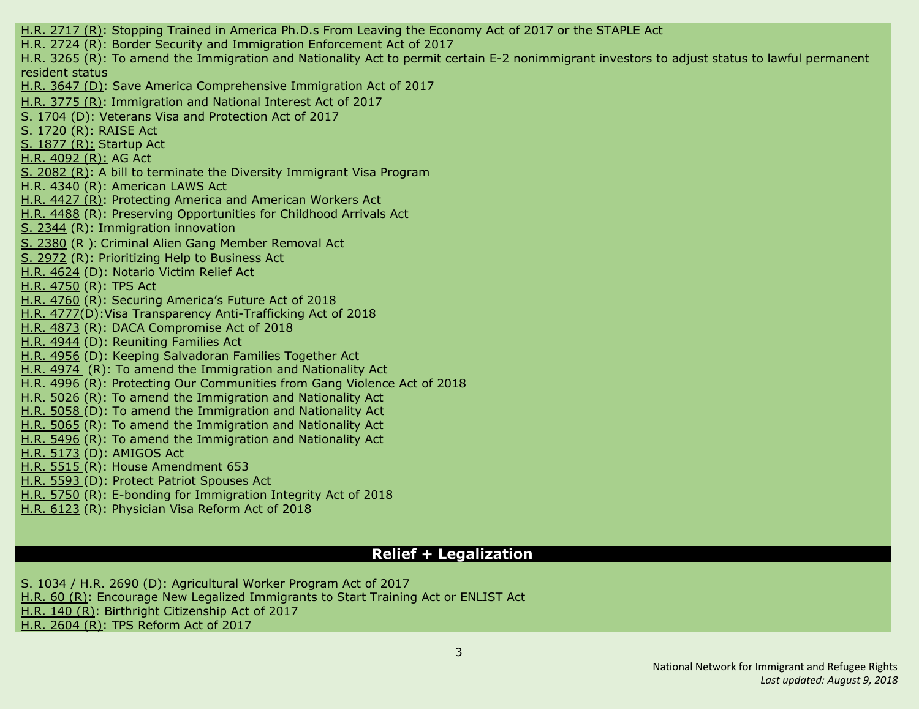H.R. [2717](#page-20-5) (R): Stopping Trained in America Ph.D.s From Leaving the [Economy](#page-20-5) Act of 2017 or the STAPLE Act H.R. [2724](#page-20-0) (R): Border Security and Immigration [Enforcement](#page-20-0) Act of 2017 H.R. [3265](#page-23-2) (R): To amend the Immigration and Nationality Act to permit certain E-2 [nonimmigrant](#page-23-2) investors to adjust status to lawful permanent [resident](#page-23-2) status H.R. [3647](#page-25-3) (D): Save America Comprehensive Immigration Act of 2017 H.R. [3775](#page-25-1) (R): Immigration and National Interest Act of 2017 S. [1704](#page-38-5) (D): Veterans Visa and Protection Act of 2017 S. [1720](#page-38-3) (R): RAISE Act S. [1877](#page-39-2) (R): Startup Act H.R. [4092](#page-26-0) (R): AG Act S. [2082](#page-40-0) (R): A bill to terminate the Diversity Immigrant Visa Program H.R. [4340](#page-27-1) (R): American LAWS Act H.R. [4427](#page-27-2) (R): Protecting America and American Workers Act H.R. [4488](#page-27-3) (R): Preserving Opportunities for Childhood Arrivals Act S. [2344](#page-41-0) (R): Immigration innovation S. [2380](#page-42-0) (R ): Criminal Alien Gang Member Removal Act S. [2972](#page-43-1) (R): [Prioritizing](#page-43-1) Help to Business Act H.R. [4624](#page-27-6) (D): Notario Victim Relief Act H.R. [4750](#page-28-0) (R): TPS Act H.R. [4760](#page-28-1) (R): Securing America's Future Act of 2018 H.R. [4777\(](#page-28-4)D):Visa Transparency Anti-Trafficking Act of 2018 H.R. [4873](#page-29-1) (R): DACA Compromise Act of 2018 H.R. [4944](#page-30-5) (D): Reuniting Families Act H.R. [4956](#page-30-6) (D): Keeping Salvadoran Families Together Act H.R. [4974](#page-30-0) (R): To amend the Immigration and Nationality Act H.R. [4996](#page-30-1) (R): Protecting Our Communities from Gang Violence Act of 2018 H.R. [5026](#page-30-2) (R): To amend the Immigration and Nationality Act H.R. [5058](#page-31-1) (D): To amend the Immigration and Nationality Act H.R. [5065](#page-30-3) (R): To amend the Immigration and Nationality Act H.R. [5496](#page-32-2) (R): To amend the Immigration and Nationality Act H.R. [5173](#page-31-3) (D): AMIGOS Act H.R. [5515](#page-32-3) (R): House [Amendment](#page-32-3) 653 H.R. [5593](#page-32-1) (D): Protect Patriot [Spouses](#page-32-1) Act H.R. [5750](#page-33-3) (R): E-bonding for [Immigration](#page-33-3) Integrity Act of 2018 H.R. [6123](#page-34-3) (R): Physician Visa Reform Act of 2018

#### **Relief + Legalization**

S. [1034](#page-20-3) / H.R. 2690 (D): [Agricultural](#page-20-3) Worker Program Act of 201[7](#page-20-3) [H.R.](#page-8-1) 60 (R): Encourage New Legalized [Immigrants](#page-8-1) to Start Training Act or ENLIST Act [H.R.](#page-9-2) 140 (R): Birthright [Citizenship](#page-9-2) Act of 201[7](#page-9-2)

H.R. [2604](#page-19-1) (R): TPS [Reform](#page-19-1) Act of 2017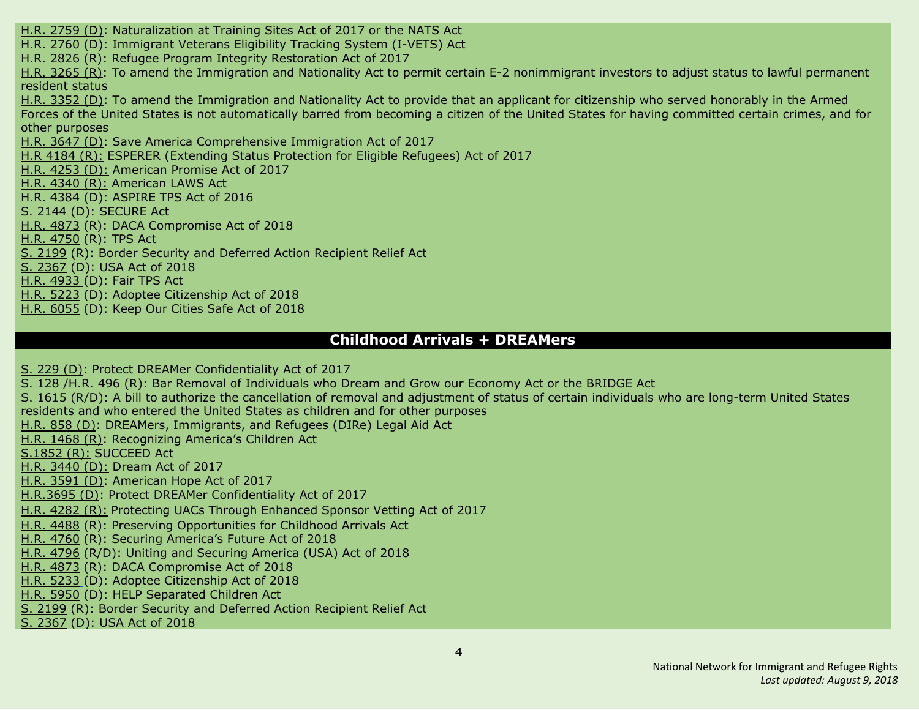H.R. [2759](#page-20-4) (D): [Naturalization](#page-20-4) at Training Sites Act of 2017 or the NATS Act H.R. [2760](#page-21-1) (D): [Immigrant](#page-21-1) Veterans Eligibility Tracking System (I-VETS) Ac[t](#page-21-1) H.R. [2826](#page-22-1) (R): Refugee Program Integrity [Restoration](#page-22-1) Act of 201[7](#page-22-1) H.R. [3265](#page-23-2) (R): To amend the Immigration and Nationality Act to permit certain E-2 [nonimmigrant](#page-23-2) investors to adjust status to lawful permanent [resident](#page-23-2) status H.R. [3352](#page-23-6) (D): To amend the [Immigration](#page-23-6) and Nationality Act to provide that an applicant for citizenship who served honorably in the Armed Forces of the United States is not [automatically](#page-23-6) barred from becoming a citizen of the United States for having committed certain crimes, and for other [purposes](#page-23-6) H.R. [3647](#page-25-3) (D): Save America Comprehensive Immigration Act of 2017 H.R [4184](#page-26-1) (R): ESPERER (Extending Status Protection for Eligible Refugees) Act of 2017 H.R. [4253](#page-26-4) (D): American Promise Act of 2017 H.R. [4340](#page-27-1) (R): American LAWS Act H.R. [4384](#page-27-4) (D): ASPIRE TPS Act of 2016 S. [2144](#page-40-4) (D): SECURE Act H.R. [4873](#page-29-1) (R): DACA Compromise Act of 2018 H.R. [4750](#page-28-0) (R): TPS Act S. [2199](#page-40-2) (R): Border Security and Deferred Action Recipient Relief Act S. [2367](#page-42-1) (D): USA Act of 2018 H.R. [4933](#page-29-5) (D): Fair TPS Act H.R. [5223](#page-31-4) (D): Adoptee Citizenship Act of 2018 H.R. [6055](#page-34-2) (D): Keep Our [Cities](#page-34-2) Safe Act of 2018

#### **Childhood Arrivals + DREAMers**

S. [229](#page-36-2) (D): Protect DREAMer [Confidentiality](#page-36-2) Act of 2017 S. [128](#page-12-5) [/H.R.](#page-12-1) 496 (R): Bar Removal of [Individuals](#page-12-1) who Dream and Grow our Economy Act or the BRIDGE Act S. 1615 [\(R/D\)](#page-38-2): A bill to authorize the [cancellation](#page-38-2) of removal and adjustment of status of certain individuals who are long-term United States [residents](#page-38-2) and who entered the United States as children and for other purposes [H.R.](#page-13-4) 858 (D): DREAMers, [Immigrants,](#page-13-4) and Refugees (DIRe) Legal Aid Ac[t](#page-13-4) H.R. [1468](#page-15-2) (R): [Recognizing](#page-15-2) America's Children Act [S.1852](#page-39-1) (R): SUCCEED Act H.R. [3440](#page-24-2) (D): Dream Act of 2017 H.R. [3591](#page-24-4) (D): American Hope Act of 2017 [H.R.3695](#page-25-4) (D): Protect DREAMer Confidentiality Act of 2017 H.R. [4282](#page-26-2) (R): Protecting UACs Through Enhanced Sponsor Vetting Act of 2017 H.R. [4488](#page-27-3) (R): Preserving Opportunities for Childhood Arrivals Act H.R. [4760](#page-28-1) (R): Securing America's Future Act of 2018 H.R. [4796](#page-28-2) (R/D): Uniting and Securing America (USA) Act of 2018 H.R. [4873](#page-29-1) (R): DACA Compromise Act of 2018 H.R. [5233](#page-31-4) (D): Adoptee Citizenship Act of 2018 H.R. [5950](#page-33-0) (D): HELP [Separated](#page-33-0) Children Act S. [2199](#page-40-2) (R): Border Security and Deferred Action Recipient Relief Act S. [2367](#page-42-1) (D): USA Act of 2018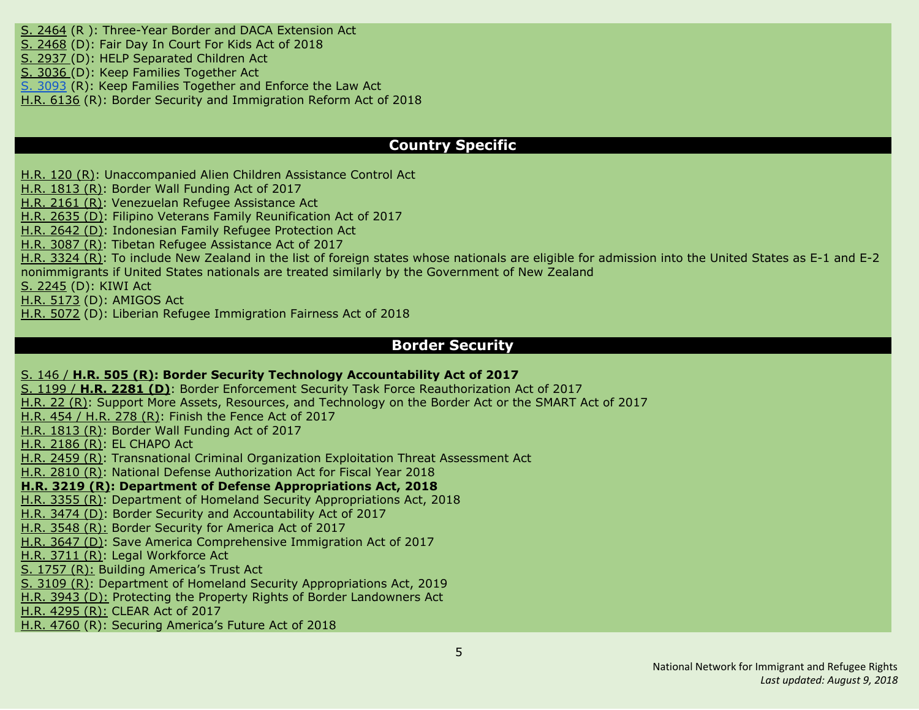S. [2464](#page-43-0) (R ): Three-Year Border and DACA Extension Act S. [2468](#page-43-2) (D): Fair Day In Court For Kids Act of 2018 S. [2937](#page-33-0) (D): HELP [Separated](#page-33-0) Children Act S. [3036](#page-44-2) (D): Keep Families [Together](#page-44-2) Act S. [3093](#page-44-0) (R): Keep Families Together and Enforce the Law Act

H.R. [6136](#page-34-4) (R): Border Security and Immigration Reform Act of 2018

#### **Country Specific**

[H.R.](#page-9-1) 120 (R): [Unaccompanied](#page-9-1) Alien Children Assistance Control Act

H.R. [1813](#page-16-0) (R): Border Wall [Funding](#page-16-0) Act of 2017

H.R. [2161](#page-17-1) (R): [Venezuelan](#page-17-1) Refugee Assistance Act

H.R. [2635](#page-20-1) (D): Filipino Veterans Family [Reunification](#page-20-1) Act of 201[7](#page-20-1)

H.R. [2642](#page-20-2) (D): Indonesian Family Refugee Protection Act

H.R. [3087](#page-23-0) (R): Tibetan Refugee [Assistance](#page-23-0) Act of 2017

H.R. [3324](#page-23-3) (R): To include New Zealand in the list of foreign states whose nationals are eligible for [admission](#page-23-3) into the United States as E-1 and E-2 [nonimmigrants](#page-23-3) if United States nationals are treated similarly by the Government of New Zealand

S. [2245](#page-41-1) (D): KIWI Act

H.R. [5173](#page-31-3) (D): AMIGOS Act

H.R. [5072](#page-31-2) (D): Liberian Refugee Immigration Fairness Act of 201[8](#page-23-3)

#### **Border Security**

#### S. [146](#page-12-2) / **[H.R.](#page-12-2) 505 (R): Border Security Technology [Accountability](#page-12-2) Act of 201[7](#page-12-2)**

S. [1199](#page-37-4) / **H.R. [2281](#page-37-4) (D)**: Border Enforcement Security Task Force [Reauthorization](#page-37-4) Act of 2017 [H.R.](#page-37-4) 22 (R): Support More Assets, Resources, and [Technology](#page-37-4) on the Border Act or the SMART Act of 201[7](#page-37-4) [H.R.](#page-11-3) 454 / H.R. 278 (R): Finish the [Fence](#page-11-3) Act of 2017 H.R. [1813](#page-16-0) (R): Border Wall [Funding](#page-16-0) Act of 2017 H.R. [2186](#page-17-2) (R): EL [CHAPO](#page-17-2) Act H.R. [2459](#page-18-3) (R): [Transnational](#page-18-3) Criminal Organization Exploitation Threat Assessment Act H.R. [2810](#page-21-0) (R): National Defense [Authorization](#page-21-0) Act for Fiscal Year 2018 **H.R. [3219](#page-23-1) (R): Department of Defense [Appropriations](#page-23-1) Act, 2018** H.R. [3355](#page-24-0) (R): Department of Homeland Security [Appropriations](#page-24-0) Act, 2018 H.R. [3474](#page-24-3) (D): Border Security and Accountability Act of 2017 H.R. [3548](#page-24-1) (R): Border Security for America Act of 2017 H.R. [3647](#page-25-3) (D): Save America Comprehensive Immigration Act of 2017 H.R. [3711](#page-25-0) (R): Legal Workforce Act S. [1757](#page-39-0) (R): Building America's Trust Act S. [3109](#page-44-1) (R): Department of Homeland Security Appropriations Act, 2019 H.R. [3943](#page-25-6) (D): Protecting the Property Rights of Border Landowners Act H.R. [4295](#page-26-3) (R): CLEAR Act of 2017 H.R. [4760](#page-28-1) (R): Securing America's Future Act of 2018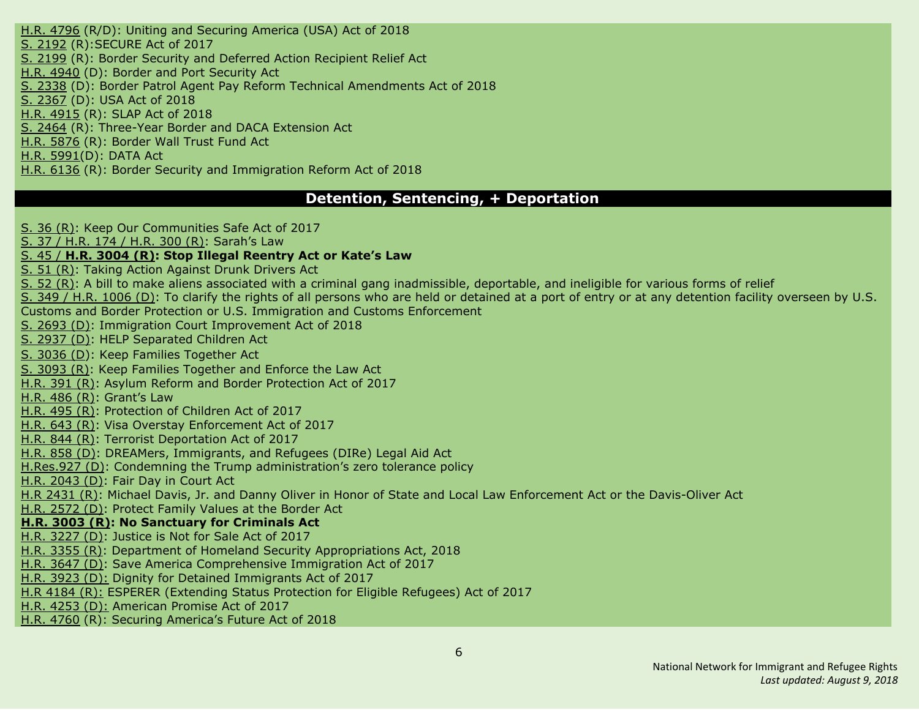H.R. [4796](#page-28-2) (R/D): Uniting and Securing America (USA) Act of 2018 S. [2192](#page-40-1) (R):SECURE Act of 2017 S. [2199](#page-40-2) (R): Border Security and Deferred Action Recipient Relief Act H.R. [4940](#page-30-4) (D): Border and Port Security Act S. [2338](#page-41-3) (D): Border Patrol Agent Pay Reform Technical Amendments Act of 2018 S. [2367](#page-42-1) (D): USA Act of 2018 H.R. [4915](#page-29-2) (R): SLAP Act of 2018 S. [2464](#page-43-0) (R): Three-Year Border and DACA Extension Act H.R. [5876](#page-33-4) (R): Border Wall Trust Fund Act H.R. [5991\(](#page-34-1)D): [DATA](#page-34-1) Act H.R. [6136](#page-34-4) (R): Border Security and Immigration Reform Act of 2018

#### **Detention, Sentencing, + Deportation**

S. 36 [\(R\)](#page-35-0): Keep Our [Communities](#page-35-0) Safe Act of 2017

S. 37 / [H.R.](#page-9-4) 174 / H.R. 300 (R): [Sarah's](#page-9-4) La[w](#page-9-4)

#### S. [45](#page-10-2) / **H.R. [3004](#page-10-2) (R): Stop Illegal [Reentry](#page-10-2) Act or Kate's La[w](#page-10-2)**

S. 51 [\(R\)](#page-35-1): Taking Action [Against](#page-35-1) Drunk Drivers Act

S. 52 [\(R\)](#page-35-2): A bill to make aliens associated with a criminal gang [inadmissible,](#page-35-2) deportable, and ineligible for various forms of relief

S. 349 / H.R. [1006](#page-14-3) (D): To clarify the rights of all persons who are held or detained at a port of entry or at any [detention](#page-14-3) facility overseen by U.S. Customs and Border Protection or U.S. Immigration and Customs [Enforcement](#page-14-3)

S. [2693](#page-43-4) (D): Immigration Court [Improvement](#page-43-4) Act of 201[8](#page-14-3)

S. [2937](#page-33-0) (D): HELP [Separated](#page-33-0) Children Act

S. [3036](#page-44-2) (D): Keep Families [Together](#page-44-2) Act

S. [3093](#page-44-0) (R): Keep Families Together and Enforce the Law Act

[H.R.](#page-10-3) 391 (R): Asylum Reform and Border [Protection](#page-10-3) Act of 201[7](#page-10-3)

[H.R.](#page-11-1) 486 (R): [Grant's](#page-11-1) Law

[H.R.](#page-12-0) 495 (R): [Protection](#page-12-0) of Children Act of 201[7](#page-12-0)

[H.R.](#page-12-4) 643 (R): Visa Overstay [Enforcement](#page-12-4) Act of 2017

[H.R.](#page-13-0) 844 (R): Terrorist [Deportation](#page-13-0) Act of 201[7](#page-13-0)

[H.R.](#page-13-4) 858 (D): DREAMers, Immigrants, and Refugees (DIRe) Legal Aid Act

[H.Res.927](#page-14-1) (D): Condemning the Trump administration's zero tolerance policy

H.R. [2043](#page-16-2) (D): Fair Day in [Court](#page-16-2) Ac[t](#page-16-2)

H.R [2431](#page-18-2) (R): Michael Davis, Jr. and Danny Oliver in Honor of State and Local Law Enforcement Act or the Davis-Oliver Act

H.R. [2572](#page-19-3) (D): [Protect](#page-19-3) Family Values at the Border Act

#### **H.R. [3003](#page-22-2) (R): No [Sanctuary](#page-22-2) for Criminals Ac[t](#page-22-2)**

H.R. [3227](#page-23-5) (D): [Justice](#page-23-5) is Not for Sale Act of 2017

H.R. [3355](#page-24-0) (R): Department of Homeland Security [Appropriations](#page-24-0) Act, 2018

H.R. [3647](#page-25-3) (D): Save America Comprehensive Immigration Act of 2017

H.R. [3923](#page-25-5) (D): Dignity for Detained Immigrants Act of 2017

H.R [4184](#page-26-1) (R): ESPERER (Extending Status Protection for Eligible Refugees) Act of 2017

H.R. [4253](#page-26-4) (D): American Promise Act of 2017

H.R. [4760](#page-28-1) (R): Securing America's Future Act of 2018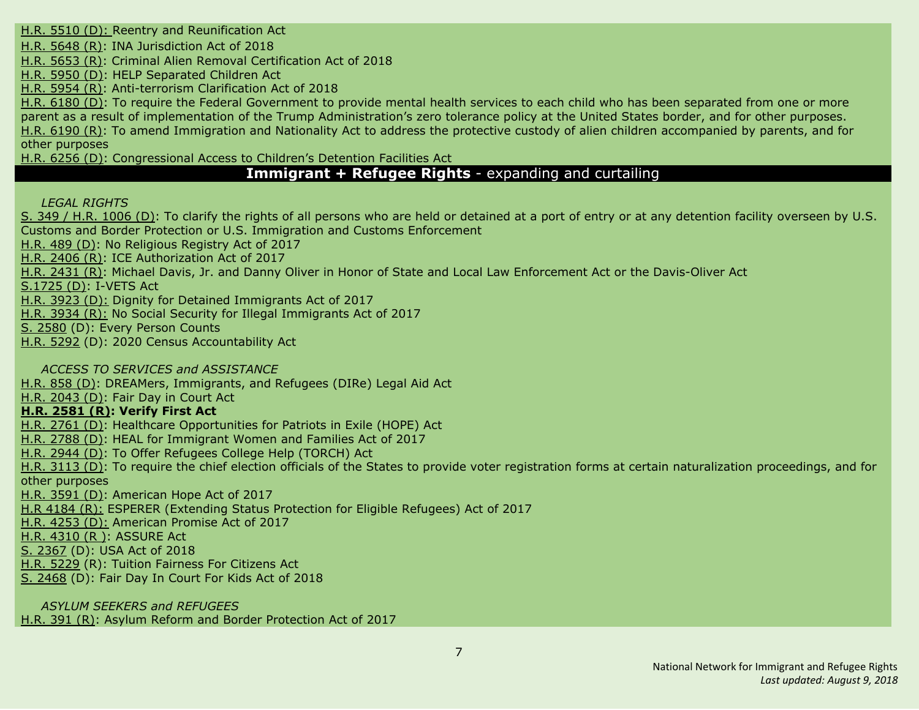H.R. [5510](#page-32-0) (D): Reentry and [Reunification](#page-32-0) Act

H.R. [5648](#page-32-5) (R): INA [Jurisdiction](#page-32-5) Act of 2018

H.R. [5653](#page-33-2) (R): Criminal Alien Removal [Certification](#page-33-2) Act of 2018

H.R. [5950](#page-33-0) (D): HELP [Separated](#page-33-0) Children Act

H.R. [5954](#page-34-0) (R): [Anti-terrorism](#page-34-0) Clarification Act of 2018

H.R. [6180](#page-35-3) (D): To require the Federal Government to provide mental health services to each child who has been separated from one or more parent as a result of implementation of the Trump Administration's zero tolerance policy at the United States border, and for other purposes. H.R. [6190](#page-35-6) (R): To amend Immigration and Nationality Act to address the protective custody of alien children accompanied by parents, and for other purposes

H.R. [6256](#page-35-4) (D): Congressional Access to Children's Detention Facilities Act

# **Immigrant + Refugee Rights** - expanding and curtailing

*LEGAL RIGHTS*

S. 349 / H.R. [1006](#page-14-3) (D): To clarify the rights of all persons who are held or detained at a port of entry or at any [detention](#page-14-3) facility overseen by U.S. Customs and Border Protection or U.S. Immigration and Customs [Enforcement](#page-14-3)

[H.R.](#page-11-2) 489 (D): No [Religious](#page-11-2) Registry Act of 2017

H.R. [2406](#page-18-0) (R): ICE [Authorization](#page-18-0) Act of 2017

H.R. [2431](#page-18-2) (R): Michael Davis, Jr. and Danny Oliver in Honor of State and Local Law [Enforcement](#page-18-2) Act or the Davis-Oliver Act

[S.1725](#page-39-4) (D): I-VETS Act

H.R. [3923](#page-25-5) (D): Dignity for Detained Immigrants Act of 2017

H.R. [3934](#page-25-2) (R): No Social Security for Illegal Immigrants Act of 2017

S. [2580](#page-43-3) (D): Every Person Counts

H.R. [5292](#page-31-5) (D): 2020 Census Accountability Act

*ACCESS TO SERVICES and ASSISTANCE*

[H.R.](#page-13-4) 858 (D): DREAMers, [Immigrants,](#page-13-4) and Refugees (DIRe) Legal Aid Ac[t](#page-13-4)

H.R. [2043](#page-16-2) (D): Fair Day in [Court](#page-16-2) Ac[t](#page-16-2)

# **H.R. [2581](#page-19-0) (R): Verify First Act**

H.R. [2761](#page-21-2) (D): Healthcare [Opportunities](#page-21-2) for Patriots in Exile (HOPE) Act

H.R. [2788](#page-21-3) (D): HEAL for [Immigrant](#page-21-3) Women and Families Act of 2017

H.R. [2944](#page-22-3) (D): To Offer [Refugees](#page-22-3) College Help (TORCH) Ac[t](#page-22-3)

H.R. [3113](#page-23-4) (D): To require the chief election officials of the States to provide voter registration forms at certain naturalization proceedings, and for other purposes

H.R. [3591](#page-24-4) (D): American Hope Act of 2017

H.R [4184](#page-26-1) (R): ESPERER (Extending Status Protection for Eligible Refugees) Act of 2017

H.R. [4253](#page-26-4) (D): American Promise Act of 2017

H.R. [4310](#page-27-0) (R ): ASSURE Act

S. [2367](#page-42-1) (D): USA Act of 2018

H.R. [5229](#page-31-6) (R): Tuition Fairness For Citizens Act

S. [2468](#page-43-2) (D): Fair Day In Court For Kids Act of 2018

*ASYLUM SEEKERS and REFUGEES* [H.R.](#page-10-3) 391 (R): Asylum Reform and Border [Protection](#page-10-3) Act of 2017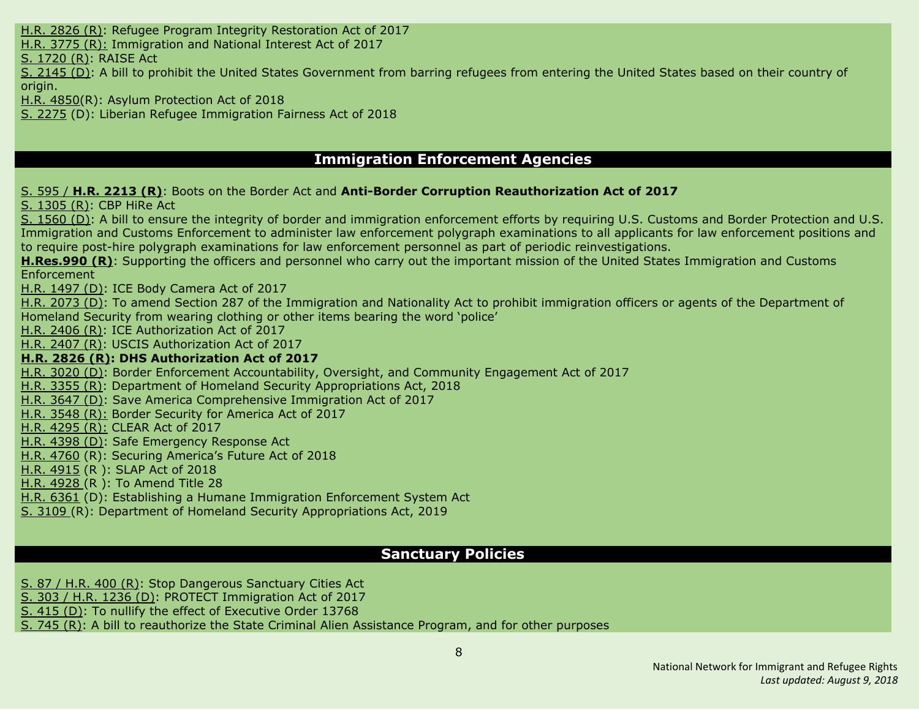H.R. [2826](#page-22-1) (R): Refugee Program Integrity [Restoration](#page-22-1) Act of 2017

H.R. [3775](#page-25-1) (R): Immigration and National Interest Act of 2017

S. [1720](#page-38-3) (R): RAISE Act

S. [2145](#page-40-5) (D): A bill to prohibit the United States Government from barring refugees from entering the United States based on their country of origin.

H.R. [4850\(](#page-29-0)R): Asylum Protection Act of 2018

S. [2275](#page-41-2) (D): Liberian Refugee Immigration Fairness Act of 2018

# **Immigration Enforcement Agencies**

S. [595](#page-17-3) / **H.R. [2213](#page-17-3) (R)**: Boots on the Border Act and **Anti-Border Corruption Reauthorization Act of 2017**

S. [1305](#page-38-1) (R): CBP [HiRe](#page-38-1) Ac[t](#page-38-1)

S. [1560](#page-38-4) (D): A bill to ensure the integrity of border and immigration [enforcement](#page-38-4) efforts by requiring U.S. Customs and Border Protection and U.S. Immigration and Customs Enforcement to administer law enforcement polygraph [examinations](#page-38-4) to all applicants for law enforcement positions and to require post-hire polygraph examinations for law enforcement personnel as part of periodic [reinvestigations.](#page-38-4)

**[H.Res.990](#page-14-0) (R)**: Supporting the officers and personnel who carry out the important mission of the United States Immigration and Customs Enforcement

H.R. [1497](#page-16-3) (D): ICE Body [Camera](#page-16-3) Act of 201[7](#page-16-3)

H.R. [2073](#page-17-4) (D): To amend Section 287 of the [Immigration](#page-17-4) and Nationality Act to prohibit immigration officers or agents of the Department of [Homeland](#page-17-4) Security from wearing clothing or other items bearing the word 'police'

H.R. [2406](#page-18-0) (R): ICE [Authorization](#page-18-0) Act of 2017

H.R. [2407](#page-18-1) (R): USCIS [Authorization](#page-18-1) Act of 201[7](#page-18-1)

#### **H.R. [2826](#page-22-1) (R): DHS [Authorization](#page-22-1) Act of 2017**

H.R. [3020](#page-22-4) (D): Border Enforcement [Accountability,](#page-22-4) Oversight, and Community Engagement Act of 2017

H.R. [3355](#page-24-0) (R): Department of Homeland Security [Appropriations](#page-24-0) Act, 2018

H.R. [3647](#page-25-3) (D): Save America Comprehensive Immigration Act of 2017

H.R. [3548](#page-24-1) (R): Border Security for America Act of 2017

H.R. [4295](#page-26-3) (R): CLEAR Act of 2017

H.R. [4398](#page-27-5) (D): Safe Emergency Response Act

H.R. [4760](#page-28-1) (R): Securing America's Future Act of 2018

H.R. [4915](#page-29-2) (R ): SLAP Act of 2018

H.R. [4928](#page-29-3) (R ): To Amend Title 28

H.R. [6361](#page-35-5) (D): Establishing a Humane Immigration Enforcement System Act

S. [3109](#page-44-1) (R): Department of Homeland Security Appropriations Act, 2019

# **Sanctuary Policies**

S. 87 / [H.R.](#page-11-0) 400 (R): Stop [Dangerous](#page-11-0) Sanctuary Cities Act

S. 303 / H.R. [1236](#page-15-3) (D): PROTECT [Immigration](#page-15-3) Act of 201[7](#page-15-3)

S. [415](#page-37-5) (D): To nullify the effect of [Executive](#page-37-5) Order 1376[8](#page-37-5)

S. [745](#page-37-0) (R): A bill to [reauthorize](#page-37-0) the State Criminal Alien Assistance Program, and for other purpose[s](#page-37-0)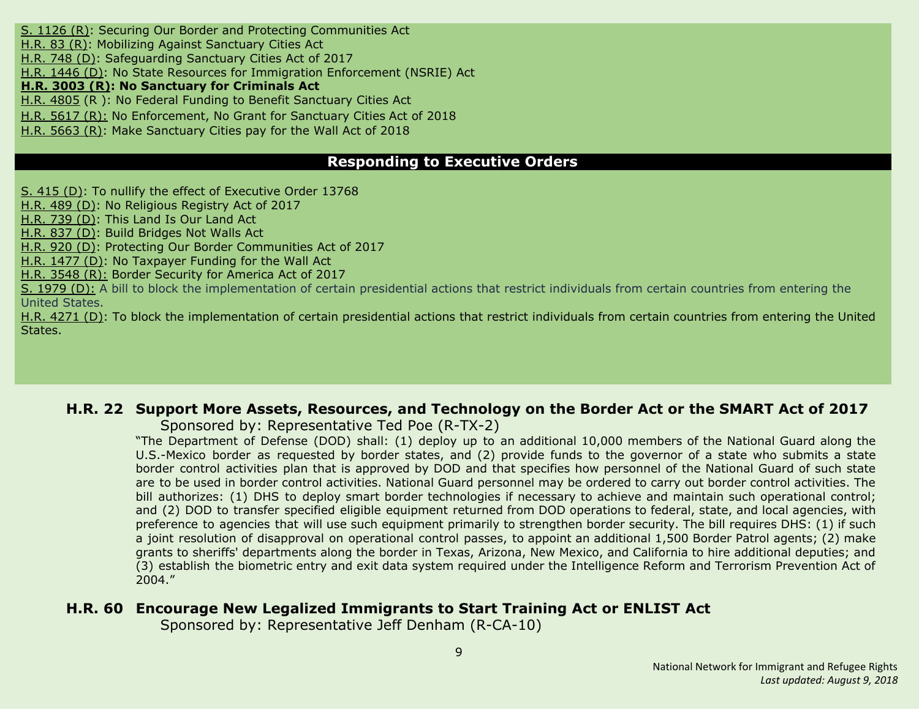S. [1126](#page-37-3) (R): Securing Our Border and Protecting [Communities](#page-37-3) Ac[t](#page-37-3) [H.R.](#page-9-0) 83 (R): Mobilizing Against [Sanctuary](#page-9-0) Cities Act [H.R.](#page-13-2) 748 (D): [Safeguarding](#page-13-2) Sanctuary Cities Act of 2017 H.R. [1446](#page-15-4) (D): No State Resources for Immigration [Enforcement](#page-15-4) (NSRIE) Act **H.R. [3003](#page-22-2) (R): No [Sanctuary](#page-22-2) for Criminals Act** H.R. [4805](#page-28-3) (R ): No Federal Funding to Benefit Sanctuary Cities Act H.R. [5617](#page-32-4) (R): No [Enforcement,](#page-32-4) No Grant for Sanctuary Cities Act of 2018 H.R. [5663](#page-33-1) (R): Make [Sanctuary](#page-33-1) Cities pay for the Wall Act of 2018

# **Responding to Executive Orders**

S. [415](#page-37-5) (D): To nullify the effect of [Executive](#page-37-5) Order 1376[8](#page-37-5)

[H.R.](#page-11-2) 489 (D): No [Religious](#page-11-2) Registry Act of 2017

[H.R.](#page-13-1) 739 (D): This [Land](#page-13-1) Is Our Land Ac[t](#page-13-1)

[H.R.](#page-13-3) 837 (D): Build [Bridges](#page-13-3) Not Walls Ac[t](#page-13-3)

[H.R.](#page-14-2) 920 (D): Protecting Our Border Communities Act of 2017

H.R. [1477](#page-16-1) (D): No [Taxpayer](#page-16-1) Funding for the Wall Act

H.R. [3548](#page-24-1) (R): Border Security for America Act of 2017

S. [1979](#page-40-3) (D): A bill to block the implementation of certain presidential actions that restrict individuals from certain countries from entering the United States.

H.R. [4271](#page-26-5) (D): To block the implementation of certain presidential actions that restrict individuals from certain countries from entering the United States.

# <span id="page-8-0"></span>**H.R. 22 Support More Assets, Resources, and Technology on the Border Act or the SMART Act of 2017**

Sponsored by: Representative Ted Poe (R-TX-2)

"The Department of Defense (DOD) shall: (1) deploy up to an additional 10,000 members of the National Guard along the U.S.-Mexico border as requested by border states, and (2) provide funds to the governor of a state who submits a state border control activities plan that is approved by DOD and that specifies how personnel of the National Guard of such state are to be used in border control activities. National Guard personnel may be ordered to carry out border control activities. The bill authorizes: (1) DHS to deploy smart border technologies if necessary to achieve and maintain such operational control; and (2) DOD to transfer specified eligible equipment returned from DOD operations to federal, state, and local agencies, with preference to agencies that will use such equipment primarily to strengthen border security. The bill requires DHS: (1) if such a joint resolution of disapproval on operational control passes, to appoint an additional 1,500 Border Patrol agents; (2) make grants to sheriffs' departments along the border in Texas, Arizona, New Mexico, and California to hire additional deputies; and (3) establish the biometric entry and exit data system required under the Intelligence Reform and Terrorism Prevention Act of 2004."

# <span id="page-8-1"></span>**H.R. 60 Encourage New Legalized Immigrants to Start Training Act or ENLIST Act**

Sponsored by: Representative Jeff Denham (R-CA-10)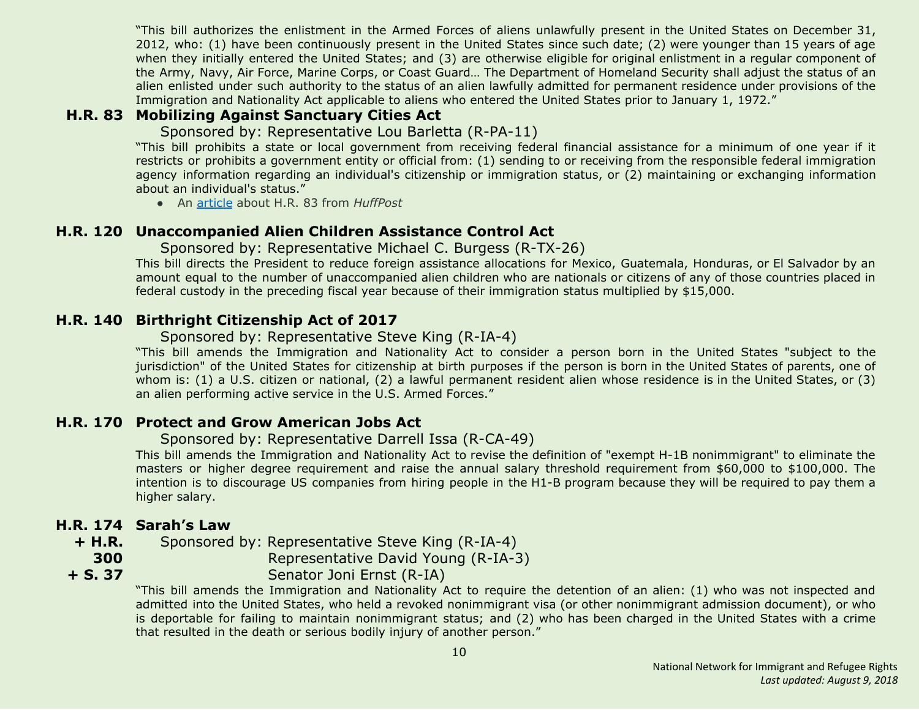"This bill authorizes the enlistment in the Armed Forces of aliens unlawfully present in the United States on December 31, 2012, who: (1) have been continuously present in the United States since such date; (2) were younger than 15 years of age when they initially entered the United States; and (3) are otherwise eligible for original enlistment in a regular component of the Army, Navy, Air Force, Marine Corps, or Coast Guard… The Department of Homeland Security shall adjust the status of an alien enlisted under such authority to the status of an alien lawfully admitted for permanent residence under provisions of the Immigration and Nationality Act applicable to aliens who entered the United States prior to January 1, 1972."

# <span id="page-9-0"></span>**H.R. 83 Mobilizing Against Sanctuary Cities Act**

Sponsored by: Representative Lou Barletta (R-PA-11)

"This bill prohibits a state or local government from receiving federal financial assistance for a minimum of one year if it restricts or prohibits a government entity or official from: (1) sending to or receiving from the responsible federal immigration agency information regarding an individual's citizenship or immigration status, or (2) maintaining or exchanging information about an individual's status."

● An [article](http://www.huffingtonpost.com/entry/gop-sanctuary-cities-funds_us_58730858e4b02b5f85898d46) about H.R. 83 from *HuffPost*

# <span id="page-9-1"></span>**H.R. 120 Unaccompanied Alien Children Assistance Control Act**

Sponsored by: Representative Michael C. Burgess (R-TX-26)

This bill directs the President to reduce foreign assistance allocations for Mexico, Guatemala, Honduras, or El Salvador by an amount equal to the number of unaccompanied alien children who are nationals or citizens of any of those countries placed in federal custody in the preceding fiscal year because of their immigration status multiplied by \$15,000.

# <span id="page-9-2"></span>**H.R. 140 Birthright Citizenship Act of 2017**

#### Sponsored by: Representative Steve King (R-IA-4)

"This bill amends the Immigration and Nationality Act to consider a person born in the United States "subject to the jurisdiction" of the United States for citizenship at birth purposes if the person is born in the United States of parents, one of whom is: (1) a U.S. citizen or national, (2) a lawful permanent resident alien whose residence is in the United States, or (3) an alien performing active service in the U.S. Armed Forces."

# <span id="page-9-3"></span>**H.R. 170 Protect and Grow American Jobs Act**

#### Sponsored by: Representative Darrell Issa (R-CA-49)

This bill amends the Immigration and Nationality Act to revise the definition of "exempt H-1B nonimmigrant" to eliminate the masters or higher degree requirement and raise the annual salary threshold requirement from \$60,000 to \$100,000. The intention is to discourage US companies from hiring people in the H1-B program because they will be required to pay them a higher salary.

# <span id="page-9-4"></span>**H.R. 174 Sarah's Law**

**300 + S. 37**

**+ H.R.** Sponsored by: Representative Steve King (R-IA-4)

Representative David Young (R-IA-3)

Senator Joni Ernst (R-IA)

"This bill amends the Immigration and Nationality Act to require the detention of an alien: (1) who was not inspected and admitted into the United States, who held a revoked nonimmigrant visa (or other nonimmigrant admission document), or who is deportable for failing to maintain nonimmigrant status; and (2) who has been charged in the United States with a crime that resulted in the death or serious bodily injury of another person."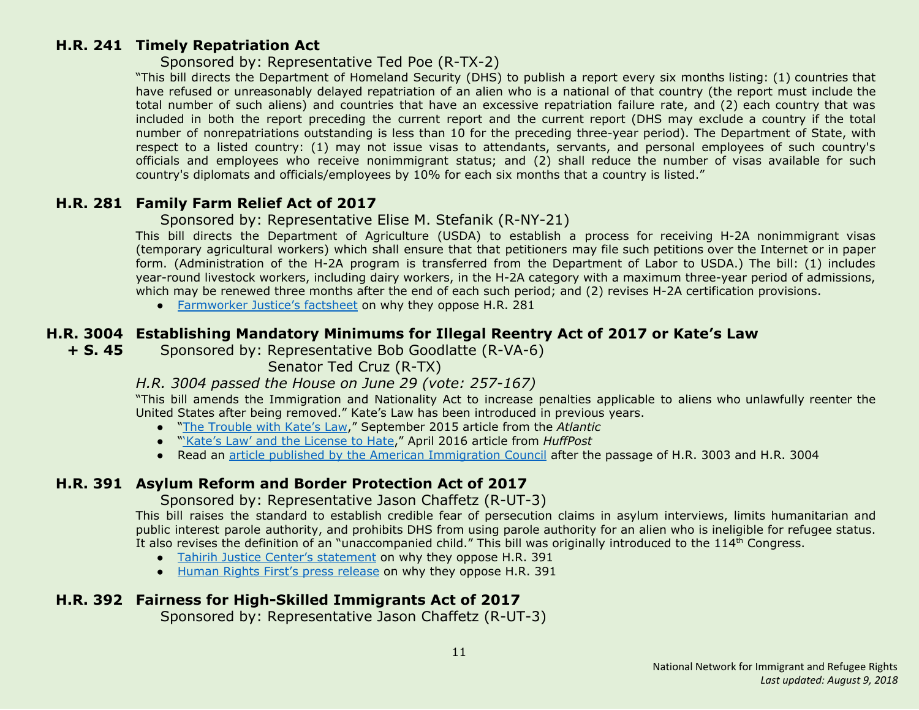#### <span id="page-10-0"></span>**H.R. 241 Timely Repatriation Act**

#### Sponsored by: Representative Ted Poe (R-TX-2)

"This bill directs the Department of Homeland Security (DHS) to publish a report every six months listing: (1) countries that have refused or unreasonably delayed repatriation of an alien who is a national of that country (the report must include the total number of such aliens) and countries that have an excessive repatriation failure rate, and (2) each country that was included in both the report preceding the current report and the current report (DHS may exclude a country if the total number of nonrepatriations outstanding is less than 10 for the preceding three-year period). The Department of State, with respect to a listed country: (1) may not issue visas to attendants, servants, and personal employees of such country's officials and employees who receive nonimmigrant status; and (2) shall reduce the number of visas available for such country's diplomats and officials/employees by 10% for each six months that a country is listed."

# <span id="page-10-1"></span>**H.R. 281 Family Farm Relief Act of 2017**

#### Sponsored by: Representative Elise M. Stefanik (R-NY-21)

This bill directs the Department of Agriculture (USDA) to establish a process for receiving H-2A nonimmigrant visas (temporary agricultural workers) which shall ensure that that petitioners may file such petitions over the Internet or in paper form. (Administration of the H-2A program is transferred from the Department of Labor to USDA.) The bill: (1) includes year-round livestock workers, including dairy workers, in the H-2A category with a maximum three-year period of admissions, which may be renewed three months after the end of each such period; and (2) revises H-2A certification provisions.

● [Farmworker](https://www.farmworkerjustice.org/sites/default/files/FactSheetHR281-Jan2017.pdf) Justice's factsheet on why they oppose H.R. 281

# <span id="page-10-2"></span>**H.R. 3004 Establishing Mandatory Minimums for Illegal Reentry Act of 2017 or Kate's Law**

**+ S. 45** Sponsored by: Representative Bob Goodlatte (R-VA-6)

Senator Ted Cruz (R-TX)

# *H.R. 3004 passed the House on June 29 (vote: 257-167)*

"This bill amends the Immigration and Nationality Act to increase penalties applicable to aliens who unlawfully reenter the United States after being removed." Kate's Law has been introduced in previous years.

- "The [Trouble](https://www.theatlantic.com/politics/archive/2015/09/kates-law-mandatory-sentencing/403990/) with Kate's Law," September 2015 article from the *Atlantic*
- "'Kate's Law' and the [License](http://www.huffingtonpost.com/samanta-honigman/kates-law-and-the-license_b_9789508.html) to Hate," April 2016 article from *HuffPost*
- Read an article published by the American [Immigration](http://immigrationimpact.com/2017/06/30/house-passes-anti-immigrant-bills/) Council after the passage of H.R. 3003 and H.R. 3004

# <span id="page-10-3"></span>**H.R. 391 Asylum Reform and Border Protection Act of 2017**

Sponsored by: Representative Jason Chaffetz (R-UT-3)

This bill raises the standard to establish credible fear of persecution claims in asylum interviews, limits humanitarian and public interest parole authority, and prohibits DHS from using parole authority for an alien who is ineligible for refugee status. It also revises the definition of an "unaccompanied child." This bill was originally introduced to the 114<sup>th</sup> Congress.

- Tahirih Justice Center's [statement](http://www.tahirih.org/wp-content/uploads/2017/02/TJC-Chaffetz-bill.pdf) on why they oppose H.R. 391
- Human Rights First's press [release](http://www.humanrightsfirst.org/press-release/house-should-reject-bills-undermine-us-protection-refugees) on why they oppose H.R. 391

# <span id="page-10-4"></span>**H.R. 392 Fairness for High-Skilled Immigrants Act of 2017**

Sponsored by: Representative Jason Chaffetz (R-UT-3)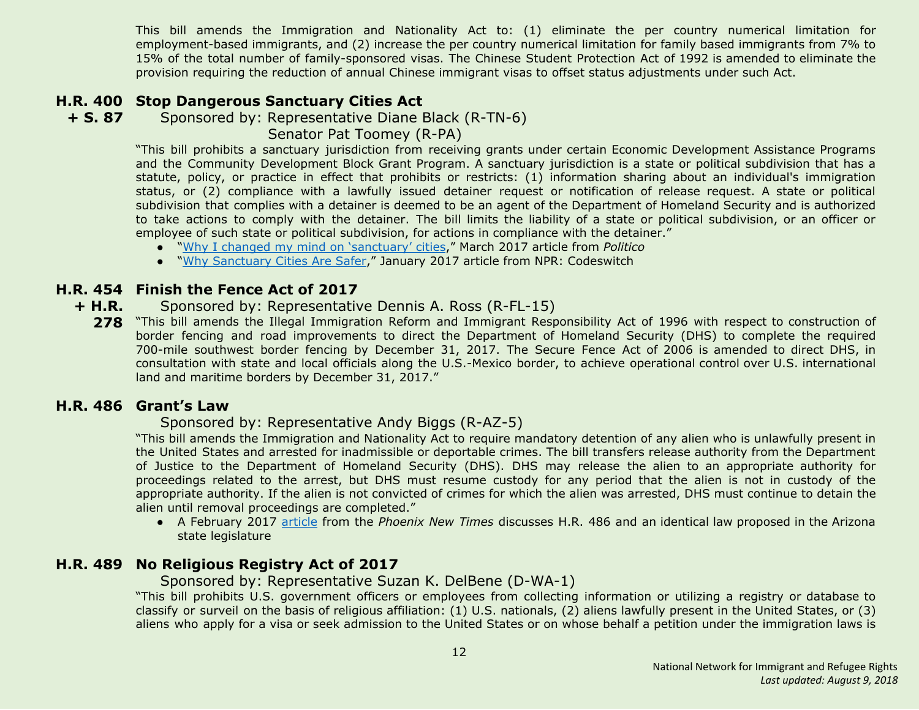This bill amends the Immigration and Nationality Act to: (1) eliminate the per country numerical limitation for employment-based immigrants, and (2) increase the per country numerical limitation for family based immigrants from 7% to 15% of the total number of family-sponsored visas. The Chinese Student Protection Act of 1992 is amended to eliminate the provision requiring the reduction of annual Chinese immigrant visas to offset status adjustments under such Act.

# <span id="page-11-0"></span>**H.R. 400 Stop Dangerous Sanctuary Cities Act**

**+ S. 87** Sponsored by: Representative Diane Black (R-TN-6)

Senator Pat Toomey (R-PA)

"This bill prohibits a sanctuary jurisdiction from receiving grants under certain Economic Development Assistance Programs and the Community Development Block Grant Program. A sanctuary jurisdiction is a state or political subdivision that has a statute, policy, or practice in effect that prohibits or restricts: (1) information sharing about an individual's immigration status, or (2) compliance with a lawfully issued detainer request or notification of release request. A state or political subdivision that complies with a detainer is deemed to be an agent of the Department of Homeland Security and is authorized to take actions to comply with the detainer. The bill limits the liability of a state or political subdivision, or an officer or employee of such state or political subdivision, for actions in compliance with the detainer."

- "Why I changed my mind on ['sanctuary'](http://www.politico.com/agenda/story/2017/03/changed-position-sanctuary-cities-trump-000386) cities," March 2017 article from *Politico*
- "Why [Sanctuary](http://www.npr.org/sections/codeswitch/2017/01/29/512002076/why-sanctuary-cities-are-safer) Cities Are Safer," January 2017 article from NPR: Codeswitch

# <span id="page-11-3"></span>**H.R. 454 Finish the Fence Act of 2017**

- **+ H.R.** Sponsored by: Representative Dennis A. Ross (R-FL-15)
	- **278** "This bill amends the Illegal Immigration Reform and Immigrant Responsibility Act of 1996 with respect to construction of border fencing and road improvements to direct the Department of Homeland Security (DHS) to complete the required 700-mile southwest border fencing by December 31, 2017. The Secure Fence Act of 2006 is amended to direct DHS, in consultation with state and local officials along the U.S.-Mexico border, to achieve operational control over U.S. international land and maritime borders by December 31, 2017."

# <span id="page-11-1"></span>**H.R. 486 Grant's Law**

# Sponsored by: Representative Andy Biggs (R-AZ-5)

"This bill amends the Immigration and Nationality Act to require mandatory detention of any alien who is unlawfully present in the United States and arrested for inadmissible or deportable crimes. The bill transfers release authority from the Department of Justice to the Department of Homeland Security (DHS). DHS may release the alien to an appropriate authority for proceedings related to the arrest, but DHS must resume custody for any period that the alien is not in custody of the appropriate authority. If the alien is not convicted of crimes for which the alien was arrested, DHS must continue to detain the alien until removal proceedings are completed."

● A February 2017 [article](http://www.phoenixnewtimes.com/content/printView/9061789) from the *Phoenix New Times* discusses H.R. 486 and an identical law proposed in the Arizona state legislature

# <span id="page-11-2"></span>**H.R. 489 No Religious Registry Act of 2017**

Sponsored by: Representative Suzan K. DelBene (D-WA-1)

"This bill prohibits U.S. government officers or employees from collecting information or utilizing a registry or database to classify or surveil on the basis of religious affiliation: (1) U.S. nationals, (2) aliens lawfully present in the United States, or (3) aliens who apply for a visa or seek admission to the United States or on whose behalf a petition under the immigration laws is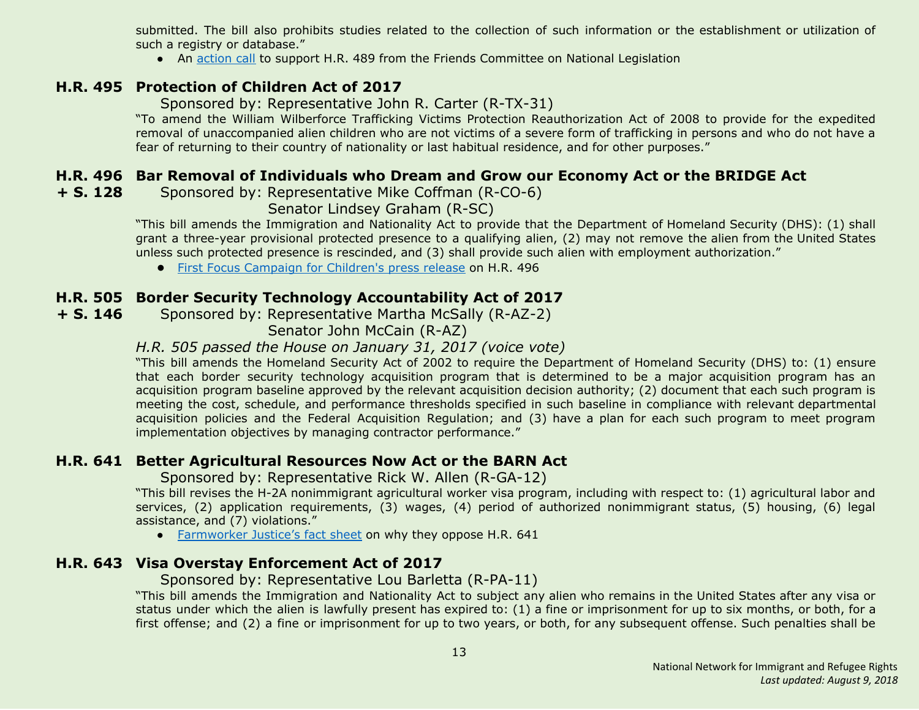submitted. The bill also prohibits studies related to the collection of such information or the establishment or utilization of such a registry or database."

• An [action](https://www.fcnl.org/updates/oppose-the-creation-of-a-religious-registry-472) call to support H.R. 489 from the Friends Committee on National Legislation

# <span id="page-12-0"></span>**H.R. 495 Protection of Children Act of 2017**

Sponsored by: Representative John R. Carter (R-TX-31)

"To amend the William Wilberforce Trafficking Victims Protection Reauthorization Act of 2008 to provide for the expedited removal of unaccompanied alien children who are not victims of a severe form of trafficking in persons and who do not have a fear of returning to their country of nationality or last habitual residence, and for other purposes."

# <span id="page-12-1"></span>**H.R. 496 Bar Removal of Individuals who Dream and Grow our Economy Act or the BRIDGE Act**

<span id="page-12-5"></span>**+ S. 128** Sponsored by: Representative Mike Coffman (R-CO-6)

Senator Lindsey Graham (R-SC)

"This bill amends the Immigration and Nationality Act to provide that the Department of Homeland Security (DHS): (1) shall grant a three-year provisional protected presence to a qualifying alien, (2) may not remove the alien from the United States unless such protected presence is rescinded, and (3) shall provide such alien with employment authorization."

**●** First Focus [Campaign](https://campaignforchildren.org/news/press-release/senate-reintroduces-bipartisan-bridge-act-to-protect-immigrant-youth/) for Children's press release on H.R. 496

# <span id="page-12-2"></span>**H.R. 505 Border Security Technology Accountability Act of 2017**

**+ S. 146** Sponsored by: Representative Martha McSally (R-AZ-2)

Senator John McCain (R-AZ)

# *H.R. 505 passed the House on January 31, 2017 (voice vote)*

"This bill amends the Homeland Security Act of 2002 to require the Department of Homeland Security (DHS) to: (1) ensure that each border security technology acquisition program that is determined to be a major acquisition program has an acquisition program baseline approved by the relevant acquisition decision authority; (2) document that each such program is meeting the cost, schedule, and performance thresholds specified in such baseline in compliance with relevant departmental acquisition policies and the Federal Acquisition Regulation; and (3) have a plan for each such program to meet program implementation objectives by managing contractor performance."

# <span id="page-12-3"></span>**H.R. 641 Better Agricultural Resources Now Act or the BARN Act**

Sponsored by: Representative Rick W. Allen (R-GA-12)

"This bill revises the H-2A nonimmigrant agricultural worker visa program, including with respect to: (1) agricultural labor and services, (2) application requirements, (3) wages, (4) period of authorized nonimmigrant status, (5) housing, (6) legal assistance, and (7) violations."

● [Farmworker](https://www.farmworkerjustice.org/sites/default/files/FJ-BARN%20ActSummary6-12-15.pdf) Justice's fact sheet on why they oppose H.R. 641

# <span id="page-12-4"></span>**H.R. 643 Visa Overstay Enforcement Act of 2017**

Sponsored by: Representative Lou Barletta (R-PA-11)

"This bill amends the Immigration and Nationality Act to subject any alien who remains in the United States after any visa or status under which the alien is lawfully present has expired to: (1) a fine or imprisonment for up to six months, or both, for a first offense; and (2) a fine or imprisonment for up to two years, or both, for any subsequent offense. Such penalties shall be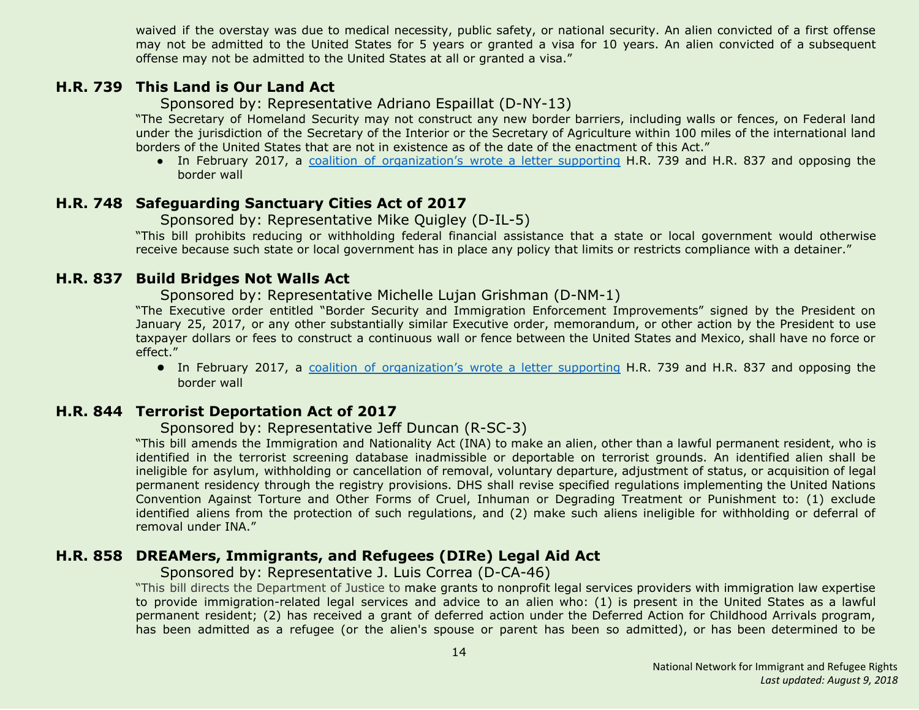waived if the overstay was due to medical necessity, public safety, or national security. An alien convicted of a first offense may not be admitted to the United States for 5 years or granted a visa for 10 years. An alien convicted of a subsequent offense may not be admitted to the United States at all or granted a visa."

#### <span id="page-13-1"></span>**H.R. 739 This Land is Our Land Act**

Sponsored by: Representative Adriano Espaillat (D-NY-13)

"The Secretary of Homeland Security may not construct any new border barriers, including walls or fences, on Federal land under the jurisdiction of the Secretary of the Interior or the Secretary of Agriculture within 100 miles of the international land borders of the United States that are not in existence as of the date of the enactment of this Act."

• In February 2017, a coalition of [organization's](https://www.aclu.org/sites/default/files/field_document/2017-02-27_coalition_letter_border_wall_hr_837_hr_739.pdf) wrote a letter supporting H.R. 739 and H.R. 837 and opposing the border wall

#### <span id="page-13-2"></span>**H.R. 748 Safeguarding Sanctuary Cities Act of 2017**

#### Sponsored by: Representative Mike Quigley (D-IL-5)

"This bill prohibits reducing or withholding federal financial assistance that a state or local government would otherwise receive because such state or local government has in place any policy that limits or restricts compliance with a detainer."

#### <span id="page-13-3"></span>**H.R. 837 Build Bridges Not Walls Act**

Sponsored by: Representative Michelle Lujan Grishman (D-NM-1)

"The Executive order entitled "Border Security and Immigration Enforcement Improvements" signed by the President on January 25, 2017, or any other substantially similar Executive order, memorandum, or other action by the President to use taxpayer dollars or fees to construct a continuous wall or fence between the United States and Mexico, shall have no force or effect."

**●** In February 2017, a coalition of [organization's](https://www.aclu.org/sites/default/files/field_document/2017-02-27_coalition_letter_border_wall_hr_837_hr_739.pdf) wrote a letter supporting H.R. 739 and H.R. 837 and opposing the border wall

# <span id="page-13-0"></span>**H.R. 844 Terrorist Deportation Act of 2017**

#### Sponsored by: Representative Jeff Duncan (R-SC-3)

"This bill amends the Immigration and Nationality Act (INA) to make an alien, other than a lawful permanent resident, who is identified in the terrorist screening database inadmissible or deportable on terrorist grounds. An identified alien shall be ineligible for asylum, withholding or cancellation of removal, voluntary departure, adjustment of status, or acquisition of legal permanent residency through the registry provisions. DHS shall revise specified regulations implementing the United Nations Convention Against Torture and Other Forms of Cruel, Inhuman or Degrading Treatment or Punishment to: (1) exclude identified aliens from the protection of such regulations, and (2) make such aliens ineligible for withholding or deferral of removal under INA."

# <span id="page-13-4"></span>**H.R. 858 DREAMers, Immigrants, and Refugees (DIRe) Legal Aid Act**

Sponsored by: Representative J. Luis Correa (D-CA-46)

"This bill directs the Department of Justice to make grants to nonprofit legal services providers with immigration law expertise to provide immigration-related legal services and advice to an alien who: (1) is present in the United States as a lawful permanent resident; (2) has received a grant of deferred action under the Deferred Action for Childhood Arrivals program, has been admitted as a refugee (or the alien's spouse or parent has been so admitted), or has been determined to be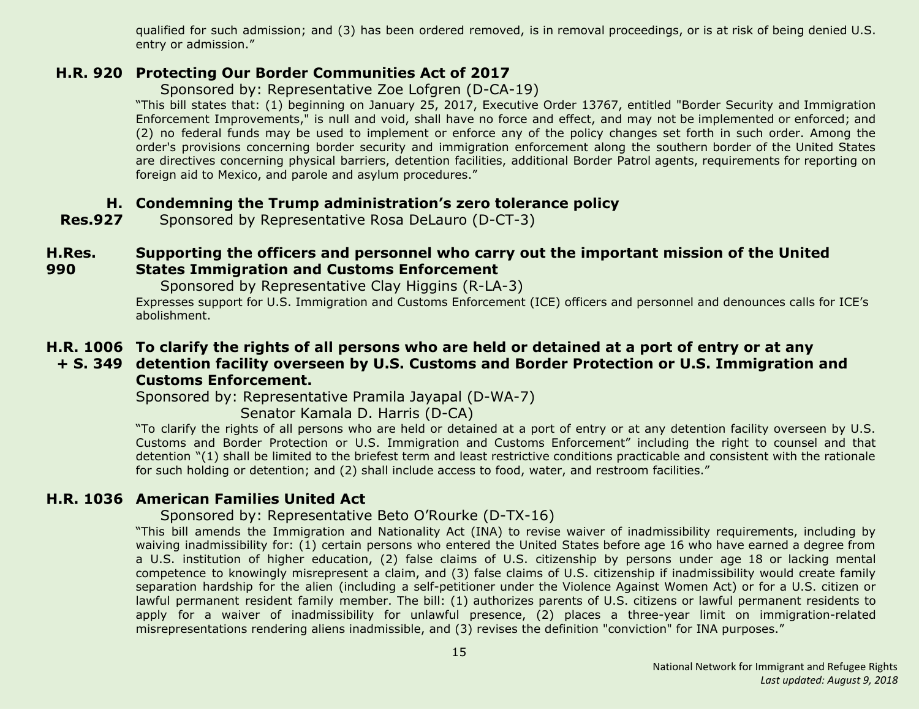qualified for such admission; and (3) has been ordered removed, is in removal proceedings, or is at risk of being denied U.S. entry or admission."

### <span id="page-14-2"></span>**H.R. 920 Protecting Our Border Communities Act of 2017**

Sponsored by: Representative Zoe Lofgren (D-CA-19)

"This bill states that: (1) beginning on January 25, 2017, Executive Order 13767, entitled "Border Security and Immigration Enforcement Improvements," is null and void, shall have no force and effect, and may not be implemented or enforced; and (2) no federal funds may be used to implement or enforce any of the policy changes set forth in such order. Among the order's provisions concerning border security and immigration enforcement along the southern border of the United States are directives concerning physical barriers, detention facilities, additional Border Patrol agents, requirements for reporting on foreign aid to Mexico, and parole and asylum procedures."

# <span id="page-14-1"></span>**H. Condemning the Trump administration's zero tolerance policy**

**Res.927** Sponsored by Representative Rosa DeLauro (D-CT-3)

#### <span id="page-14-0"></span>**H.Res. 990 Supporting the officers and personnel who carry out the important mission of the United States Immigration and Customs Enforcement**

Sponsored by Representative Clay Higgins (R-LA-3)

Expresses support for U.S. Immigration and Customs Enforcement (ICE) officers and personnel and denounces calls for ICE's abolishment.

# <span id="page-14-3"></span>**H.R. 1006 To clarify the rights of all persons who are held or detained at a port of entry or at any**

# **+ S. 349 detention facility overseen by U.S. Customs and Border Protection or U.S. Immigration and Customs Enforcement.**

Sponsored by: Representative Pramila Jayapal (D-WA-7)

Senator Kamala D. Harris (D-CA)

"To clarify the rights of all persons who are held or detained at a port of entry or at any detention facility overseen by U.S. Customs and Border Protection or U.S. Immigration and Customs Enforcement" including the right to counsel and that detention "(1) shall be limited to the briefest term and least restrictive conditions practicable and consistent with the rationale for such holding or detention; and (2) shall include access to food, water, and restroom facilities."

# <span id="page-14-4"></span>**H.R. 1036 American Families United Act**

# Sponsored by: Representative Beto O'Rourke (D-TX-16)

"This bill amends the Immigration and Nationality Act (INA) to revise waiver of inadmissibility requirements, including by waiving inadmissibility for: (1) certain persons who entered the United States before age 16 who have earned a degree from a U.S. institution of higher education, (2) false claims of U.S. citizenship by persons under age 18 or lacking mental competence to knowingly misrepresent a claim, and (3) false claims of U.S. citizenship if inadmissibility would create family separation hardship for the alien (including a self-petitioner under the Violence Against Women Act) or for a U.S. citizen or lawful permanent resident family member. The bill: (1) authorizes parents of U.S. citizens or lawful permanent residents to apply for a waiver of inadmissibility for unlawful presence, (2) places a three-year limit on immigration-related misrepresentations rendering aliens inadmissible, and (3) revises the definition "conviction" for INA purposes."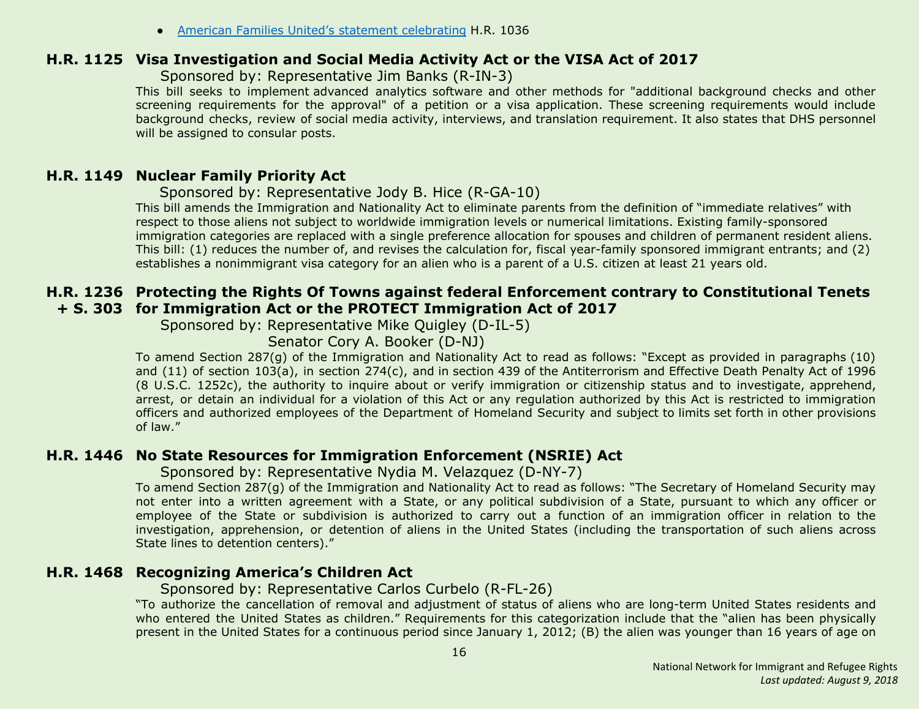● American Families United's statement [celebrating](http://www.americanfamiliesunited.org/i601) H.R. 1036

#### <span id="page-15-0"></span>**H.R. 1125 Visa Investigation and Social Media Activity Act or the VISA Act of 2017**

Sponsored by: Representative Jim Banks (R-IN-3)

This bill seeks to implement advanced analytics software and other methods for "additional background checks and other screening requirements for the approval" of a petition or a visa application. These screening requirements would include background checks, review of social media activity, interviews, and translation requirement. It also states that DHS personnel will be assigned to consular posts.

# <span id="page-15-1"></span>**H.R. 1149 Nuclear Family Priority Act**

Sponsored by: Representative Jody B. Hice (R-GA-10)

This bill amends the Immigration and Nationality Act to eliminate parents from the definition of "immediate relatives" with respect to those aliens not subject to worldwide immigration levels or numerical limitations. Existing family-sponsored immigration categories are replaced with a single preference allocation for spouses and children of permanent resident aliens. This bill: (1) reduces the number of, and revises the calculation for, fiscal year-family sponsored immigrant entrants; and (2) establishes a nonimmigrant visa category for an alien who is a parent of a U.S. citizen at least 21 years old.

# <span id="page-15-3"></span>**H.R. 1236 Protecting the Rights Of Towns against federal Enforcement contrary to Constitutional Tenets + S. 303 for Immigration Act or the PROTECT Immigration Act of 2017**

Sponsored by: Representative Mike Quigley (D-IL-5)

Senator Cory A. Booker (D-NJ)

To amend Section 287(g) of the Immigration and Nationality Act to read as follows: "Except as provided in paragraphs (10) and (11) of section 103(a), in section 274(c), and in section 439 of the Antiterrorism and Effective Death Penalty Act of 1996 (8 U.S.C. 1252c), the authority to inquire about or verify immigration or citizenship status and to investigate, apprehend, arrest, or detain an individual for a violation of this Act or any regulation authorized by this Act is restricted to immigration officers and authorized employees of the Department of Homeland Security and subject to limits set forth in other provisions of law."

# <span id="page-15-4"></span>**H.R. 1446 No State Resources for Immigration Enforcement (NSRIE) Act**

Sponsored by: Representative Nydia M. Velazquez (D-NY-7)

To amend Section 287(g) of the Immigration and Nationality Act to read as follows: "The Secretary of Homeland Security may not enter into a written agreement with a State, or any political subdivision of a State, pursuant to which any officer or employee of the State or subdivision is authorized to carry out a function of an immigration officer in relation to the investigation, apprehension, or detention of aliens in the United States (including the transportation of such aliens across State lines to detention centers)."

# <span id="page-15-2"></span>**H.R. 1468 Recognizing America's Children Act**

#### Sponsored by: Representative Carlos Curbelo (R-FL-26)

"To authorize the cancellation of removal and adjustment of status of aliens who are long-term United States residents and who entered the United States as children." Requirements for this categorization include that the "alien has been physically present in the United States for a continuous period since January 1, 2012; (B) the alien was younger than 16 years of age on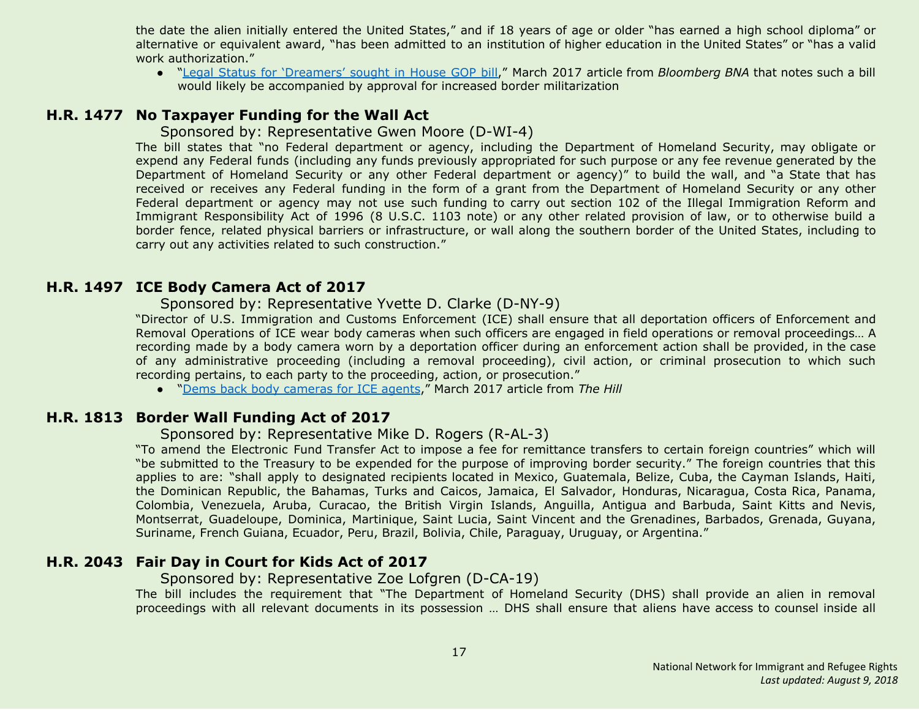the date the alien initially entered the United States," and if 18 years of age or older "has earned a high school diploma" or alternative or equivalent award, "has been admitted to an institution of higher education in the United States" or "has a valid work authorization."

● "Legal Status for ['Dreamers'](https://www.bna.com/legal-status-dreamers-n57982085106) sought in House GOP bill," March 2017 article from *Bloomberg BNA* that notes such a bill would likely be accompanied by approval for increased border militarization

# <span id="page-16-1"></span>**H.R. 1477 No Taxpayer Funding for the Wall Act**

#### Sponsored by: Representative Gwen Moore (D-WI-4)

The bill states that "no Federal department or agency, including the Department of Homeland Security, may obligate or expend any Federal funds (including any funds previously appropriated for such purpose or any fee revenue generated by the Department of Homeland Security or any other Federal department or agency)" to build the wall, and "a State that has received or receives any Federal funding in the form of a grant from the Department of Homeland Security or any other Federal department or agency may not use such funding to carry out section 102 of the Illegal Immigration Reform and Immigrant Responsibility Act of 1996 (8 U.S.C. 1103 note) or any other related provision of law, or to otherwise build a border fence, related physical barriers or infrastructure, or wall along the southern border of the United States, including to carry out any activities related to such construction."

#### <span id="page-16-3"></span>**H.R. 1497 ICE Body Camera Act of 2017**

#### Sponsored by: Representative Yvette D. Clarke (D-NY-9)

"Director of U.S. Immigration and Customs Enforcement (ICE) shall ensure that all deportation officers of Enforcement and Removal Operations of ICE wear body cameras when such officers are engaged in field operations or removal proceedings… A recording made by a body camera worn by a deportation officer during an enforcement action shall be provided, in the case of any administrative proceeding (including a removal proceeding), civil action, or criminal prosecution to which such recording pertains, to each party to the proceeding, action, or prosecution."

● "Dems back body [cameras](http://thehill.com/latino/323676-dems-back-body-cameras-for-ice-agents) for ICE agents," March 2017 article from *The Hill*

# <span id="page-16-0"></span>**H.R. 1813 Border Wall Funding Act of 2017**

#### Sponsored by: Representative Mike D. Rogers (R-AL-3)

"To amend the Electronic Fund Transfer Act to impose a fee for remittance transfers to certain foreign countries" which will "be submitted to the Treasury to be expended for the purpose of improving border security." The foreign countries that this applies to are: "shall apply to designated recipients located in Mexico, Guatemala, Belize, Cuba, the Cayman Islands, Haiti, the Dominican Republic, the Bahamas, Turks and Caicos, Jamaica, El Salvador, Honduras, Nicaragua, Costa Rica, Panama, Colombia, Venezuela, Aruba, Curacao, the British Virgin Islands, Anguilla, Antigua and Barbuda, Saint Kitts and Nevis, Montserrat, Guadeloupe, Dominica, Martinique, Saint Lucia, Saint Vincent and the Grenadines, Barbados, Grenada, Guyana, Suriname, French Guiana, Ecuador, Peru, Brazil, Bolivia, Chile, Paraguay, Uruguay, or Argentina."

# <span id="page-16-2"></span>**H.R. 2043 Fair Day in Court for Kids Act of 2017**

#### Sponsored by: Representative Zoe Lofgren (D-CA-19)

The bill includes the requirement that "The Department of Homeland Security (DHS) shall provide an alien in removal proceedings with all relevant documents in its possession … DHS shall ensure that aliens have access to counsel inside all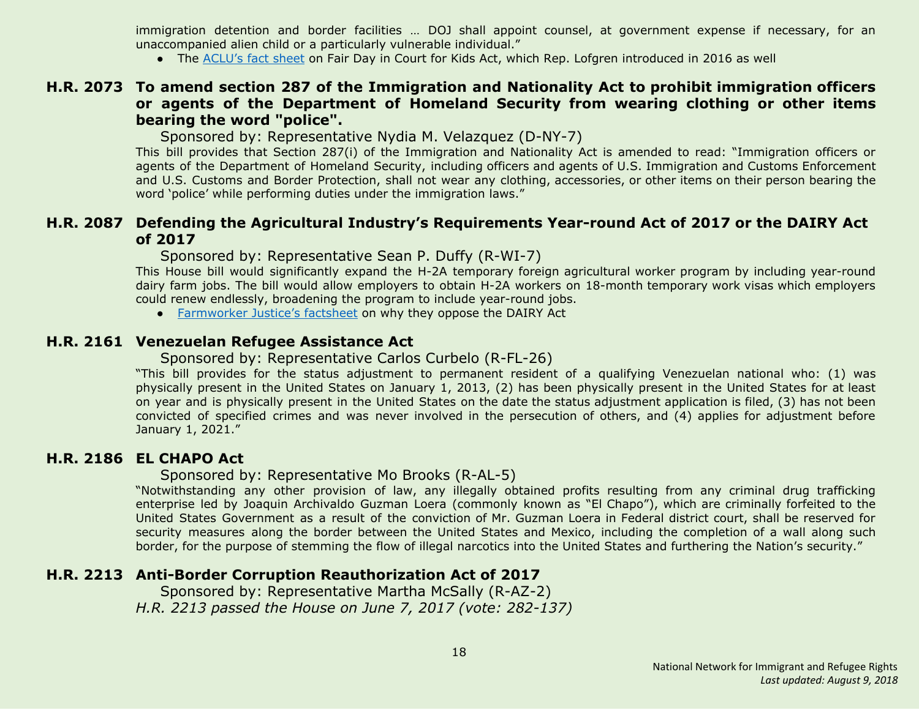immigration detention and border facilities … DOJ shall appoint counsel, at government expense if necessary, for an unaccompanied alien child or a particularly vulnerable individual."

● The [ACLU's](https://www.aclu.org/fact-sheet/fair-day-court-kids-act-factsheet) fact sheet on Fair Day in Court for Kids Act, which Rep. Lofgren introduced in 2016 as well

#### <span id="page-17-4"></span>**H.R. 2073 To amend section 287 of the Immigration and Nationality Act to prohibit immigration officers or agents of the Department of Homeland Security from wearing clothing or other items bearing the word "police".**

Sponsored by: Representative Nydia M. Velazquez (D-NY-7)

This bill provides that Section 287(i) of the Immigration and Nationality Act is amended to read: "Immigration officers or agents of the Department of Homeland Security, including officers and agents of U.S. Immigration and Customs Enforcement and U.S. Customs and Border Protection, shall not wear any clothing, accessories, or other items on their person bearing the word 'police' while performing duties under the immigration laws."

# <span id="page-17-0"></span>**H.R. 2087 Defending the Agricultural Industry's Requirements Year-round Act of 2017 or the DAIRY Act of 2017**

Sponsored by: Representative Sean P. Duffy (R-WI-7)

This House bill would significantly expand the H-2A temporary foreign agricultural worker program by including year-round dairy farm jobs. The bill would allow employers to obtain H-2A workers on 18-month temporary work visas which employers could renew endlessly, broadening the program to include year-round jobs.

● [Farmworker](https://www.farmworkerjustice.org/sites/default/files/Dairy%20Act.pdf) Justice's factsheet on why they oppose the DAIRY Act

#### <span id="page-17-1"></span>**H.R. 2161 Venezuelan Refugee Assistance Act**

#### Sponsored by: Representative Carlos Curbelo (R-FL-26)

"This bill provides for the status adjustment to permanent resident of a qualifying Venezuelan national who: (1) was physically present in the United States on January 1, 2013, (2) has been physically present in the United States for at least on year and is physically present in the United States on the date the status adjustment application is filed, (3) has not been convicted of specified crimes and was never involved in the persecution of others, and (4) applies for adjustment before January 1, 2021."

# <span id="page-17-2"></span>**H.R. 2186 EL CHAPO Act**

#### Sponsored by: Representative Mo Brooks (R-AL-5)

"Notwithstanding any other provision of law, any illegally obtained profits resulting from any criminal drug trafficking enterprise led by Joaquin Archivaldo Guzman Loera (commonly known as "El Chapo"), which are criminally forfeited to the United States Government as a result of the conviction of Mr. Guzman Loera in Federal district court, shall be reserved for security measures along the border between the United States and Mexico, including the completion of a wall along such border, for the purpose of stemming the flow of illegal narcotics into the United States and furthering the Nation's security."

# <span id="page-17-3"></span>**H.R. 2213 Anti-Border Corruption Reauthorization Act of 2017**

 Sponsored by: Representative Martha McSally (R-AZ-2) *H.R. 2213 passed the House on June 7, 2017 (vote: 282-137)*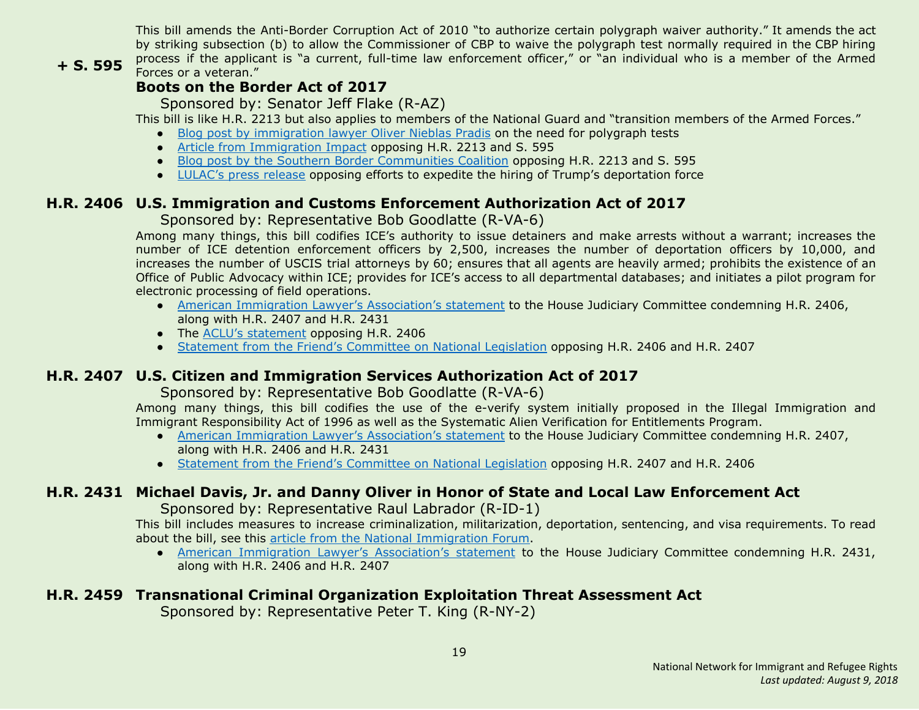This bill amends the Anti-Border Corruption Act of 2010 "to authorize certain polygraph waiver authority." It amends the act by striking subsection (b) to allow the Commissioner of CBP to waive the polygraph test normally required in the CBP hiring process if the applicant is "a current, full-time law enforcement officer," or "an individual who is a member of the Armed Forces or a veteran."

# **+ S. 595**

# **Boots on the Border Act of 2017**

Sponsored by: Senator Jeff Flake (R-AZ)

This bill is like H.R. 2213 but also applies to members of the National Guard and "transition members of the Armed Forces."

- Blog post by [immigration](http://www.thinkimmigration.org/2017/06/01/dangerous-exceptions/) lawyer Oliver Nieblas Pradis on the need for polygraph tests
- Article from [Immigration](http://immigrationimpact.com/2017/05/17/eliminating-polygraph-test-corruption-border-agencies/) Impact opposing H.R. 2213 and S. 595
- Blog post by the Southern Border [Communities](http://www.southernborder.org/stop_congress_from_watering_down_cbp_hiring_requirements) Coalition opposing H.R. 2213 and S. 595
- [LULAC's](http://lulac.org/news/pr/Opposition-Trump_attempts_deportation_force/) press release opposing efforts to expedite the hiring of Trump's deportation force

# <span id="page-18-0"></span>**H.R. 2406 U.S. Immigration and Customs Enforcement Authorization Act of 2017**

# Sponsored by: Representative Bob Goodlatte (R-VA-6)

Among many things, this bill codifies ICE's authority to issue detainers and make arrests without a warrant; increases the number of ICE detention enforcement officers by 2,500, increases the number of deportation officers by 10,000, and increases the number of USCIS trial attorneys by 60; ensures that all agents are heavily armed; prohibits the existence of an Office of Public Advocacy within ICE; provides for ICE's access to all departmental databases; and initiates a pilot program for electronic processing of field operations.

- American Immigration Lawyer's [Association's](http://www.aila.org/advo-media/aila-correspondence/2017/aila-statement-to-house-judiciary-committee) statement to the House Judiciary Committee condemning H.R. 2406, along with H.R. 2407 and H.R. 2431
- The ACLU's [statement](https://www.aclu.org/letter/aclu-opposes-hr-2406-immigration-and-customs-enforcement-ice-authorization-act) opposing H.R. 2406
- Statement from the Friend's [Committee](https://www.fcnl.org/updates/fcnl-opposes-two-enforcement-only-immigration-bills-825) on National Legislation opposing H.R. 2406 and H.R. 2407

# <span id="page-18-1"></span>**H.R. 2407 U.S. Citizen and Immigration Services Authorization Act of 2017**

# Sponsored by: Representative Bob Goodlatte (R-VA-6)

Among many things, this bill codifies the use of the e-verify system initially proposed in the Illegal Immigration and Immigrant Responsibility Act of 1996 as well as the Systematic Alien Verification for Entitlements Program.

- **●** American Immigration Lawyer's [Association's](http://www.aila.org/advo-media/aila-correspondence/2017/aila-statement-to-house-judiciary-committee) statement to the House Judiciary Committee condemning H.R. 2407, along with H.R. 2406 and H.R. 2431
- **●** Statement from the Friend's [Committee](https://www.fcnl.org/updates/fcnl-opposes-two-enforcement-only-immigration-bills-825) on National Legislation opposing H.R. 2407 and H.R. 2406

# <span id="page-18-2"></span>**H.R. 2431 Michael Davis, Jr. and Danny Oliver in Honor of State and Local Law Enforcement Act**

Sponsored by: Representative Raul Labrador (R-ID-1)

This bill includes measures to increase criminalization, militarization, deportation, sentencing, and visa requirements. To read about the bill, see this article from the National [Immigration](http://immigrationforum.org/blog/house-considering-bill-increasing-immigration-enforcement-h-r-2431/) Forum.

● American Immigration Lawyer's [Association's](http://www.aila.org/advo-media/aila-correspondence/2017/aila-statement-to-house-judiciary-committee) statement to the House Judiciary Committee condemning H.R. 2431, along with H.R. 2406 and H.R. 2407

# <span id="page-18-3"></span>**H.R. 2459 Transnational Criminal Organization Exploitation Threat Assessment Act**

Sponsored by: Representative Peter T. King (R-NY-2)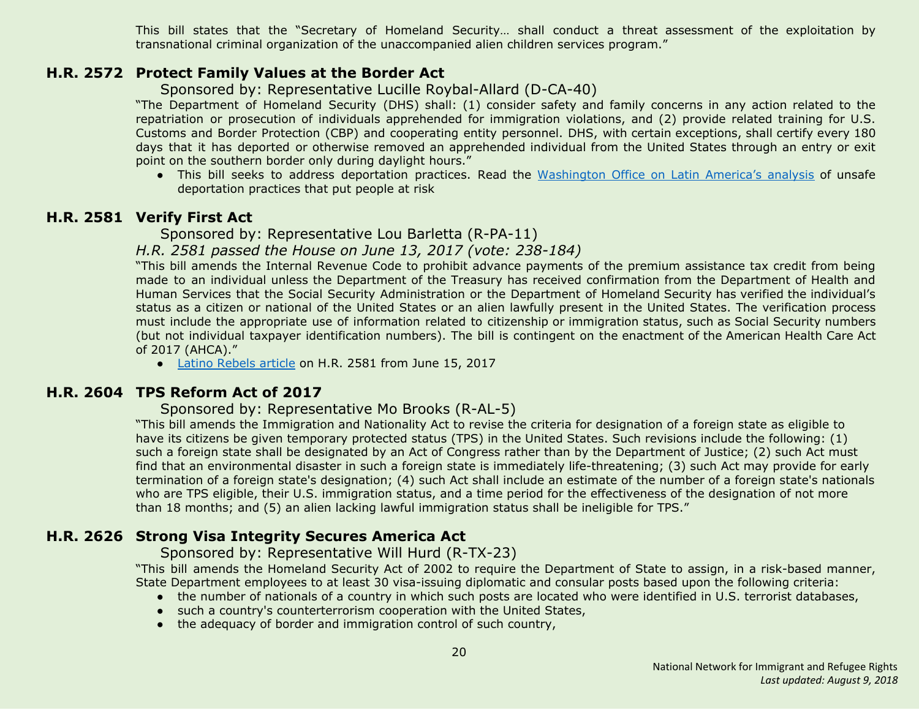This bill states that the "Secretary of Homeland Security… shall conduct a threat assessment of the exploitation by transnational criminal organization of the unaccompanied alien children services program."

# <span id="page-19-3"></span>**H.R. 2572 Protect Family Values at the Border Act**

Sponsored by: Representative Lucille Roybal-Allard (D-CA-40)

"The Department of Homeland Security (DHS) shall: (1) consider safety and family concerns in any action related to the repatriation or prosecution of individuals apprehended for immigration violations, and (2) provide related training for U.S. Customs and Border Protection (CBP) and cooperating entity personnel. DHS, with certain exceptions, shall certify every 180 days that it has deported or otherwise removed an apprehended individual from the United States through an entry or exit point on the southern border only during daylight hours."

● This bill seeks to address deportation practices. Read the [Washington](https://www.wola.org/analysis/unsafe-deportation-practices-that-put-migrants-at-risk/) Office on Latin America's analysis of unsafe deportation practices that put people at risk

# <span id="page-19-0"></span>**H.R. 2581 Verify First Act**

Sponsored by: Representative Lou Barletta (R-PA-11)

*H.R. 2581 passed the House on June 13, 2017 (vote: 238-184)*

"This bill amends the Internal Revenue Code to prohibit advance payments of the premium assistance tax credit from being made to an individual unless the Department of the Treasury has received confirmation from the Department of Health and Human Services that the Social Security Administration or the Department of Homeland Security has verified the individual's status as a citizen or national of the United States or an alien lawfully present in the United States. The verification process must include the appropriate use of information related to citizenship or immigration status, such as Social Security numbers (but not individual taxpayer identification numbers). The bill is contingent on the enactment of the American Health Care Act of 2017 (AHCA)."

• Latino [Rebels](http://www.latinorebels.com/2017/06/15/verify-first-act-would-require-u-s-citizenship-or-legal-status-proof-to-access-health-care-subsidies/) article on H.R. 2581 from June 15, 2017

# <span id="page-19-1"></span>**H.R. 2604 TPS Reform Act of 2017**

Sponsored by: Representative Mo Brooks (R-AL-5)

"This bill amends the Immigration and Nationality Act to revise the criteria for designation of a foreign state as eligible to have its citizens be given temporary protected status (TPS) in the United States. Such revisions include the following: (1) such a foreign state shall be designated by an Act of Congress rather than by the Department of Justice; (2) such Act must find that an environmental disaster in such a foreign state is immediately life-threatening; (3) such Act may provide for early termination of a foreign state's designation; (4) such Act shall include an estimate of the number of a foreign state's nationals who are TPS eligible, their U.S. immigration status, and a time period for the effectiveness of the designation of not more than 18 months; and (5) an alien lacking lawful immigration status shall be ineligible for TPS."

# <span id="page-19-2"></span>**H.R. 2626 Strong Visa Integrity Secures America Act**

Sponsored by: Representative Will Hurd (R-TX-23)

"This bill amends the Homeland Security Act of 2002 to require the Department of State to assign, in a risk-based manner, State Department employees to at least 30 visa-issuing diplomatic and consular posts based upon the following criteria:

- the number of nationals of a country in which such posts are located who were identified in U.S. terrorist databases,
- such a country's counterterrorism cooperation with the United States,
- the adequacy of border and immigration control of such country,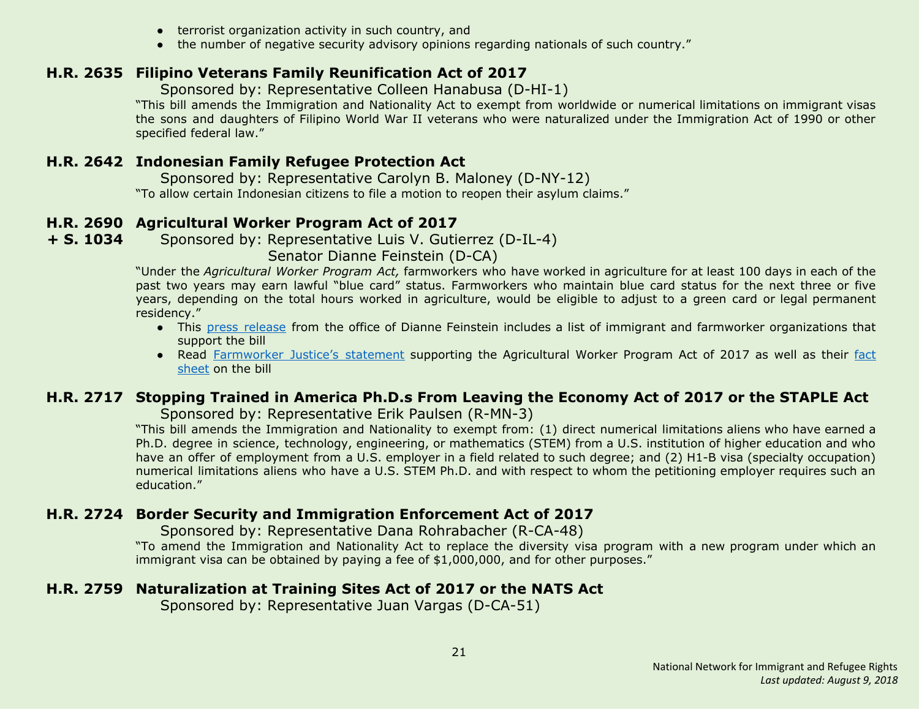- terrorist organization activity in such country, and
- the number of negative security advisory opinions regarding nationals of such country."

# <span id="page-20-1"></span>**H.R. 2635 Filipino Veterans Family Reunification Act of 2017**

Sponsored by: Representative Colleen Hanabusa (D-HI-1)

"This bill amends the Immigration and Nationality Act to exempt from worldwide or numerical limitations on immigrant visas the sons and daughters of Filipino World War II veterans who were naturalized under the Immigration Act of 1990 or other specified federal law."

# <span id="page-20-2"></span>**H.R. 2642 Indonesian Family Refugee Protection Act**

 Sponsored by: Representative Carolyn B. Maloney (D-NY-12) "To allow certain Indonesian citizens to file a motion to reopen their asylum claims."

# <span id="page-20-3"></span>**H.R. 2690 Agricultural Worker Program Act of 2017**

**+ S. 1034** Sponsored by: Representative Luis V. Gutierrez (D-IL-4)

Senator Dianne Feinstein (D-CA)

"Under the *Agricultural Worker Program Act,* farmworkers who have worked in agriculture for at least 100 days in each of the past two years may earn lawful "blue card" status. Farmworkers who maintain blue card status for the next three or five years, depending on the total hours worked in agriculture, would be eligible to adjust to a green card or legal permanent residency."

- **●** This press [release](https://www.feinstein.senate.gov/public/index.cfm/press-releases?id=A7920354-F4C1-48CB-95CF-9F25298EEDFB) from the office of Dianne Feinstein includes a list of immigrant and farmworker organizations that support the bill
- **●** Read [Farmworker](https://www.farmworkerjustice.org/sites/default/files/press_downloads/FJStatementAgWorkerFeinstein-5-3-17_final.pdf) Justice's statement supporting the Agricultural Worker Program Act of 2017 as well as their [fact](https://www.farmworkerjustice.org/sites/default/files/Feinstein%20Ag%20Worker%20Bill%20Fact%20Sheet%20-5-3-17.pdf) [sheet](https://www.farmworkerjustice.org/sites/default/files/Feinstein%20Ag%20Worker%20Bill%20Fact%20Sheet%20-5-3-17.pdf) on the bill

# <span id="page-20-5"></span>**H.R. 2717 Stopping Trained in America Ph.D.s From Leaving the Economy Act of 2017 or the STAPLE Act**

Sponsored by: Representative Erik Paulsen (R-MN-3)

"This bill amends the Immigration and Nationality to exempt from: (1) direct numerical limitations aliens who have earned a Ph.D. degree in science, technology, engineering, or mathematics (STEM) from a U.S. institution of higher education and who have an offer of employment from a U.S. employer in a field related to such degree; and (2) H1-B visa (specialty occupation) numerical limitations aliens who have a U.S. STEM Ph.D. and with respect to whom the petitioning employer requires such an education."

# <span id="page-20-0"></span>**H.R. 2724 Border Security and Immigration Enforcement Act of 2017**

Sponsored by: Representative Dana Rohrabacher (R-CA-48)

"To amend the Immigration and Nationality Act to replace the diversity visa program with a new program under which an immigrant visa can be obtained by paying a fee of \$1,000,000, and for other purposes."

# <span id="page-20-4"></span>**H.R. 2759 Naturalization at Training Sites Act of 2017 or the NATS Act**

Sponsored by: Representative Juan Vargas (D-CA-51)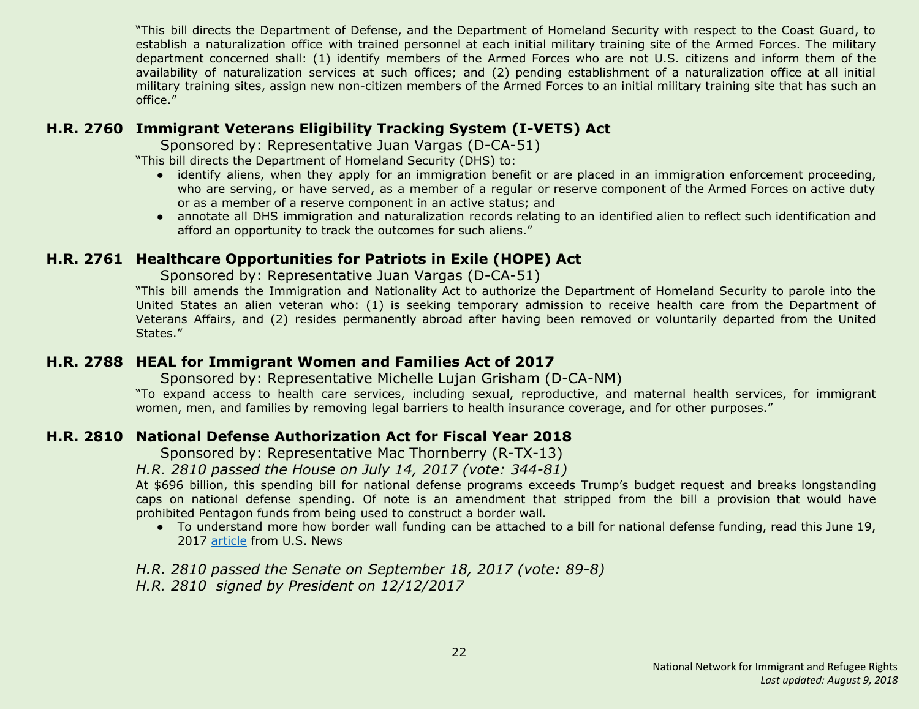"This bill directs the Department of Defense, and the Department of Homeland Security with respect to the Coast Guard, to establish a naturalization office with trained personnel at each initial military training site of the Armed Forces. The military department concerned shall: (1) identify members of the Armed Forces who are not U.S. citizens and inform them of the availability of naturalization services at such offices; and (2) pending establishment of a naturalization office at all initial military training sites, assign new non-citizen members of the Armed Forces to an initial military training site that has such an office."

# <span id="page-21-1"></span>**H.R. 2760 Immigrant Veterans Eligibility Tracking System (I-VETS) Act**

Sponsored by: Representative Juan Vargas (D-CA-51)

"This bill directs the Department of Homeland Security (DHS) to:

- identify aliens, when they apply for an immigration benefit or are placed in an immigration enforcement proceeding, who are serving, or have served, as a member of a regular or reserve component of the Armed Forces on active duty or as a member of a reserve component in an active status; and
- annotate all DHS immigration and naturalization records relating to an identified alien to reflect such identification and afford an opportunity to track the outcomes for such aliens."

# <span id="page-21-2"></span>**H.R. 2761 Healthcare Opportunities for Patriots in Exile (HOPE) Act**

Sponsored by: Representative Juan Vargas (D-CA-51)

"This bill amends the Immigration and Nationality Act to authorize the Department of Homeland Security to parole into the United States an alien veteran who: (1) is seeking temporary admission to receive health care from the Department of Veterans Affairs, and (2) resides permanently abroad after having been removed or voluntarily departed from the United States."

# <span id="page-21-3"></span>**H.R. 2788 HEAL for Immigrant Women and Families Act of 2017**

Sponsored by: Representative Michelle Lujan Grisham (D-CA-NM)

"To expand access to health care services, including sexual, reproductive, and maternal health services, for immigrant women, men, and families by removing legal barriers to health insurance coverage, and for other purposes."

# <span id="page-21-0"></span>**H.R. 2810 National Defense Authorization Act for Fiscal Year 2018**

Sponsored by: Representative Mac Thornberry (R-TX-13)

*H.R. 2810 passed the House on July 14, 2017 (vote: 344-81)*

At \$696 billion, this spending bill for national defense programs exceeds Trump's budget request and breaks longstanding caps on national defense spending. Of note is an amendment that stripped from the bill a provision that would have prohibited Pentagon funds from being used to construct a border wall.

● To understand more how border wall funding can be attached to a bill for national defense funding, read this June 19, 2017 [article](https://www.usnews.com/opinion/economic-intelligence/articles/2017-07-19/congress-slyly-diverts-pentagon-money-to-fund-donald-trumps-border-wall) from U.S. News

*H.R. 2810 passed the Senate on September 18, 2017 (vote: 89-8) H.R. 2810 signed by President on 12/12/2017*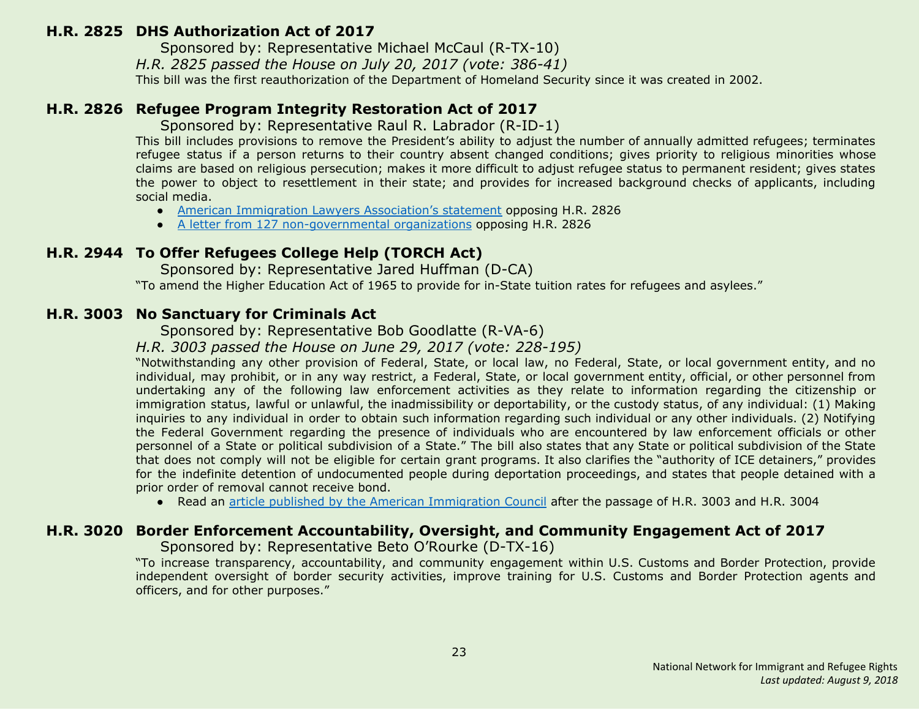#### <span id="page-22-0"></span>**H.R. 2825 DHS Authorization Act of 2017**

Sponsored by: Representative Michael McCaul (R-TX-10)

*H.R. 2825 passed the House on July 20, 2017 (vote: 386-41)*

This bill was the first reauthorization of the Department of Homeland Security since it was created in 2002.

# <span id="page-22-1"></span>**H.R. 2826 Refugee Program Integrity Restoration Act of 2017**

Sponsored by: Representative Raul R. Labrador (R-ID-1)

This bill includes provisions to remove the President's ability to adjust the number of annually admitted refugees; terminates refugee status if a person returns to their country absent changed conditions; gives priority to religious minorities whose claims are based on religious persecution; makes it more difficult to adjust refugee status to permanent resident; gives states the power to object to resettlement in their state; and provides for increased background checks of applicants, including social media.

- American Immigration Lawyers [Association's](http://www.aila.org/advo-media/aila-correspondence/2017/house-judiciary-committee-on-markup-of-hr-2826) statement opposing H.R. 2826
- A letter from 127 [non-governmental](https://www.hias.org/sites/default/files/2017.6.20_-_ngo_sign-on_letter_refugee_program_integrity_restoration_act.pdf) organizations opposing H.R. 2826

# <span id="page-22-3"></span>**H.R. 2944 To Offer Refugees College Help (TORCH Act)**

 Sponsored by: Representative Jared Huffman (D-CA) "To amend the Higher Education Act of 1965 to provide for in-State tuition rates for refugees and asylees."

# <span id="page-22-2"></span>**H.R. 3003 No Sanctuary for Criminals Act**

Sponsored by: Representative Bob Goodlatte (R-VA-6)

*H.R. 3003 passed the House on June 29, 2017 (vote: 228-195)*

"Notwithstanding any other provision of Federal, State, or local law, no Federal, State, or local government entity, and no individual, may prohibit, or in any way restrict, a Federal, State, or local government entity, official, or other personnel from undertaking any of the following law enforcement activities as they relate to information regarding the citizenship or immigration status, lawful or unlawful, the inadmissibility or deportability, or the custody status, of any individual: (1) Making inquiries to any individual in order to obtain such information regarding such individual or any other individuals. (2) Notifying the Federal Government regarding the presence of individuals who are encountered by law enforcement officials or other personnel of a State or political subdivision of a State." The bill also states that any State or political subdivision of the State that does not comply will not be eligible for certain grant programs. It also clarifies the "authority of ICE detainers," provides for the indefinite detention of undocumented people during deportation proceedings, and states that people detained with a prior order of removal cannot receive bond.

● Read an article published by the American [Immigration](http://immigrationimpact.com/2017/06/30/house-passes-anti-immigrant-bills/) Council after the passage of H.R. 3003 and H.R. 3004

# <span id="page-22-4"></span>**H.R. 3020 Border Enforcement Accountability, Oversight, and Community Engagement Act of 2017**

Sponsored by: Representative Beto O'Rourke (D-TX-16)

"To increase transparency, accountability, and community engagement within U.S. Customs and Border Protection, provide independent oversight of border security activities, improve training for U.S. Customs and Border Protection agents and officers, and for other purposes."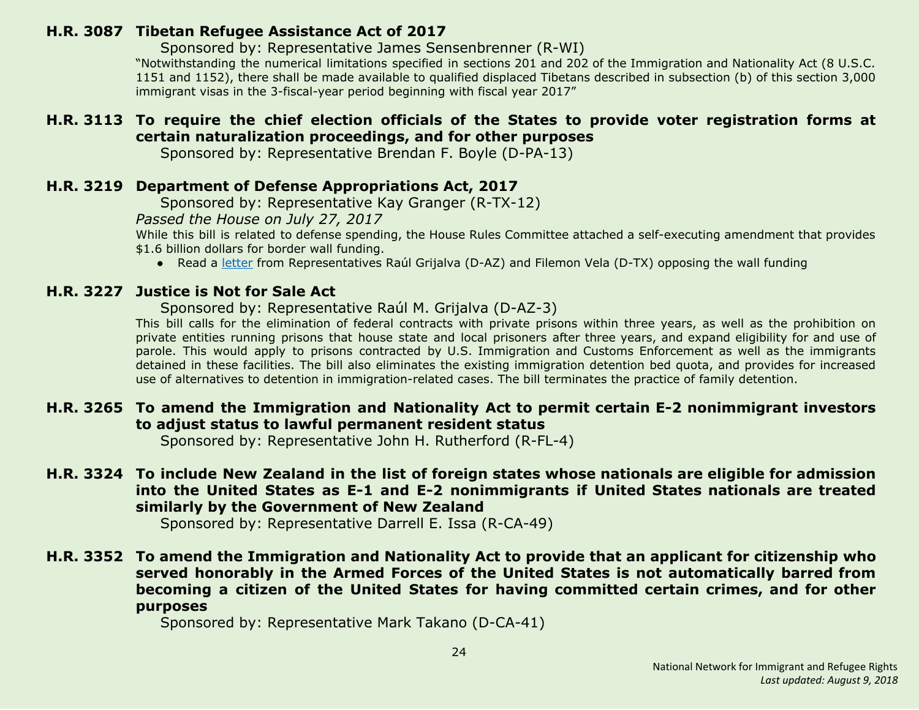# <span id="page-23-0"></span>**H.R. 3087 Tibetan Refugee Assistance Act of 2017**

Sponsored by: Representative James Sensenbrenner (R-WI)

"Notwithstanding the numerical limitations specified in sections 201 and 202 of the Immigration and Nationality Act (8 U.S.C. 1151 and 1152), there shall be made available to qualified displaced Tibetans described in subsection (b) of this section 3,000 immigrant visas in the 3-fiscal-year period beginning with fiscal year 2017"

# <span id="page-23-4"></span>**H.R. 3113 To require the chief election officials of the States to provide voter registration forms at certain naturalization proceedings, and for other purposes**

Sponsored by: Representative Brendan F. Boyle (D-PA-13)

# <span id="page-23-1"></span>**H.R. 3219 Department of Defense Appropriations Act, 2017**

Sponsored by: Representative Kay Granger (R-TX-12)

*Passed the House on July 27, 2017*

While this bill is related to defense spending, the House Rules Committee attached a self-executing amendment that provides \$1.6 billion dollars for border wall funding.

● Read a [letter](https://grijalva.house.gov/news-and-press-releases/grijalva-and-vela-lead-letter-opposing-funding-and-construction-of-border-wall/) from Representatives Raúl Grijalva (D-AZ) and Filemon Vela (D-TX) opposing the wall funding

# <span id="page-23-5"></span>**H.R. 3227 Justice is Not for Sale Act**

Sponsored by: Representative Raúl M. Grijalva (D-AZ-3)

This bill calls for the elimination of federal contracts with private prisons within three years, as well as the prohibition on private entities running prisons that house state and local prisoners after three years, and expand eligibility for and use of parole. This would apply to prisons contracted by U.S. Immigration and Customs Enforcement as well as the immigrants detained in these facilities. The bill also eliminates the existing immigration detention bed quota, and provides for increased use of alternatives to detention in immigration-related cases. The bill terminates the practice of family detention.

# <span id="page-23-2"></span>**H.R. 3265 To amend the Immigration and Nationality Act to permit certain E-2 nonimmigrant investors to adjust status to lawful permanent resident status**

Sponsored by: Representative John H. Rutherford (R-FL-4)

# <span id="page-23-3"></span>**H.R. 3324 To include New Zealand in the list of foreign states whose nationals are eligible for admission into the United States as E-1 and E-2 nonimmigrants if United States nationals are treated similarly by the Government of New Zealand**

Sponsored by: Representative Darrell E. Issa (R-CA-49)

# <span id="page-23-6"></span>**H.R. 3352 To amend the Immigration and Nationality Act to provide that an applicant for citizenship who served honorably in the Armed Forces of the United States is not automatically barred from becoming a citizen of the United States for having committed certain crimes, and for other purposes**

Sponsored by: Representative Mark Takano (D-CA-41)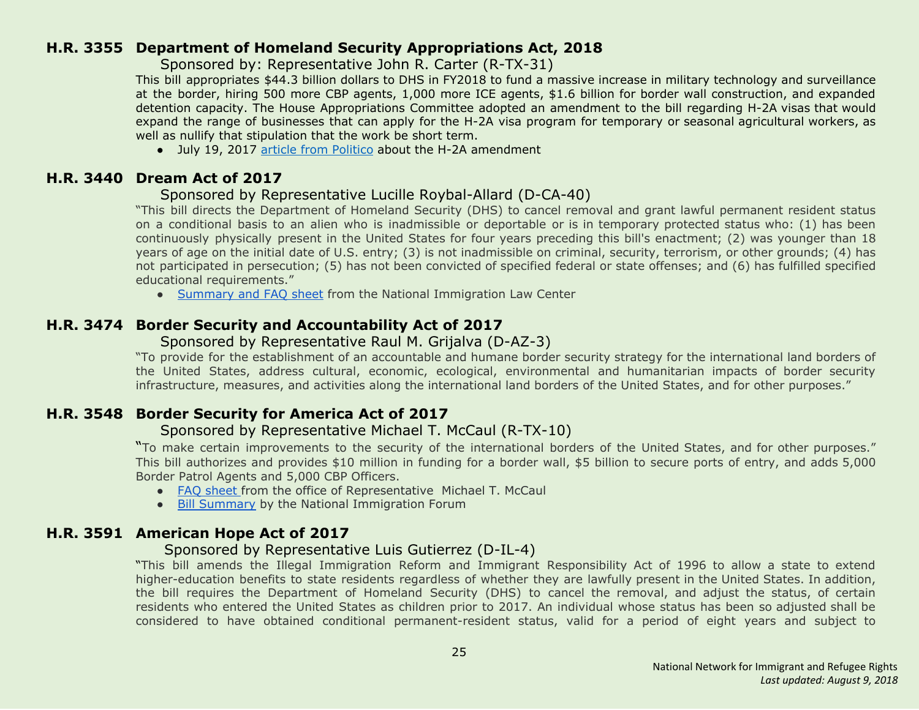#### <span id="page-24-0"></span>**H.R. 3355 Department of Homeland Security Appropriations Act, 2018**

Sponsored by: Representative John R. Carter (R-TX-31)

This bill appropriates \$44.3 billion dollars to DHS in FY2018 to fund a massive increase in military technology and surveillance at the border, hiring 500 more CBP agents, 1,000 more ICE agents, \$1.6 billion for border wall construction, and expanded detention capacity. The House Appropriations Committee adopted an amendment to the bill regarding H-2A visas that would expand the range of businesses that can apply for the H-2A visa program for temporary or seasonal agricultural workers, as well as nullify that stipulation that the work be short term.

• July 19, 2017 article from [Politico](http://www.politico.com/tipsheets/morning-agriculture/2017/07/19/dairy-happy-with-visa-proposal-221406) about the H-2A amendment

# <span id="page-24-2"></span>**H.R. 3440 Dream Act of 2017**

#### Sponsored by Representative Lucille Roybal-Allard (D-CA-40)

"This bill directs the Department of Homeland Security (DHS) to cancel removal and grant lawful permanent resident status on a conditional basis to an alien who is inadmissible or deportable or is in temporary protected status who: (1) has been continuously physically present in the United States for four years preceding this bill's enactment; (2) was younger than 18 years of age on the initial date of U.S. entry; (3) is not inadmissible on criminal, security, terrorism, or other grounds; (4) has not participated in persecution; (5) has not been convicted of specified federal or state offenses; and (6) has fulfilled specified educational requirements."

● [Summary](https://www.nilc.org/wp-content/uploads/2017/07/DreamAct2017-summary-and-facts-2017-07-24.pdf) and FAQ sheet from the National Immigration Law Center

# <span id="page-24-3"></span>**H.R. 3474 Border Security and Accountability Act of 2017**

#### Sponsored by Representative Raul M. Grijalva (D-AZ-3)

"To provide for the establishment of an accountable and humane border security strategy for the international land borders of the United States, address cultural, economic, ecological, environmental and humanitarian impacts of border security infrastructure, measures, and activities along the international land borders of the United States, and for other purposes."

# <span id="page-24-1"></span>**H.R. 3548 Border Security for America Act of 2017**

# Sponsored by Representative Michael T. McCaul (R-TX-10)

"To make certain improvements to the security of the international borders of the United States, and for other purposes." This bill authorizes and provides \$10 million in funding for a border wall, \$5 billion to secure ports of entry, and adds 5,000 Border Patrol Agents and 5,000 CBP Officers.

- FAQ [sheet](https://homeland.house.gov/wp-content/uploads/2017/07/Border-Bill-One-Pager1.pdf) from the office of Representative Michael T. McCaul
- Bill [Summary](http://immigrationforum.org/blog/border-security-for-america-act-of-2017-bill-summary/) by the National Immigration Forum

# <span id="page-24-4"></span>**H.R. 3591 American Hope Act of 2017**

# Sponsored by Representative Luis Gutierrez (D-IL-4)

"This bill amends the Illegal Immigration Reform and Immigrant Responsibility Act of 1996 to allow a state to extend higher-education benefits to state residents regardless of whether they are lawfully present in the United States. In addition, the bill requires the Department of Homeland Security (DHS) to cancel the removal, and adjust the status, of certain residents who entered the United States as children prior to 2017. An individual whose status has been so adjusted shall be considered to have obtained conditional permanent-resident status, valid for a period of eight years and subject to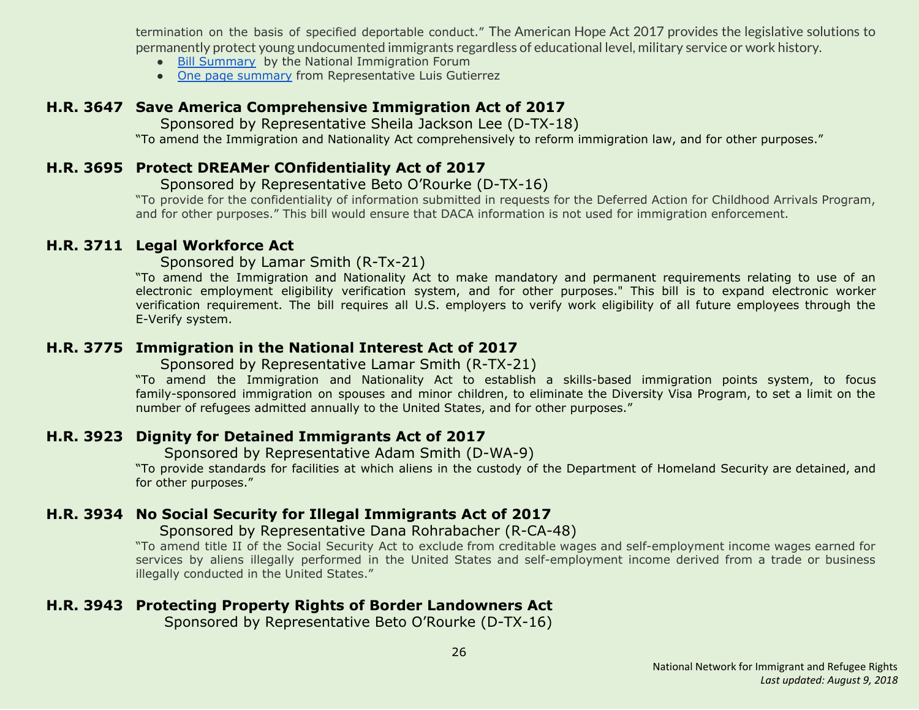termination on the basis of specified deportable conduct." The American Hope Act 2017 provides the legislative solutions to permanently protect young undocumented immigrants regardless of educational level, military service or work history.

- Bill [Summary](http://immigrationforum.org/blog/american-hope-act-of-2017-bill-summary/) by the National Immigration Forum
- One page [summary](https://gutierrez.house.gov/sites/gutierrez.house.gov/files/wysiwyg_uploaded/One%20Page%20Summary%20of%20American%20Hope%20Act%20of%202017.pdf) from Representative Luis Gutierrez

# <span id="page-25-3"></span>**H.R. 3647 Save America Comprehensive Immigration Act of 2017**

Sponsored by Representative Sheila Jackson Lee (D-TX-18)

"To amend the Immigration and Nationality Act comprehensively to reform immigration law, and for other purposes."

# <span id="page-25-4"></span>**H.R. 3695 Protect DREAMer COnfidentiality Act of 2017**

#### Sponsored by Representative Beto O'Rourke (D-TX-16)

"To provide for the confidentiality of information submitted in requests for the Deferred Action for Childhood Arrivals Program, and for other purposes." This bill would ensure that DACA information is not used for immigration enforcement.

# <span id="page-25-0"></span>**H.R. 3711 Legal Workforce Act**

Sponsored by Lamar Smith (R-Tx-21)

"To amend the Immigration and Nationality Act to make mandatory and permanent requirements relating to use of an electronic employment eligibility verification system, and for other purposes." This bill is to expand electronic worker verification requirement. The bill requires all U.S. employers to verify work eligibility of all future employees through the E-Verify system.

# <span id="page-25-1"></span>**H.R. 3775 Immigration in the National Interest Act of 2017**

Sponsored by Representative Lamar Smith (R-TX-21)

"To amend the Immigration and Nationality Act to establish a skills-based immigration points system, to focus family-sponsored immigration on spouses and minor children, to eliminate the Diversity Visa Program, to set a limit on the number of refugees admitted annually to the United States, and for other purposes."

# <span id="page-25-5"></span>**H.R. 3923 Dignity for Detained Immigrants Act of 2017**

Sponsored by Representative Adam Smith (D-WA-9)

"To provide standards for facilities at which aliens in the custody of the Department of Homeland Security are detained, and for other purposes."

# <span id="page-25-2"></span>**H.R. 3934 No Social Security for Illegal Immigrants Act of 2017**

# Sponsored by Representative Dana Rohrabacher (R-CA-48)

"To amend title II of the Social Security Act to exclude from creditable wages and self-employment income wages earned for services by aliens illegally performed in the United States and self-employment income derived from a trade or business illegally conducted in the United States."

# <span id="page-25-6"></span>**H.R. 3943 Protecting Property Rights of Border Landowners Act**

Sponsored by Representative Beto O'Rourke (D-TX-16)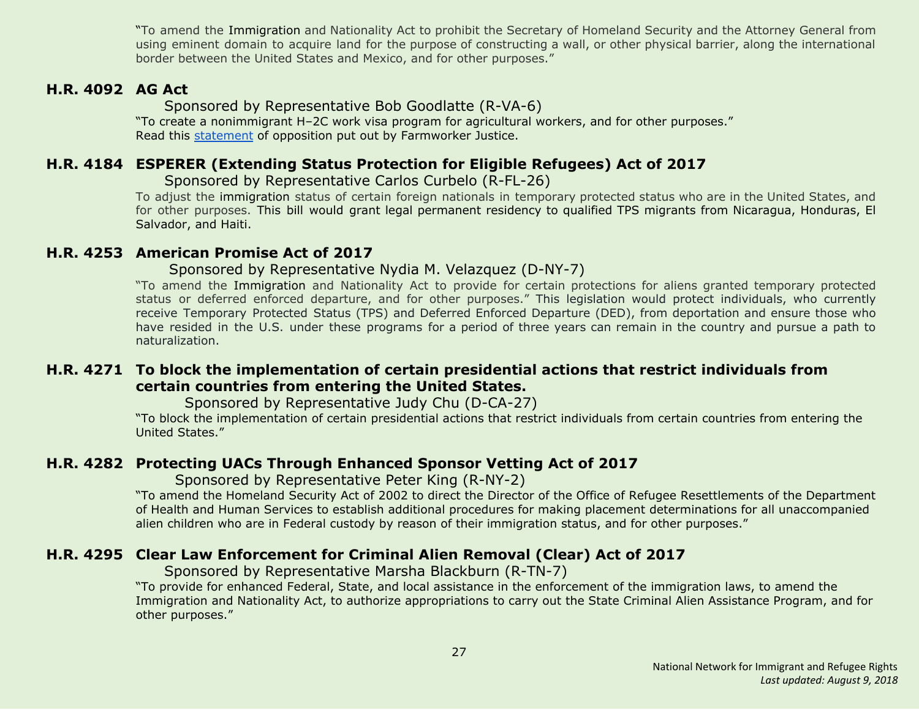"To amend the Immigration and Nationality Act to prohibit the Secretary of Homeland Security and the Attorney General from using eminent domain to acquire land for the purpose of constructing a wall, or other physical barrier, along the international border between the United States and Mexico, and for other purposes."

## <span id="page-26-0"></span>**H.R. 4092 AG Act**

Sponsored by Representative Bob Goodlatte (R-VA-6)

"To create a nonimmigrant H–2C work visa program for agricultural workers, and for other purposes." Read this [statement](http://www.nnirr.org/drupal/sites/default/files/goodlatte_fact_sheet_-_10.27postmarkupfinal_.pdf) of opposition put out by Farmworker Justice.

#### <span id="page-26-1"></span>**H.R. 4184 ESPERER (Extending Status Protection for Eligible Refugees) Act of 2017**

 Sponsored by Representative Carlos Curbelo (R-FL-26)

To adjust the immigration status of certain foreign nationals in temporary protected status who are in the United States, and for other purposes. This bill would grant legal permanent residency to qualified TPS migrants from Nicaragua, Honduras, El Salvador, and Haiti.

#### <span id="page-26-4"></span>**H.R. 4253 American Promise Act of 2017**

#### Sponsored by Representative Nydia M. Velazquez (D-NY-7)

"To amend the Immigration and Nationality Act to provide for certain protections for aliens granted temporary protected status or deferred enforced departure, and for other purposes." This legislation would protect individuals, who currently receive Temporary Protected Status (TPS) and Deferred Enforced Departure (DED), from deportation and ensure those who have resided in the U.S. under these programs for a period of three years can remain in the country and pursue a path to naturalization.

#### <span id="page-26-5"></span>**H.R. 4271 To block the implementation of certain presidential actions that restrict individuals from certain countries from entering the United States.**

Sponsored by Representative Judy Chu (D-CA-27)

"To block the implementation of certain presidential actions that restrict individuals from certain countries from entering the United States."

#### <span id="page-26-2"></span>**H.R. 4282 Protecting UACs Through Enhanced Sponsor Vetting Act of 2017**

Sponsored by Representative Peter King (R-NY-2)

"To amend the Homeland Security Act of 2002 to direct the Director of the Office of Refugee Resettlements of the Department of Health and Human Services to establish additional procedures for making placement determinations for all unaccompanied alien children who are in Federal custody by reason of their immigration status, and for other purposes."

# <span id="page-26-3"></span>**H.R. 4295 Clear Law Enforcement for Criminal Alien Removal (Clear) Act of 2017**

Sponsored by Representative Marsha Blackburn (R-TN-7)

"To provide for enhanced Federal, State, and local assistance in the enforcement of the immigration laws, to amend the Immigration and Nationality Act, to authorize appropriations to carry out the State Criminal Alien Assistance Program, and for other purposes."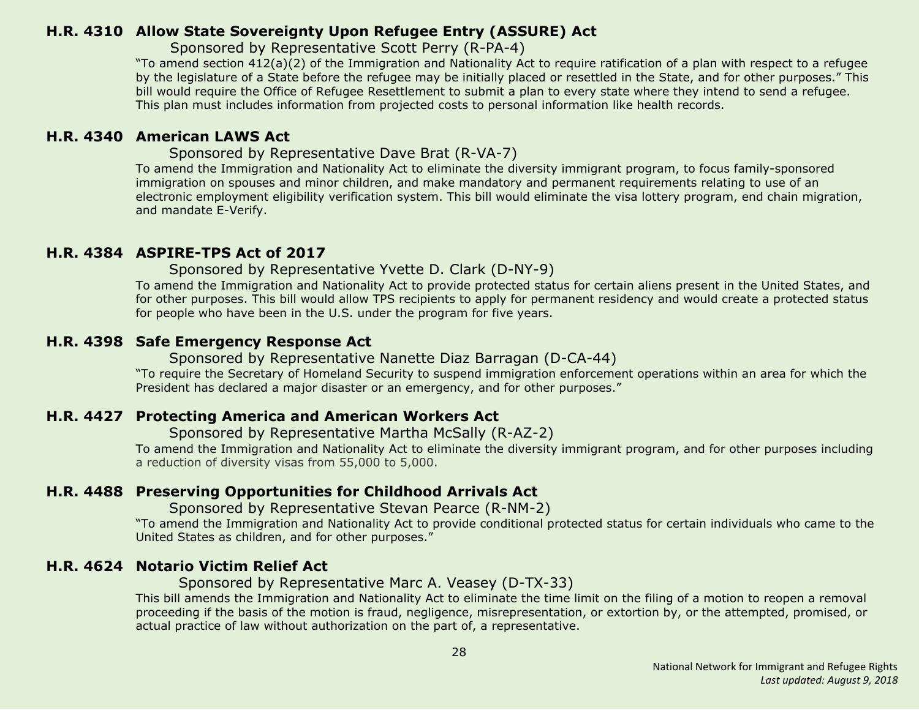# <span id="page-27-0"></span>**H.R. 4310 Allow State Sovereignty Upon Refugee Entry (ASSURE) Act**

Sponsored by Representative Scott Perry (R-PA-4)

"To amend section 412(a)(2) of the Immigration and Nationality Act to require ratification of a plan with respect to a refugee by the legislature of a State before the refugee may be initially placed or resettled in the State, and for other purposes." This bill would require the Office of Refugee Resettlement to submit a plan to every state where they intend to send a refugee. This plan must includes information from projected costs to personal information like health records.

# <span id="page-27-1"></span>**H.R. 4340 American LAWS Act**

Sponsored by Representative Dave Brat (R-VA-7)

To amend the Immigration and Nationality Act to eliminate the diversity immigrant program, to focus family-sponsored immigration on spouses and minor children, and make mandatory and permanent requirements relating to use of an electronic employment eligibility verification system. This bill would eliminate the visa lottery program, end chain migration, and mandate E-Verify.

# <span id="page-27-4"></span>**H.R. 4384 ASPIRE-TPS Act of 2017**

Sponsored by Representative Yvette D. Clark (D-NY-9)

To amend the Immigration and Nationality Act to provide protected status for certain aliens present in the United States, and for other purposes. This bill would allow TPS recipients to apply for permanent residency and would create a protected status for people who have been in the U.S. under the program for five years.

# <span id="page-27-5"></span>**H.R. 4398 Safe Emergency Response Act**

Sponsored by Representative Nanette Diaz Barragan (D-CA-44)

"To require the Secretary of Homeland Security to suspend immigration enforcement operations within an area for which the President has declared a major disaster or an emergency, and for other purposes."

# <span id="page-27-2"></span>**H.R. 4427 Protecting America and American Workers Act**

Sponsored by Representative Martha McSally (R-AZ-2)

To amend the Immigration and Nationality Act to eliminate the diversity immigrant program, and for other purposes including a reduction of diversity visas from 55,000 to 5,000.

# <span id="page-27-3"></span>**H.R. 4488 Preserving Opportunities for Childhood Arrivals Act**

Sponsored by Representative Stevan Pearce (R-NM-2)

"To amend the Immigration and Nationality Act to provide conditional protected status for certain individuals who came to the United States as children, and for other purposes."

# <span id="page-27-6"></span>**H.R. 4624 Notario Victim Relief Act**

#### Sponsored by Representative Marc A. Veasey (D-TX-33)

This bill amends the Immigration and Nationality Act to eliminate the time limit on the filing of a motion to reopen a removal proceeding if the basis of the motion is fraud, negligence, misrepresentation, or extortion by, or the attempted, promised, or actual practice of law without authorization on the part of, a representative.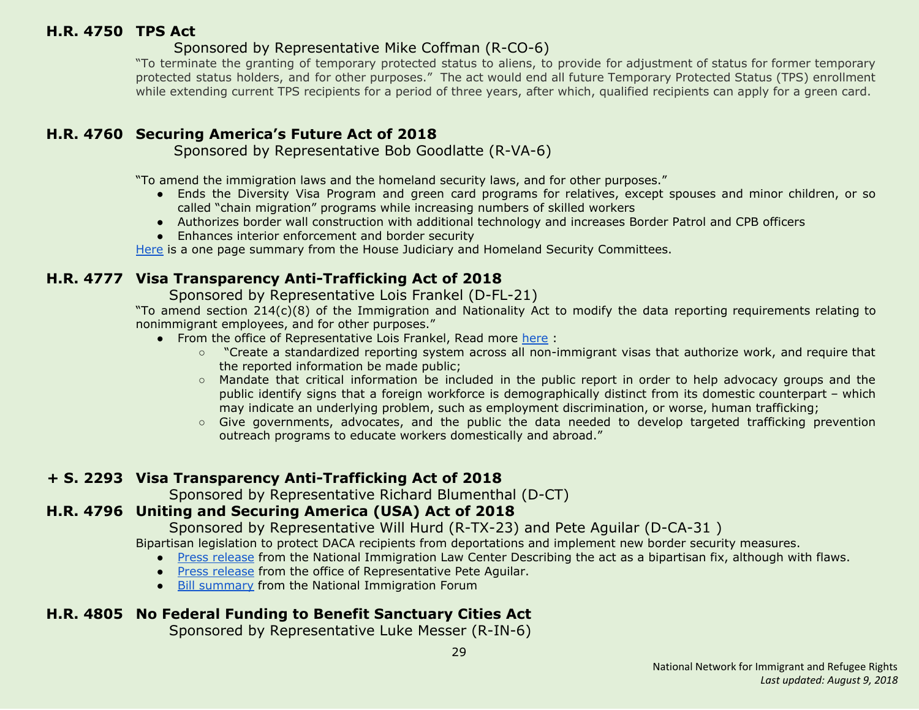# <span id="page-28-0"></span>**H.R. 4750 TPS Act**

# Sponsored by Representative Mike Coffman (R-CO-6)

"To terminate the granting of temporary protected status to aliens, to provide for adjustment of status for former temporary protected status holders, and for other purposes." The act would end all future Temporary Protected Status (TPS) enrollment while extending current TPS recipients for a period of three years, after which, qualified recipients can apply for a green card.

# <span id="page-28-1"></span>**H.R. 4760 Securing America's Future Act of 2018**

Sponsored by Representative Bob Goodlatte (R-VA-6)

"To amend the immigration laws and the homeland security laws, and for other purposes."

- Ends the Diversity Visa Program and green card programs for relatives, except spouses and minor children, or so called "chain migration" programs while increasing numbers of skilled workers
- Authorizes border wall construction with additional technology and increases Border Patrol and CPB officers
- Enhances interior enforcement and border security

[Here](https://judiciary.house.gov/wp-content/uploads/2018/01/011018-Securing-Americas-Future-Act-Final.pdf) is a one page summary from the House Judiciary and Homeland Security Committees.

# <span id="page-28-4"></span>**H.R. 4777 Visa Transparency Anti-Trafficking Act of 2018**

Sponsored by Representative Lois Frankel (D-FL-21)

"To amend section 214(c)(8) of the Immigration and Nationality Act to modify the data reporting requirements relating to nonimmigrant employees, and for other purposes."

- From the office of Representative Lois Frankel, Read more [here](https://frankel.house.gov/news/documentsingle.aspx?DocumentID=678) :
	- "Create a standardized reporting system across all non-immigrant visas that authorize work, and require that the reported information be made public;
	- Mandate that critical information be included in the public report in order to help advocacy groups and the public identify signs that a foreign workforce is demographically distinct from its domestic counterpart – which may indicate an underlying problem, such as employment discrimination, or worse, human trafficking;
	- Give governments, advocates, and the public the data needed to develop targeted trafficking prevention outreach programs to educate workers domestically and abroad."

# **+ S. 2293 Visa Transparency Anti-Trafficking Act of 2018**

Sponsored by Representative Richard Blumenthal (D-CT)

# <span id="page-28-2"></span>**H.R. 4796 Uniting and Securing America (USA) Act of 2018**

Sponsored by Representative Will Hurd (R-TX-23) and Pete Aguilar (D-CA-31 )

Bipartisan legislation to protect DACA recipients from deportations and implement new border security measures.

- Press [release](https://www.nilc.org/2018/01/16/response-to-introduction-of-usa-act/) from the National Immigration Law Center Describing the act as a bipartisan fix, although with flaws.
- Press [release](https://aguilar.house.gov/media-center/press-releases/reps-hurd-aguilar-denham-drive-bipartisan-daca-border-security-solution) from the office of Representative Pete Aguilar.
- Bill [summary](http://immigrationforum.org/wp-content/uploads/2018/01/Uniting-and-Securing-America-USA-Act-Bill-Summary-.pdf) from the National Immigration Forum

# <span id="page-28-3"></span>**H.R. 4805 No Federal Funding to Benefit Sanctuary Cities Act**

Sponsored by Representative Luke Messer (R-IN-6)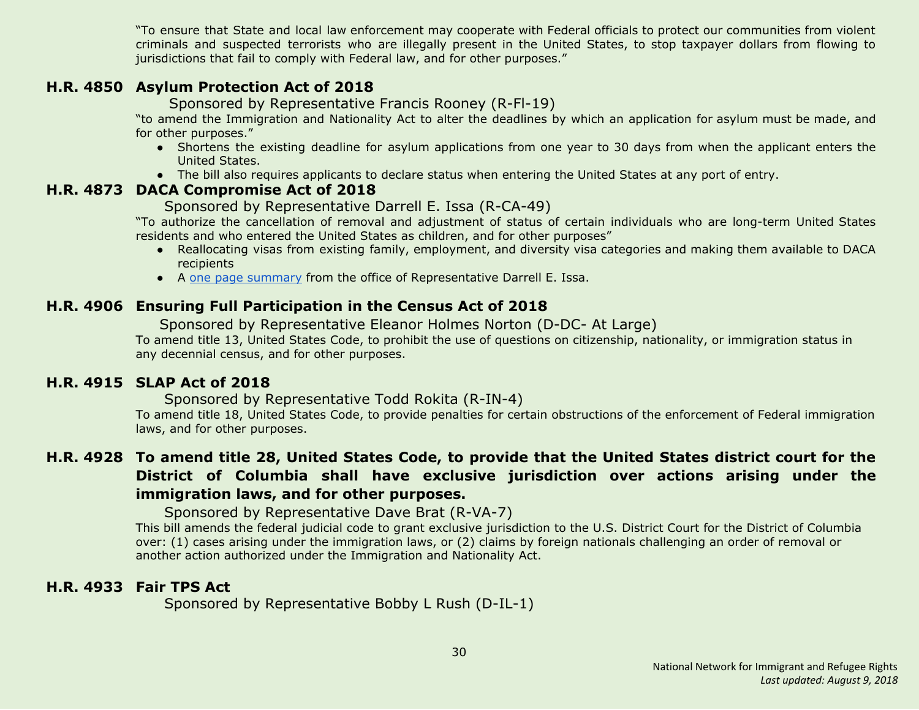"To ensure that State and local law enforcement may cooperate with Federal officials to protect our communities from violent criminals and suspected terrorists who are illegally present in the United States, to stop taxpayer dollars from flowing to jurisdictions that fail to comply with Federal law, and for other purposes."

# <span id="page-29-0"></span>**H.R. 4850 Asylum Protection Act of 2018**

Sponsored by Representative Francis Rooney (R-Fl-19)

"to amend the Immigration and Nationality Act to alter the deadlines by which an application for asylum must be made, and for other purposes."

- Shortens the existing deadline for asylum applications from one year to 30 days from when the applicant enters the United States.
- The bill also requires applicants to declare status when entering the United States at any port of entry.

#### <span id="page-29-1"></span>**H.R. 4873 DACA Compromise Act of 2018**

#### Sponsored by Representative Darrell E. Issa (R-CA-49)

"To authorize the cancellation of removal and adjustment of status of certain individuals who are long-term United States residents and who entered the United States as children, and for other purposes"

- Reallocating visas from existing family, employment, and diversity visa categories and making them available to DACA recipients
- A one page [summary](https://issa.house.gov/sites/issa.house.gov/files/Summary%20of%20the%20DACA%20Compromise%20Act%20of%202018.pdf) from the office of Representative Darrell E. Issa.

# <span id="page-29-4"></span>**H.R. 4906 Ensuring Full Participation in the Census Act of 2018**

Sponsored by Representative Eleanor Holmes Norton (D-DC- At Large)

To amend title 13, United States Code, to prohibit the use of questions on citizenship, nationality, or immigration status in any decennial census, and for other purposes.

# <span id="page-29-2"></span>**H.R. 4915 SLAP Act of 2018**

Sponsored by Representative Todd Rokita (R-IN-4)

To amend title 18, United States Code, to provide penalties for certain obstructions of the enforcement of Federal immigration laws, and for other purposes.

# <span id="page-29-3"></span>H.R. 4928 To amend title 28, United States Code, to provide that the United States district court for the **District of Columbia shall have exclusive jurisdiction over actions arising under the immigration laws, and for other purposes.**

Sponsored by Representative Dave Brat (R-VA-7)

This bill amends the federal judicial code to grant exclusive jurisdiction to the U.S. District Court for the District of Columbia over: (1) cases arising under the immigration laws, or (2) claims by foreign nationals challenging an order of removal or another action authorized under the Immigration and Nationality Act.

# <span id="page-29-5"></span>**H.R. 4933 Fair TPS Act**

Sponsored by Representative Bobby L Rush (D-IL-1)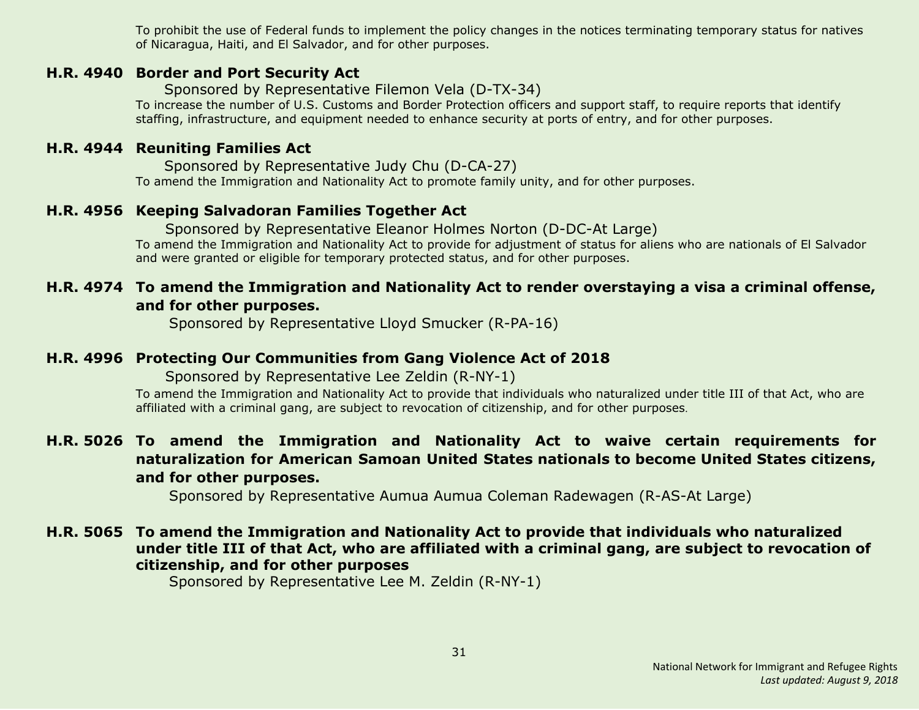To prohibit the use of Federal funds to implement the policy changes in the notices terminating temporary status for natives of Nicaragua, Haiti, and El Salvador, and for other purposes.

#### <span id="page-30-4"></span>**H.R. 4940 Border and Port Security Act**

Sponsored by Representative Filemon Vela (D-TX-34)

To increase the number of U.S. Customs and Border Protection officers and support staff, to require reports that identify staffing, infrastructure, and equipment needed to enhance security at ports of entry, and for other purposes.

# <span id="page-30-5"></span>**H.R. 4944 Reuniting Families Act**

Sponsored by Representative Judy Chu (D-CA-27) To amend the Immigration and Nationality Act to promote family unity, and for other purposes.

# <span id="page-30-6"></span>**H.R. 4956 Keeping Salvadoran Families Together Act**

 Sponsored by Representative Eleanor Holmes Norton (D-DC-At Large) To amend the Immigration and Nationality Act to provide for adjustment of status for aliens who are nationals of El Salvador and were granted or eligible for temporary protected status, and for other purposes.

# <span id="page-30-0"></span>**H.R. 4974 To amend the Immigration and Nationality Act to render overstaying a visa a criminal offense, and for other purposes.**

Sponsored by Representative Lloyd Smucker (R-PA-16)

#### <span id="page-30-1"></span>**H.R. 4996 Protecting Our Communities from Gang Violence Act of 2018**

Sponsored by Representative Lee Zeldin (R-NY-1)

To amend the Immigration and Nationality Act to provide that individuals who naturalized under title III of that Act, who are affiliated with a criminal gang, are subject to revocation of citizenship, and for other purposes.

# <span id="page-30-2"></span>**H.R. 5026 To amend the Immigration and Nationality Act to waive certain requirements for naturalization for American Samoan United States nationals to become United States citizens, and for other purposes.**

Sponsored by Representative Aumua Aumua Coleman Radewagen (R-AS-At Large)

# <span id="page-30-3"></span>**H.R. 5065 To amend the Immigration and Nationality Act to provide that individuals who naturalized under title III of that Act, who are affiliated with a criminal gang, are subject to revocation of citizenship, and for other purposes**

Sponsored by Representative Lee M. Zeldin (R-NY-1)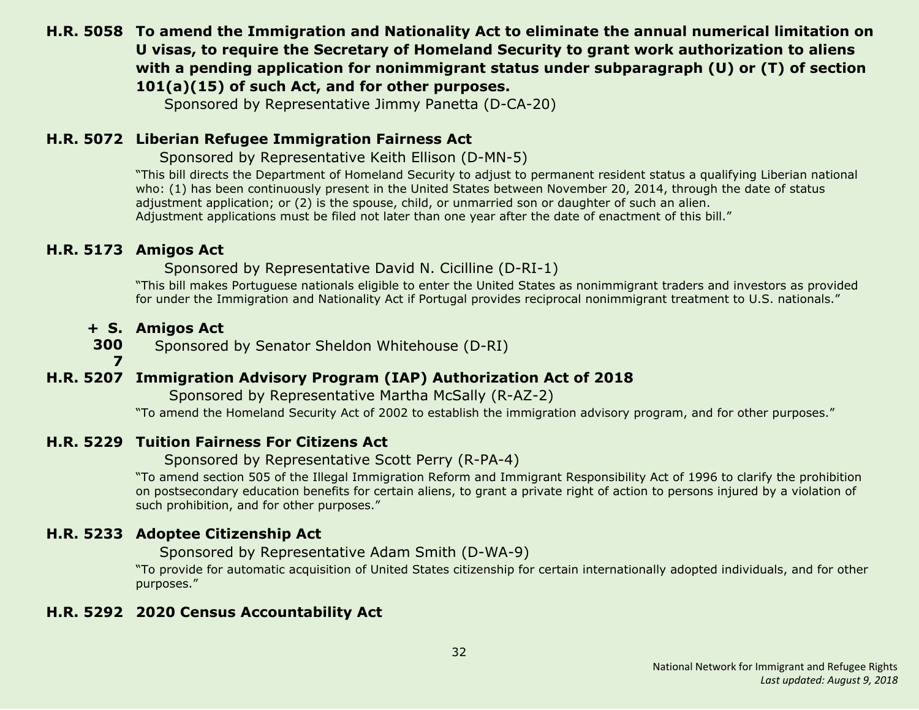# <span id="page-31-1"></span>**H.R. 5058 To amend the Immigration and Nationality Act to eliminate the annual numerical limitation on U visas, to require the Secretary of Homeland Security to grant work authorization to aliens with a pending application for nonimmigrant status under subparagraph (U) or (T) of section 101(a)(15) of such Act, and for other purposes.**

Sponsored by Representative Jimmy Panetta (D-CA-20)

# <span id="page-31-2"></span>**H.R. 5072 Liberian Refugee Immigration Fairness Act**

Sponsored by Representative Keith Ellison (D-MN-5)

"This bill directs the Department of Homeland Security to adjust to permanent resident status a qualifying Liberian national who: (1) has been continuously present in the United States between November 20, 2014, through the date of status adjustment application; or (2) is the spouse, child, or unmarried son or daughter of such an alien. Adjustment applications must be filed not later than one year after the date of enactment of this bill."

# <span id="page-31-3"></span>**H.R. 5173 Amigos Act**

Sponsored by Representative David N. Cicilline (D-RI-1)

"This bill makes Portuguese nationals eligible to enter the United States as nonimmigrant traders and investors as provided for under the Immigration and Nationality Act if Portugal provides reciprocal nonimmigrant treatment to U.S. nationals."

#### **+ S. Amigos Act**

**300** Sponsored by Senator Sheldon Whitehouse (D-RI)

**7**

# <span id="page-31-0"></span>**H.R. 5207 Immigration Advisory Program (IAP) Authorization Act of 2018**

Sponsored by Representative Martha McSally (R-AZ-2)

"To amend the Homeland Security Act of 2002 to establish the immigration advisory program, and for other purposes."

# <span id="page-31-6"></span>**H.R. 5229 Tuition Fairness For Citizens Act**

Sponsored by Representative Scott Perry (R-PA-4)

"To amend section 505 of the Illegal Immigration Reform and Immigrant Responsibility Act of 1996 to clarify the prohibition on postsecondary education benefits for certain aliens, to grant a private right of action to persons injured by a violation of such prohibition, and for other purposes."

# <span id="page-31-4"></span>**H.R. 5233 Adoptee Citizenship Act**

Sponsored by Representative Adam Smith (D-WA-9)

"To provide for automatic acquisition of United States citizenship for certain internationally adopted individuals, and for other purposes."

# <span id="page-31-5"></span>**H.R. 5292 2020 Census Accountability Act**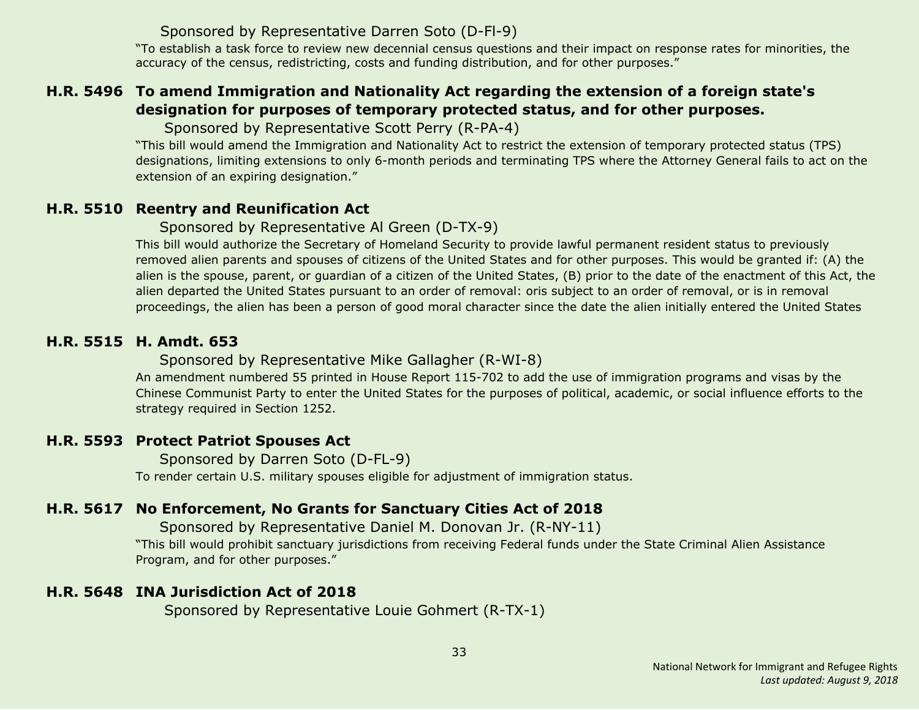# Sponsored by Representative Darren Soto (D-Fl-9)

"To establish a task force to review new decennial census questions and their impact on response rates for minorities, the accuracy of the census, redistricting, costs and funding distribution, and for other purposes."

# <span id="page-32-2"></span>**H.R. 5496 To amend Immigration and Nationality Act regarding the extension of a foreign state's designation for purposes of temporary protected status, and for other purposes.**

Sponsored by Representative Scott Perry (R-PA-4)

"This bill would amend the Immigration and Nationality Act to restrict the extension of temporary protected status (TPS) designations, limiting extensions to only 6-month periods and terminating TPS where the Attorney General fails to act on the extension of an expiring designation."

# <span id="page-32-0"></span>**H.R. 5510 Reentry and Reunification Act**

Sponsored by Representative Al Green (D-TX-9)

This bill would authorize the Secretary of Homeland Security to provide lawful permanent resident status to previously removed alien parents and spouses of citizens of the United States and for other purposes. This would be granted if: (A) the alien is the spouse, parent, or guardian of a citizen of the United States, (B) prior to the date of the enactment of this Act, the alien departed the United States pursuant to an order of removal: oris subject to an order of removal, or is in removal proceedings, the alien has been a person of good moral character since the date the alien initially entered the United States

# <span id="page-32-3"></span>**H.R. 5515 H. Amdt. 653**

# Sponsored by Representative Mike Gallagher (R-WI-8)

An amendment numbered 55 printed in House Report 115-702 to add the use of immigration programs and visas by the Chinese Communist Party to enter the United States for the purposes of political, academic, or social influence efforts to the strategy required in Section 1252.

# <span id="page-32-1"></span>**H.R. 5593 Protect Patriot Spouses Act**

Sponsored by Darren Soto (D-FL-9) To render certain U.S. military spouses eligible for adjustment of immigration status.

# <span id="page-32-4"></span>**H.R. 5617 No Enforcement, No Grants for Sanctuary Cities Act of 2018**

Sponsored by Representative Daniel M. Donovan Jr. (R-NY-11)

"This bill would prohibit sanctuary jurisdictions from receiving Federal funds under the State Criminal Alien Assistance Program, and for other purposes."

# <span id="page-32-5"></span>**H.R. 5648 INA Jurisdiction Act of 2018**

Sponsored by Representative Louie Gohmert (R-TX-1)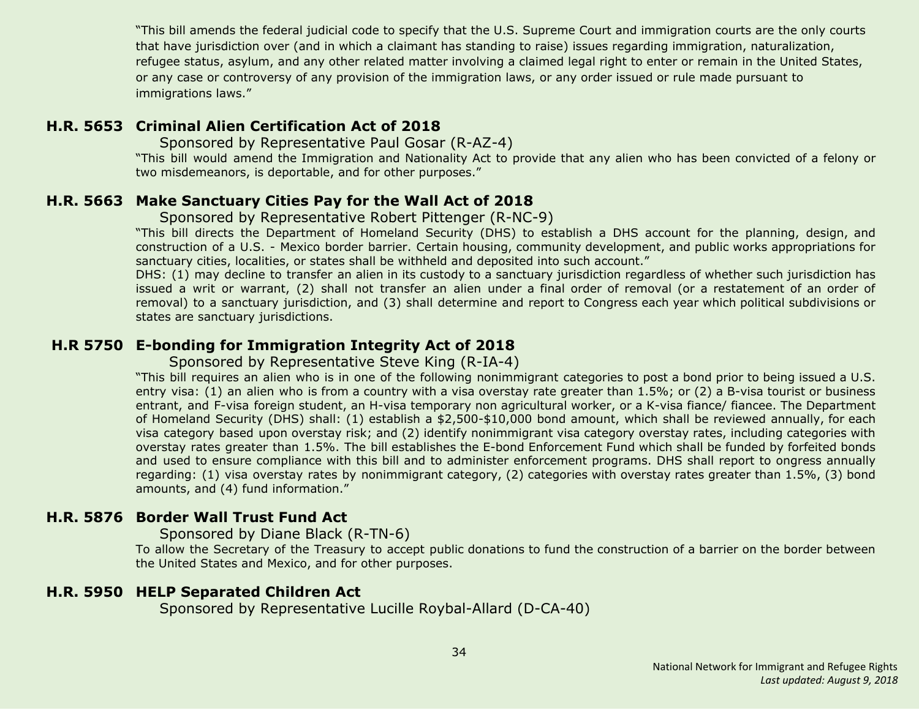"This bill amends the federal judicial code to specify that the U.S. Supreme Court and immigration courts are the only courts that have jurisdiction over (and in which a claimant has standing to raise) issues regarding immigration, naturalization, refugee status, asylum, and any other related matter involving a claimed legal right to enter or remain in the United States, or any case or controversy of any provision of the immigration laws, or any order issued or rule made pursuant to immigrations laws."

# <span id="page-33-2"></span>**H.R. 5653 Criminal Alien Certification Act of 2018**

Sponsored by Representative Paul Gosar (R-AZ-4)

"This bill would amend the Immigration and Nationality Act to provide that any alien who has been convicted of a felony or two misdemeanors, is deportable, and for other purposes."

# <span id="page-33-1"></span>**H.R. 5663 Make Sanctuary Cities Pay for the Wall Act of 2018**

#### Sponsored by Representative Robert Pittenger (R-NC-9)

"This bill directs the Department of Homeland Security (DHS) to establish a DHS account for the planning, design, and construction of a U.S. - Mexico border barrier. Certain housing, community development, and public works appropriations for sanctuary cities, localities, or states shall be withheld and deposited into such account."

DHS: (1) may decline to transfer an alien in its custody to a sanctuary jurisdiction regardless of whether such jurisdiction has issued a writ or warrant, (2) shall not transfer an alien under a final order of removal (or a restatement of an order of removal) to a sanctuary jurisdiction, and (3) shall determine and report to Congress each year which political subdivisions or states are sanctuary jurisdictions.

# <span id="page-33-3"></span>**H.R 5750 E-bonding for Immigration Integrity Act of 2018**

Sponsored by Representative Steve King (R-IA-4)

"This bill requires an alien who is in one of the following nonimmigrant categories to post a bond prior to being issued a U.S. entry visa: (1) an alien who is from a country with a visa overstay rate greater than 1.5%; or (2) a B-visa tourist or business entrant, and F-visa foreign student, an H-visa temporary non agricultural worker, or a K-visa fiance/ fiancee. The Department of Homeland Security (DHS) shall: (1) establish a \$2,500-\$10,000 bond amount, which shall be reviewed annually, for each visa category based upon overstay risk; and (2) identify nonimmigrant visa category overstay rates, including categories with overstay rates greater than 1.5%. The bill establishes the E-bond Enforcement Fund which shall be funded by forfeited bonds and used to ensure compliance with this bill and to administer enforcement programs. DHS shall report to ongress annually regarding: (1) visa overstay rates by nonimmigrant category, (2) categories with overstay rates greater than 1.5%, (3) bond amounts, and (4) fund information."

# <span id="page-33-4"></span>**H.R. 5876 Border Wall Trust Fund Act**

Sponsored by Diane Black (R-TN-6)

To allow the Secretary of the Treasury to accept public donations to fund the construction of a barrier on the border between the United States and Mexico, and for other purposes.

#### <span id="page-33-0"></span>**H.R. 5950 HELP Separated Children Act**

Sponsored by Representative Lucille Roybal-Allard (D-CA-40)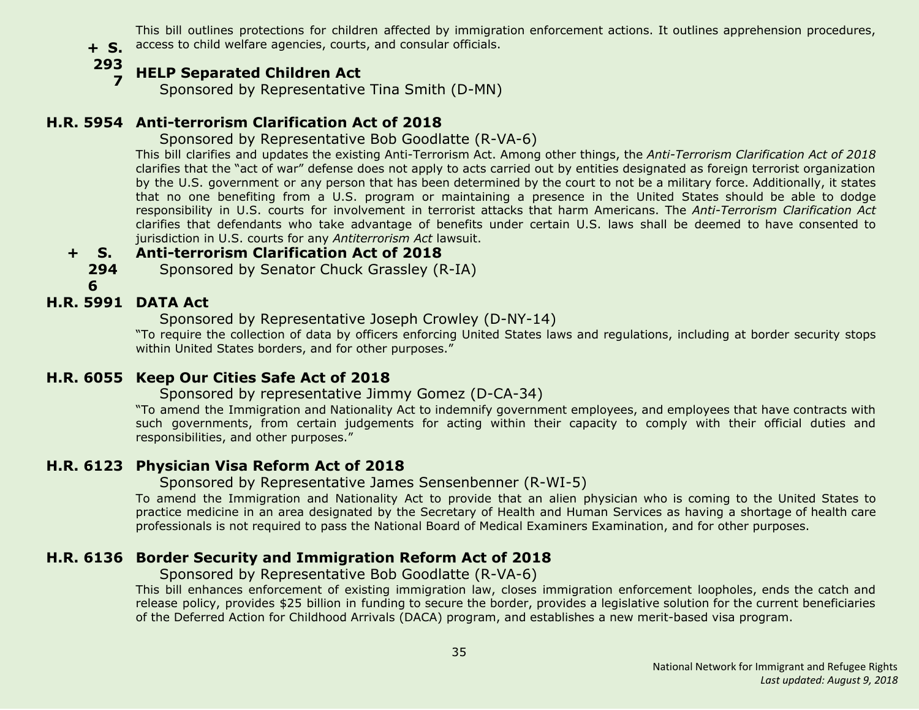**+ S.** access to child welfare agencies, courts, and consular officials. This bill outlines protections for children affected by immigration enforcement actions. It outlines apprehension procedures,

**293**

#### **7 HELP Separated Children Act**

Sponsored by Representative Tina Smith (D-MN)

# <span id="page-34-0"></span>**H.R. 5954 Anti-terrorism Clarification Act of 2018**

# Sponsored by Representative Bob Goodlatte (R-VA-6)

This bill clarifies and updates the existing Anti-Terrorism Act. Among other things, the *Anti-Terrorism Clarification Act of 2018* clarifies that the "act of war" defense does not apply to acts carried out by entities designated as foreign terrorist organization by the U.S. government or any person that has been determined by the court to not be a military force. Additionally, it states that no one benefiting from a U.S. program or maintaining a presence in the United States should be able to dodge responsibility in U.S. courts for involvement in terrorist attacks that harm Americans. The *Anti-Terrorism Clarification Act* clarifies that defendants who take advantage of benefits under certain U.S. laws shall be deemed to have consented to jurisdiction in U.S. courts for any *Antiterrorism Act* lawsuit.

#### **+ S. Anti-terrorism Clarification Act of 2018**

**294** Sponsored by Senator Chuck Grassley (R-IA)

**6**

# <span id="page-34-1"></span>**H.R. 5991 DATA Act**

Sponsored by Representative Joseph Crowley (D-NY-14)

"To require the collection of data by officers enforcing United States laws and regulations, including at border security stops within United States borders, and for other purposes."

# <span id="page-34-2"></span>**H.R. 6055 Keep Our Cities Safe Act of 2018**

# Sponsored by representative Jimmy Gomez (D-CA-34)

"To amend the Immigration and Nationality Act to indemnify government employees, and employees that have contracts with such governments, from certain judgements for acting within their capacity to comply with their official duties and responsibilities, and other purposes."

# <span id="page-34-3"></span>**H.R. 6123 Physician Visa Reform Act of 2018**

#### Sponsored by Representative James Sensenbenner (R-WI-5)

To amend the Immigration and Nationality Act to provide that an alien physician who is coming to the United States to practice medicine in an area designated by the Secretary of Health and Human Services as having a shortage of health care professionals is not required to pass the National Board of Medical Examiners Examination, and for other purposes.

# <span id="page-34-4"></span>**H.R. 6136 Border Security and Immigration Reform Act of 2018**

#### Sponsored by Representative Bob Goodlatte (R-VA-6)

This bill enhances enforcement of existing immigration law, closes immigration enforcement loopholes, ends the catch and release policy, provides \$25 billion in funding to secure the border, provides a legislative solution for the current beneficiaries of the Deferred Action for Childhood Arrivals (DACA) program, and establishes a new merit-based visa program.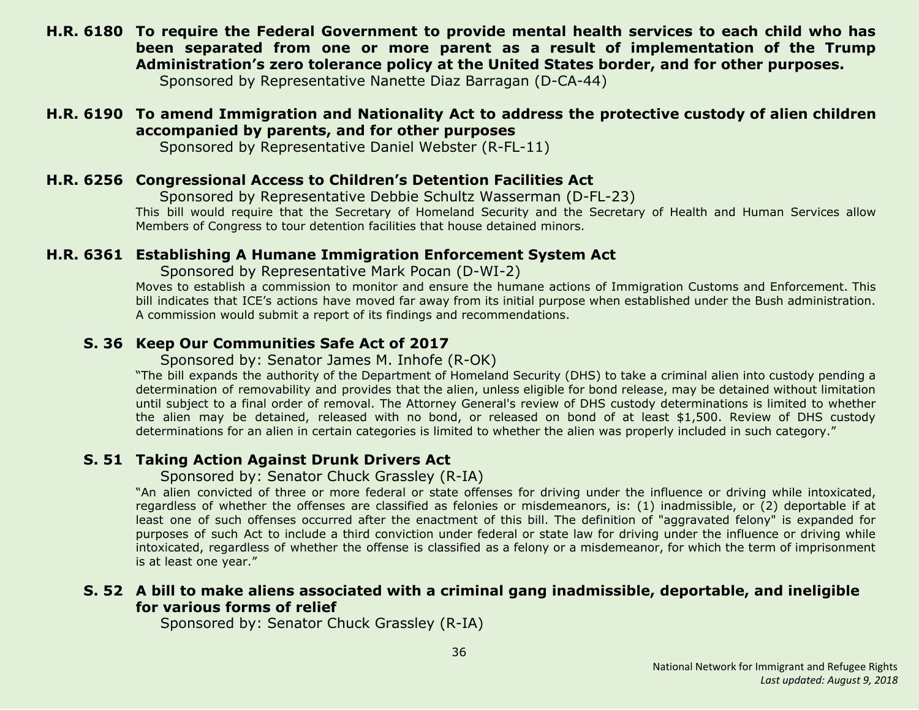<span id="page-35-3"></span>**H.R. 6180 To require the Federal Government to provide mental health services to each child who has been separated from one or more parent as a result of implementation of the Trump Administration's zero tolerance policy at the United States border, and for other purposes.**

Sponsored by Representative Nanette Diaz Barragan (D-CA-44)

# <span id="page-35-6"></span>**H.R. 6190 To amend Immigration and Nationality Act to address the protective custody of alien children accompanied by parents, and for other purposes**

Sponsored by Representative Daniel Webster (R-FL-11)

# <span id="page-35-4"></span>**H.R. 6256 Congressional Access to Children's Detention Facilities Act**

Sponsored by Representative Debbie Schultz Wasserman (D-FL-23)

This bill would require that the Secretary of Homeland Security and the Secretary of Health and Human Services allow Members of Congress to tour detention facilities that house detained minors.

# <span id="page-35-5"></span>**H.R. 6361 Establishing A Humane Immigration Enforcement System Act**

Sponsored by Representative Mark Pocan (D-WI-2)

Moves to establish a commission to monitor and ensure the humane actions of Immigration Customs and Enforcement. This bill indicates that ICE's actions have moved far away from its initial purpose when established under the Bush administration. A commission would submit a report of its findings and recommendations.

# <span id="page-35-0"></span>**S. 36 Keep Our Communities Safe Act of 2017**

Sponsored by: Senator James M. Inhofe (R-OK)

"The bill expands the authority of the Department of Homeland Security (DHS) to take a criminal alien into custody pending a determination of removability and provides that the alien, unless eligible for bond release, may be detained without limitation until subject to a final order of removal. The Attorney General's review of DHS custody determinations is limited to whether the alien may be detained, released with no bond, or released on bond of at least \$1,500. Review of DHS custody determinations for an alien in certain categories is limited to whether the alien was properly included in such category."

# <span id="page-35-1"></span>**S. 51 Taking Action Against Drunk Drivers Act**

Sponsored by: Senator Chuck Grassley (R-IA)

"An alien convicted of three or more federal or state offenses for driving under the influence or driving while intoxicated, regardless of whether the offenses are classified as felonies or misdemeanors, is: (1) inadmissible, or (2) deportable if at least one of such offenses occurred after the enactment of this bill. The definition of "aggravated felony" is expanded for purposes of such Act to include a third conviction under federal or state law for driving under the influence or driving while intoxicated, regardless of whether the offense is classified as a felony or a misdemeanor, for which the term of imprisonment is at least one year."

# <span id="page-35-2"></span>**S. 52 A bill to make aliens associated with a criminal gang inadmissible, deportable, and ineligible for various forms of relief**

Sponsored by: Senator Chuck Grassley (R-IA)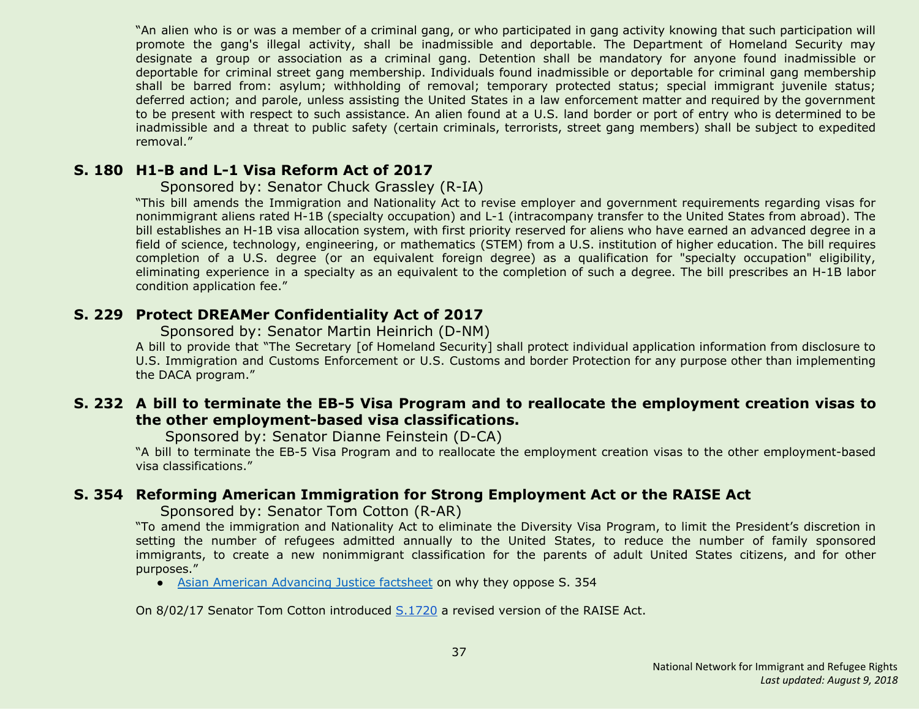"An alien who is or was a member of a criminal gang, or who participated in gang activity knowing that such participation will promote the gang's illegal activity, shall be inadmissible and deportable. The Department of Homeland Security may designate a group or association as a criminal gang. Detention shall be mandatory for anyone found inadmissible or deportable for criminal street gang membership. Individuals found inadmissible or deportable for criminal gang membership shall be barred from: asylum; withholding of removal; temporary protected status; special immigrant juvenile status; deferred action; and parole, unless assisting the United States in a law enforcement matter and required by the government to be present with respect to such assistance. An alien found at a U.S. land border or port of entry who is determined to be inadmissible and a threat to public safety (certain criminals, terrorists, street gang members) shall be subject to expedited removal."

#### <span id="page-36-0"></span>**S. 180 H1-B and L-1 Visa Reform Act of 2017**

#### Sponsored by: Senator Chuck Grassley (R-IA)

"This bill amends the Immigration and Nationality Act to revise employer and government requirements regarding visas for nonimmigrant aliens rated H-1B (specialty occupation) and L-1 (intracompany transfer to the United States from abroad). The bill establishes an H-1B visa allocation system, with first priority reserved for aliens who have earned an advanced degree in a field of science, technology, engineering, or mathematics (STEM) from a U.S. institution of higher education. The bill requires completion of a U.S. degree (or an equivalent foreign degree) as a qualification for "specialty occupation" eligibility, eliminating experience in a specialty as an equivalent to the completion of such a degree. The bill prescribes an H-1B labor condition application fee."

# <span id="page-36-2"></span>**S. 229 Protect DREAMer Confidentiality Act of 2017**

Sponsored by: Senator Martin Heinrich (D-NM)

A bill to provide that "The Secretary [of Homeland Security] shall protect individual application information from disclosure to U.S. Immigration and Customs Enforcement or U.S. Customs and border Protection for any purpose other than implementing the DACA program."

#### <span id="page-36-3"></span>**S. 232 A bill to terminate the EB-5 Visa Program and to reallocate the employment creation visas to the other employment-based visa classifications.**

Sponsored by: Senator Dianne Feinstein (D-CA)

"A bill to terminate the EB-5 Visa Program and to reallocate the employment creation visas to the other employment-based visa classifications."

# <span id="page-36-1"></span>**S. 354 Reforming American Immigration for Strong Employment Act or the RAISE Act**

Sponsored by: Senator Tom Cotton (R-AR)

"To amend the immigration and Nationality Act to eliminate the Diversity Visa Program, to limit the President's discretion in setting the number of refugees admitted annually to the United States, to reduce the number of family sponsored immigrants, to create a new nonimmigrant classification for the parents of adult United States citizens, and for other purposes."

• Asian American [Advancing](http://advancingjustice-aajc.org/sites/default/files/2017-04/RAISE%20Act%20Would%20Separate%20Families.pdf) Justice factsheet on why they oppose S. 354

On 8/02/17 Senator Tom Cotton introduced [S.1720](#page-38-3) a revised version of the RAISE Act.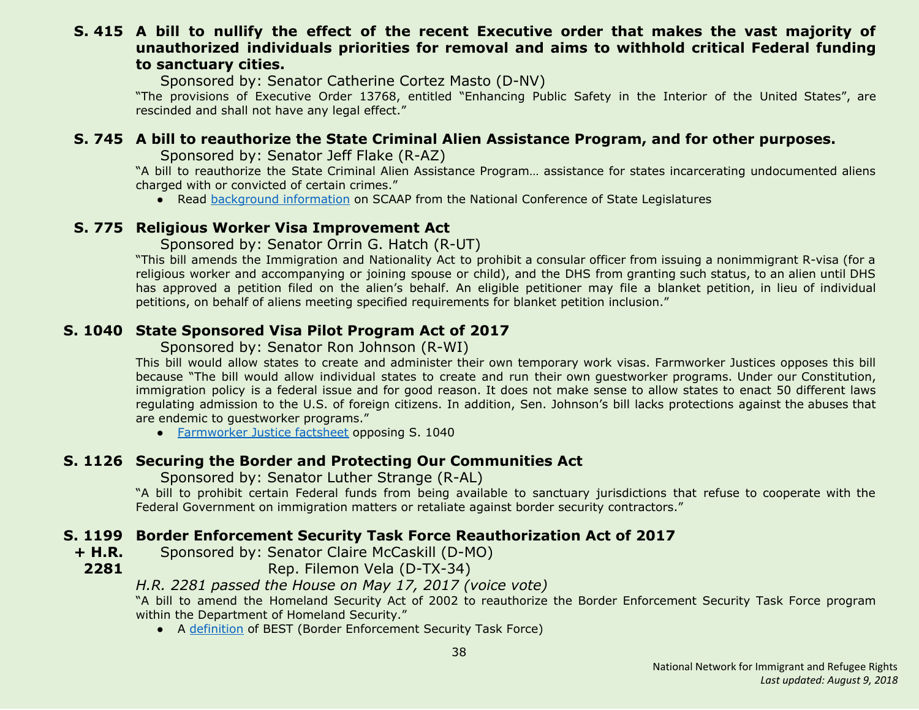#### <span id="page-37-5"></span>**S. 415 A bill to nullify the effect of the recent Executive order that makes the vast majority of unauthorized individuals priorities for removal and aims to withhold critical Federal funding to sanctuary cities.**

Sponsored by: Senator Catherine Cortez Masto (D-NV)

"The provisions of Executive Order 13768, entitled "Enhancing Public Safety in the Interior of the United States", are rescinded and shall not have any legal effect."

# <span id="page-37-0"></span>**S. 745 A bill to reauthorize the State Criminal Alien Assistance Program, and for other purposes.**

Sponsored by: Senator Jeff Flake (R-AZ)

"A bill to reauthorize the State Criminal Alien Assistance Program… assistance for states incarcerating undocumented aliens charged with or convicted of certain crimes."

• Read [background](http://www.ncsl.org/research/immigration/state-criminal-alien-assistance-program.aspx) information on SCAAP from the National Conference of State Legislatures

# <span id="page-37-1"></span>**S. 775 Religious Worker Visa Improvement Act**

Sponsored by: Senator Orrin G. Hatch (R-UT)

"This bill amends the Immigration and Nationality Act to prohibit a consular officer from issuing a nonimmigrant R-visa (for a religious worker and accompanying or joining spouse or child), and the DHS from granting such status, to an alien until DHS has approved a petition filed on the alien's behalf. An eligible petitioner may file a blanket petition, in lieu of individual petitions, on behalf of aliens meeting specified requirements for blanket petition inclusion."

# <span id="page-37-2"></span>**S. 1040 State Sponsored Visa Pilot Program Act of 2017**

Sponsored by: Senator Ron Johnson (R-WI)

This bill would allow states to create and administer their own temporary work visas. Farmworker Justices opposes this bill because "The bill would allow individual states to create and run their own guestworker programs. Under our Constitution, immigration policy is a federal issue and for good reason. It does not make sense to allow states to enact 50 different laws regulating admission to the U.S. of foreign citizens. In addition, Sen. Johnson's bill lacks protections against the abuses that are endemic to guestworker programs."

● [Farmworker](https://www.farmworkerjustice.org/sites/default/files/FJ%20-%20Johnson%20State%20GW%20Bill%20Fact%20Sheet%20-FINAL.pdf) Justice factsheet opposing S. 1040

# <span id="page-37-3"></span>**S. 1126 Securing the Border and Protecting Our Communities Act**

Sponsored by: Senator Luther Strange (R-AL)

"A bill to prohibit certain Federal funds from being available to sanctuary jurisdictions that refuse to cooperate with the Federal Government on immigration matters or retaliate against border security contractors."

# <span id="page-37-4"></span>**S. 1199 Border Enforcement Security Task Force Reauthorization Act of 2017**

**+ H.R.** Sponsored by: Senator Claire McCaskill (D-MO)

**2281**

Rep. Filemon Vela (D-TX-34)

# *H.R. 2281 passed the House on May 17, 2017 (voice vote)*

"A bill to amend the Homeland Security Act of 2002 to reauthorize the Border Enforcement Security Task Force program within the Department of Homeland Security."

● A [definition](https://www.law.cornell.edu/uscode/text/6/240) of BEST (Border Enforcement Security Task Force)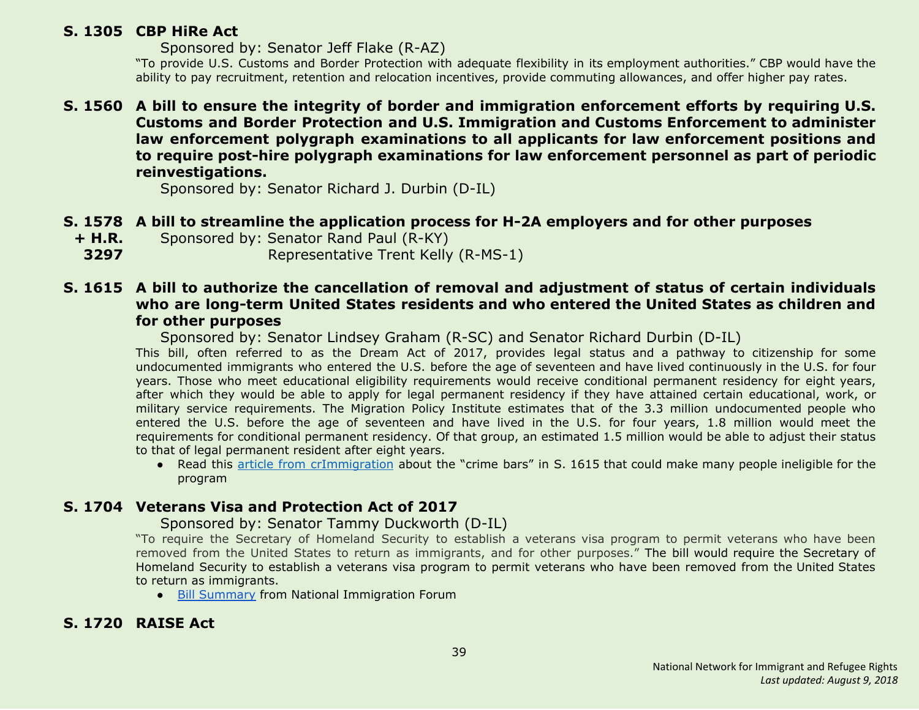# <span id="page-38-1"></span>**S. 1305 CBP HiRe Act**

Sponsored by: Senator Jeff Flake (R-AZ)

"To provide U.S. Customs and Border Protection with adequate flexibility in its employment authorities." CBP would have the ability to pay recruitment, retention and relocation incentives, provide commuting allowances, and offer higher pay rates.

# <span id="page-38-4"></span>**S. 1560 A bill to ensure the integrity of border and immigration enforcement efforts by requiring U.S. Customs and Border Protection and U.S. Immigration and Customs Enforcement to administer law enforcement polygraph examinations to all applicants for law enforcement positions and to require post-hire polygraph examinations for law enforcement personnel as part of periodic reinvestigations.**

Sponsored by: Senator Richard J. Durbin (D-IL)

# <span id="page-38-0"></span>**S. 1578 A bill to streamline the application process for H-2A employers and for other purposes**

**+ H.R.** Sponsored by: Senator Rand Paul (R-KY)

**3297** Representative Trent Kelly (R-MS-1)

# <span id="page-38-2"></span>**S. 1615 A bill to authorize the cancellation of removal and adjustment of status of certain individuals who are long-term United States residents and who entered the United States as children and for other purposes**

Sponsored by: Senator Lindsey Graham (R-SC) and Senator Richard Durbin (D-IL)

This bill, often referred to as the Dream Act of 2017, provides legal status and a pathway to citizenship for some undocumented immigrants who entered the U.S. before the age of seventeen and have lived continuously in the U.S. for four years. Those who meet educational eligibility requirements would receive conditional permanent residency for eight years, after which they would be able to apply for legal permanent residency if they have attained certain educational, work, or military service requirements. The Migration Policy Institute estimates that of the 3.3 million undocumented people who entered the U.S. before the age of seventeen and have lived in the U.S. for four years, 1.8 million would meet the requirements for conditional permanent residency. Of that group, an estimated 1.5 million would be able to adjust their status to that of legal permanent resident after eight years.

● Read this article from [crImmigration](http://crimmigration.com/2017/07/21/dream-act-of-2017-crime-bars/) about the "crime bars" in S. 1615 that could make many people ineligible for the program

# <span id="page-38-5"></span>**S. 1704 Veterans Visa and Protection Act of 2017**

#### Sponsored by: Senator Tammy Duckworth (D-IL)

"To require the Secretary of Homeland Security to establish a veterans visa program to permit veterans who have been removed from the United States to return as immigrants, and for other purposes." The bill would require the Secretary of Homeland Security to establish a veterans visa program to permit veterans who have been removed from the United States to return as immigrants.

● Bill [Summary](http://immigrationforum.org/blog/veterans-and-visa-protection-act-of-2017-bill-summary/) from National Immigration Forum

# <span id="page-38-3"></span>**S. 1720 RAISE Act**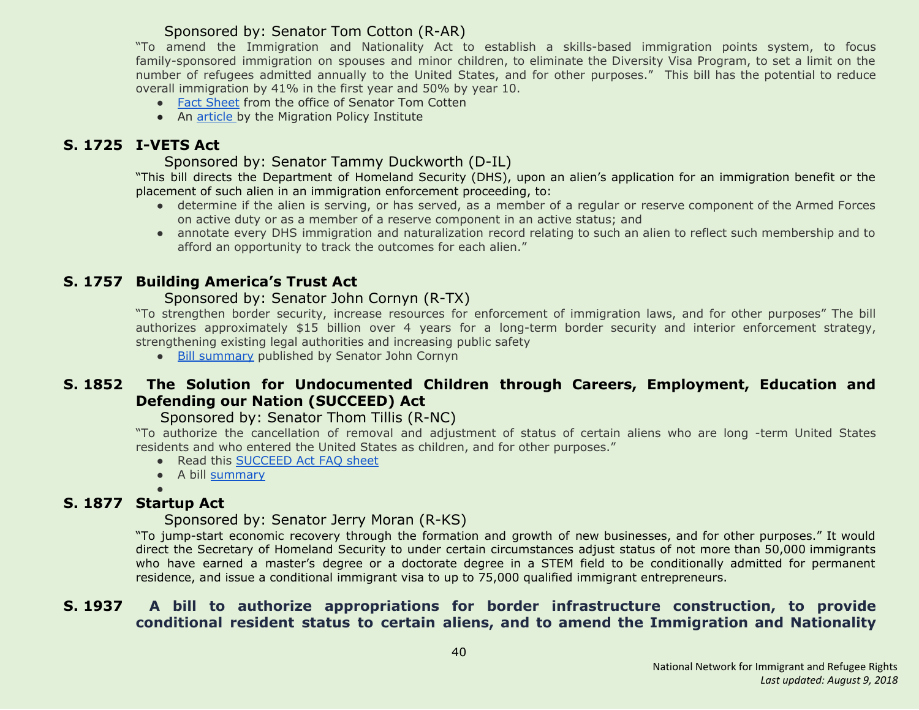# Sponsored by: Senator Tom Cotton (R-AR)

"To amend the Immigration and Nationality Act to establish a skills-based immigration points system, to focus family-sponsored immigration on spouses and minor children, to eliminate the Diversity Visa Program, to set a limit on the number of refugees admitted annually to the United States, and for other purposes." This bill has the potential to reduce overall immigration by 41% in the first year and 50% by year 10.

- Fact [Sheet](http://static.politico.com/fd/af/3eebc635479892982f81bdfe3fa2/raise-act.pdf) from the office of Senator Tom Cotten
- An [article](http://www.migrationpolicy.org/news/raise-act-dramatic-change-family-immigration-less-so-employment-based-system) by the Migration Policy Institute

# <span id="page-39-4"></span>**S. 1725 I-VETS Act**

# Sponsored by: Senator Tammy Duckworth (D-IL)

"This bill directs the Department of Homeland Security (DHS), upon an alien's application for an immigration benefit or the placement of such alien in an immigration enforcement proceeding, to:

- determine if the alien is serving, or has served, as a member of a regular or reserve component of the Armed Forces on active duty or as a member of a reserve component in an active status; and
- annotate every DHS immigration and naturalization record relating to such an alien to reflect such membership and to afford an opportunity to track the outcomes for each alien."

# <span id="page-39-0"></span>**S. 1757 Building America's Trust Act**

# Sponsored by: Senator John Cornyn (R-TX)

"To strengthen border security, increase resources for enforcement of immigration laws, and for other purposes" The bill authorizes approximately \$15 billion over 4 years for a long-term border security and interior enforcement strategy, strengthening existing legal authorities and increasing public safety

● Bill [summary](https://www.cornyn.senate.gov/sites/default/files/Building%20America%27s%20Trust%20Act%20-%20One%20Pager.pdf) published by Senator John Cornyn

# <span id="page-39-1"></span>**S. 1852 The Solution for Undocumented Children through Careers, Employment, Education and Defending our Nation (SUCCEED) Act**

# Sponsored by: Senator Thom Tillis (R-NC)

"To authorize the cancellation of removal and adjustment of status of certain aliens who are long -term United States residents and who entered the United States as children, and for other purposes."

- Read this [SUCCEED](https://www.tillis.senate.gov/public/_cache/files/6a79e1da-2671-427a-9d1c-b3b16376a40c/the-succeed-act-two-pager.pdf) Act FAQ sheet
- A bill [summary](http://immigrationforum.org/blog/the-succeed-act-bill-summary/)

●

# <span id="page-39-2"></span>**S. 1877 Startup Act**

#### Sponsored by: Senator Jerry Moran (R-KS)

"To jump-start economic recovery through the formation and growth of new businesses, and for other purposes." It would direct the Secretary of Homeland Security to under certain circumstances adjust status of not more than 50,000 immigrants who have earned a master's degree or a doctorate degree in a STEM field to be conditionally admitted for permanent residence, and issue a conditional immigrant visa to up to 75,000 qualified immigrant entrepreneurs.

# <span id="page-39-3"></span>**S. 1937 A bill to authorize appropriations for border infrastructure construction, to provide conditional resident status to certain aliens, and to amend the Immigration and Nationality**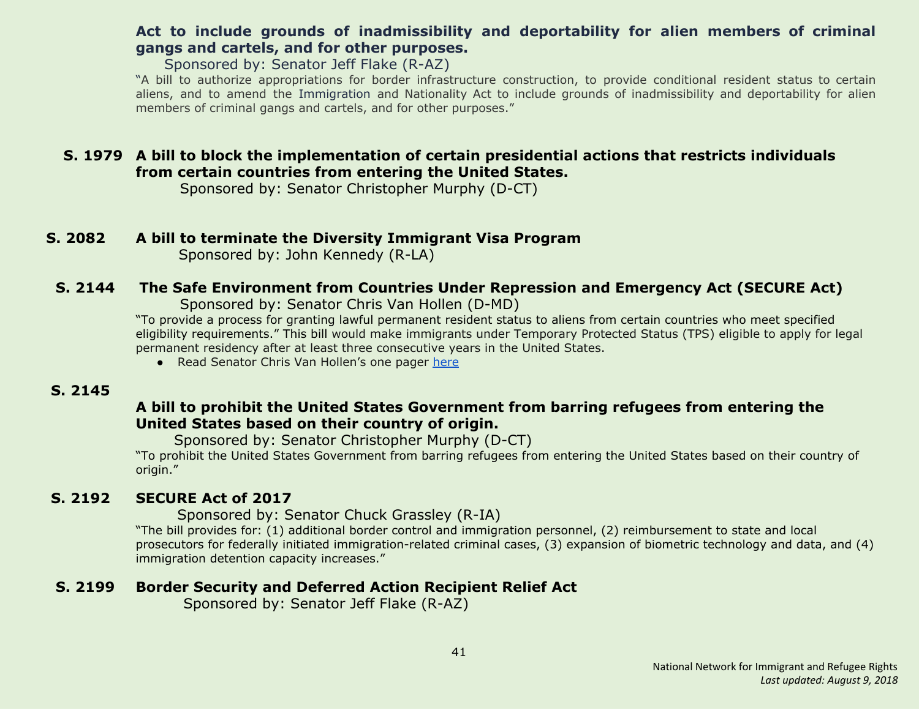# **Act to include grounds of inadmissibility and deportability for alien members of criminal gangs and cartels, and for other purposes.**

Sponsored by: Senator Jeff Flake (R-AZ)

"A bill to authorize appropriations for border infrastructure construction, to provide conditional resident status to certain aliens, and to amend the Immigration and Nationality Act to include grounds of inadmissibility and deportability for alien members of criminal gangs and cartels, and for other purposes."

# <span id="page-40-3"></span>**S. 1979 A bill to block the implementation of certain presidential actions that restricts individuals from certain countries from entering the United States.**

Sponsored by: Senator Christopher Murphy (D-CT)

# <span id="page-40-0"></span>**S. 2082 A bill to terminate the Diversity Immigrant Visa Program**

Sponsored by: John Kennedy (R-LA)

# <span id="page-40-4"></span> **S. 2144 The Safe Environment from Countries Under Repression and Emergency Act (SECURE Act)**

Sponsored by: Senator Chris Van Hollen (D-MD)

"To provide a process for granting lawful permanent resident status to aliens from certain countries who meet specified eligibility requirements." This bill would make immigrants under Temporary Protected Status (TPS) eligible to apply for legal permanent residency after at least three consecutive years in the United States.

● Read Senator Chris Van Hollen's one pager [here](https://www.vanhollen.senate.gov/sites/default/files/TPS%20One%20Pager.pdf)

#### <span id="page-40-5"></span> **S. 2145**

# **A bill to prohibit the United States Government from barring refugees from entering the United States based on their country of origin.**

Sponsored by: Senator Christopher Murphy (D-CT)

"To prohibit the United States Government from barring refugees from entering the United States based on their country of origin."

# <span id="page-40-1"></span> **S. 2192 SECURE Act of 2017**

 Sponsored by: Senator Chuck Grassley (R-IA)

"The bill provides for: (1) additional border control and immigration personnel, (2) reimbursement to state and local prosecutors for federally initiated immigration-related criminal cases, (3) expansion of biometric technology and data, and (4) immigration detention capacity increases."

# <span id="page-40-2"></span> **S. 2199 Border Security and Deferred Action Recipient Relief Act**

Sponsored by: Senator Jeff Flake (R-AZ)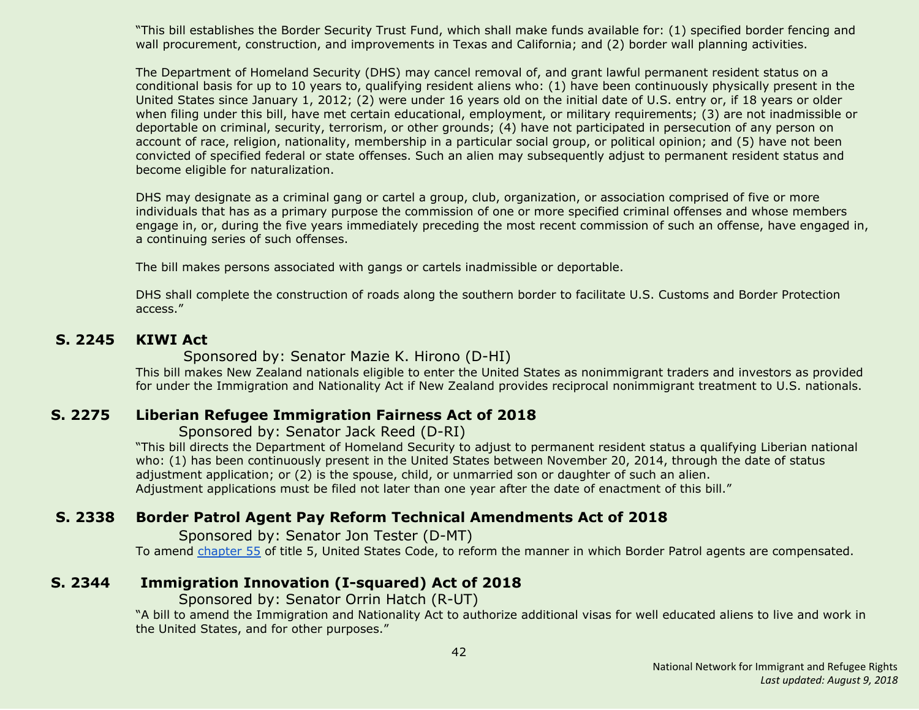"This bill establishes the Border Security Trust Fund, which shall make funds available for: (1) specified border fencing and wall procurement, construction, and improvements in Texas and California; and (2) border wall planning activities.

The Department of Homeland Security (DHS) may cancel removal of, and grant lawful permanent resident status on a conditional basis for up to 10 years to, qualifying resident aliens who: (1) have been continuously physically present in the United States since January 1, 2012; (2) were under 16 years old on the initial date of U.S. entry or, if 18 years or older when filing under this bill, have met certain educational, employment, or military requirements; (3) are not inadmissible or deportable on criminal, security, terrorism, or other grounds; (4) have not participated in persecution of any person on account of race, religion, nationality, membership in a particular social group, or political opinion; and (5) have not been convicted of specified federal or state offenses. Such an alien may subsequently adjust to permanent resident status and become eligible for naturalization.

DHS may designate as a criminal gang or cartel a group, club, organization, or association comprised of five or more individuals that has as a primary purpose the commission of one or more specified criminal offenses and whose members engage in, or, during the five years immediately preceding the most recent commission of such an offense, have engaged in, a continuing series of such offenses.

The bill makes persons associated with gangs or cartels inadmissible or deportable.

DHS shall complete the construction of roads along the southern border to facilitate U.S. Customs and Border Protection access."

#### <span id="page-41-1"></span> **S. 2245 KIWI Act**

#### Sponsored by: Senator Mazie K. Hirono (D-HI)

This bill makes New Zealand nationals eligible to enter the United States as nonimmigrant traders and investors as provided for under the Immigration and Nationality Act if New Zealand provides reciprocal nonimmigrant treatment to U.S. nationals.

# <span id="page-41-2"></span> **S. 2275 Liberian Refugee Immigration Fairness Act of 2018**

#### Sponsored by: Senator Jack Reed (D-RI)

"This bill directs the Department of Homeland Security to adjust to permanent resident status a qualifying Liberian national who: (1) has been continuously present in the United States between November 20, 2014, through the date of status adjustment application; or (2) is the spouse, child, or unmarried son or daughter of such an alien. Adjustment applications must be filed not later than one year after the date of enactment of this bill."

# <span id="page-41-3"></span> **S. 2338 Border Patrol Agent Pay Reform Technical Amendments Act of 2018**

Sponsored by: Senator Jon Tester (D-MT) To amend [chapter](http://uscode.house.gov/view.xhtml?req=granuleid:USC-prelim-title5-chapter55-front&num=0&edition=prelim) 55 of title 5, United States Code, to reform the manner in which Border Patrol agents are compensated.

# <span id="page-41-0"></span> **S. 2344 Immigration Innovation (I-squared) Act of 2018**

Sponsored by: Senator Orrin Hatch (R-UT)

"A bill to amend the Immigration and Nationality Act to authorize additional visas for well educated aliens to live and work in the United States, and for other purposes."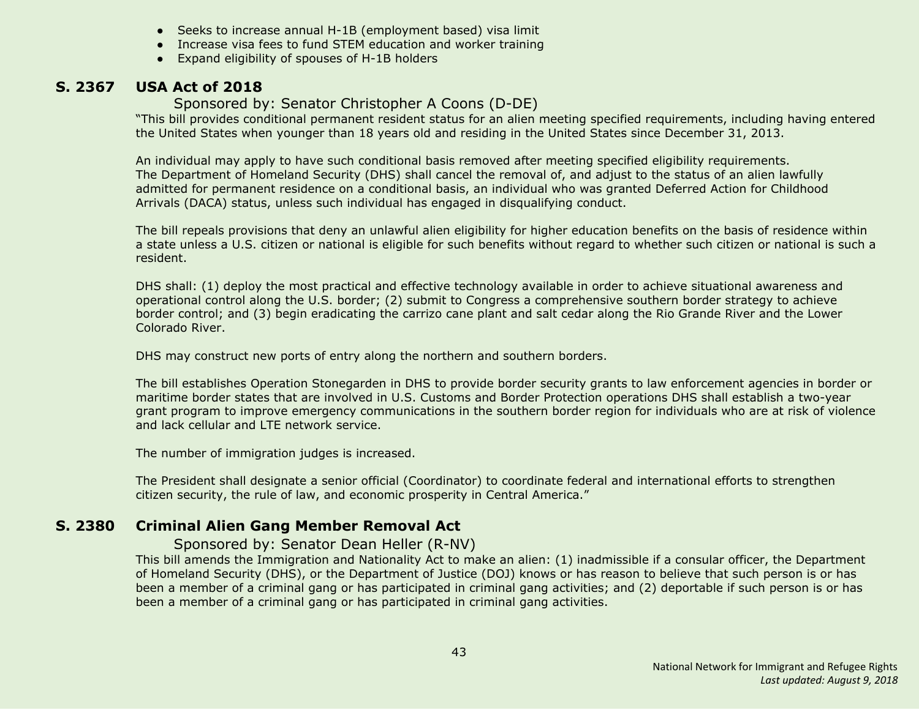- Seeks to increase annual H-1B (employment based) visa limit
- Increase visa fees to fund STEM education and worker training
- Expand eligibility of spouses of H-1B holders

# <span id="page-42-1"></span> **S. 2367 USA Act of 2018**

#### Sponsored by: Senator Christopher A Coons (D-DE)

"This bill provides conditional permanent resident status for an alien meeting specified requirements, including having entered the United States when younger than 18 years old and residing in the United States since December 31, 2013.

An individual may apply to have such conditional basis removed after meeting specified eligibility requirements. The Department of Homeland Security (DHS) shall cancel the removal of, and adjust to the status of an alien lawfully admitted for permanent residence on a conditional basis, an individual who was granted Deferred Action for Childhood Arrivals (DACA) status, unless such individual has engaged in disqualifying conduct.

The bill repeals provisions that deny an unlawful alien eligibility for higher education benefits on the basis of residence within a state unless a U.S. citizen or national is eligible for such benefits without regard to whether such citizen or national is such a resident.

DHS shall: (1) deploy the most practical and effective technology available in order to achieve situational awareness and operational control along the U.S. border; (2) submit to Congress a comprehensive southern border strategy to achieve border control; and (3) begin eradicating the carrizo cane plant and salt cedar along the Rio Grande River and the Lower Colorado River.

DHS may construct new ports of entry along the northern and southern borders.

The bill establishes Operation Stonegarden in DHS to provide border security grants to law enforcement agencies in border or maritime border states that are involved in U.S. Customs and Border Protection operations DHS shall establish a two-year grant program to improve emergency communications in the southern border region for individuals who are at risk of violence and lack cellular and LTE network service.

The number of immigration judges is increased.

The President shall designate a senior official (Coordinator) to coordinate federal and international efforts to strengthen citizen security, the rule of law, and economic prosperity in Central America."

# <span id="page-42-0"></span> **S. 2380 Criminal Alien Gang Member Removal Act**

#### Sponsored by: Senator Dean Heller (R-NV)

This bill amends the Immigration and Nationality Act to make an alien: (1) inadmissible if a consular officer, the Department of Homeland Security (DHS), or the Department of Justice (DOJ) knows or has reason to believe that such person is or has been a member of a criminal gang or has participated in criminal gang activities; and (2) deportable if such person is or has been a member of a criminal gang or has participated in criminal gang activities.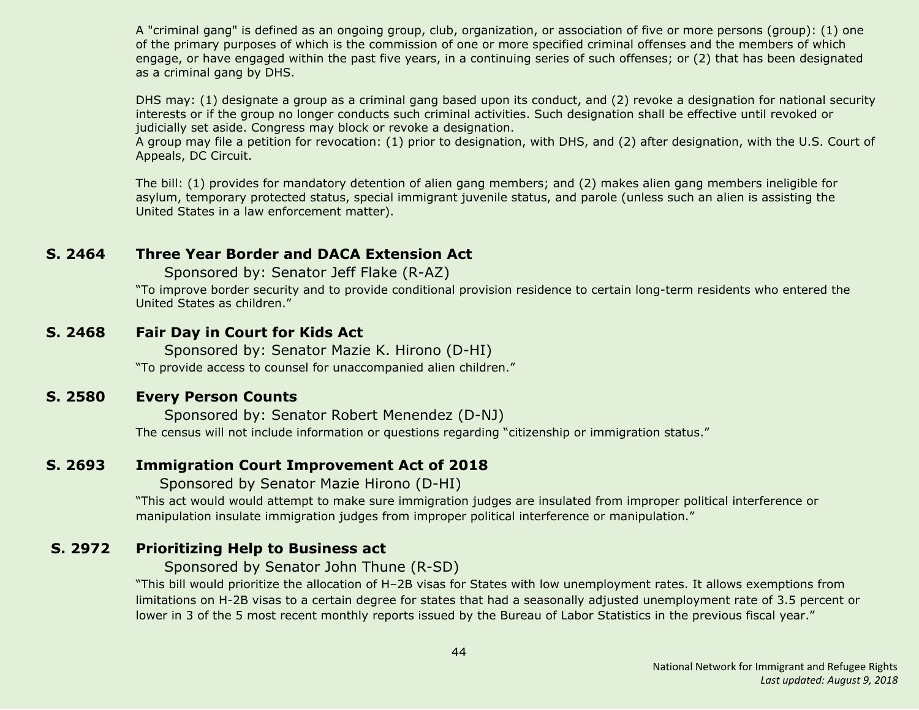A "criminal gang" is defined as an ongoing group, club, organization, or association of five or more persons (group): (1) one of the primary purposes of which is the commission of one or more specified criminal offenses and the members of which engage, or have engaged within the past five years, in a continuing series of such offenses; or (2) that has been designated as a criminal gang by DHS.

DHS may: (1) designate a group as a criminal gang based upon its conduct, and (2) revoke a designation for national security interests or if the group no longer conducts such criminal activities. Such designation shall be effective until revoked or judicially set aside. Congress may block or revoke a designation.

A group may file a petition for revocation: (1) prior to designation, with DHS, and (2) after designation, with the U.S. Court of Appeals, DC Circuit.

The bill: (1) provides for mandatory detention of alien gang members; and (2) makes alien gang members ineligible for asylum, temporary protected status, special immigrant juvenile status, and parole (unless such an alien is assisting the United States in a law enforcement matter).

# <span id="page-43-0"></span>**S. 2464 Three Year Border and DACA Extension Act**

Sponsored by: Senator Jeff Flake (R-AZ)

"To improve border security and to provide conditional provision residence to certain long-term residents who entered the United States as children."

#### <span id="page-43-2"></span>**S. 2468 Fair Day in Court for Kids Act**

Sponsored by: Senator Mazie K. Hirono (D-HI)

"To provide access to counsel for unaccompanied alien children."

#### <span id="page-43-3"></span>**S. 2580 Every Person Counts**

Sponsored by: Senator Robert Menendez (D-NJ) The census will not include information or questions regarding "citizenship or immigration status."

# <span id="page-43-4"></span>**S. 2693 Immigration Court Improvement Act of 2018**

Sponsored by Senator Mazie Hirono (D-HI)

"This act would would attempt to make sure immigration judges are insulated from improper political interference or manipulation insulate immigration judges from improper political interference or manipulation."

# <span id="page-43-1"></span> **S. 2972 Prioritizing Help to Business act**

Sponsored by Senator John Thune (R-SD)

"This bill would prioritize the allocation of H–2B visas for States with low unemployment rates. It allows exemptions from limitations on H-2B visas to a certain degree for states that had a seasonally adjusted unemployment rate of 3.5 percent or lower in 3 of the 5 most recent monthly reports issued by the Bureau of Labor Statistics in the previous fiscal year."